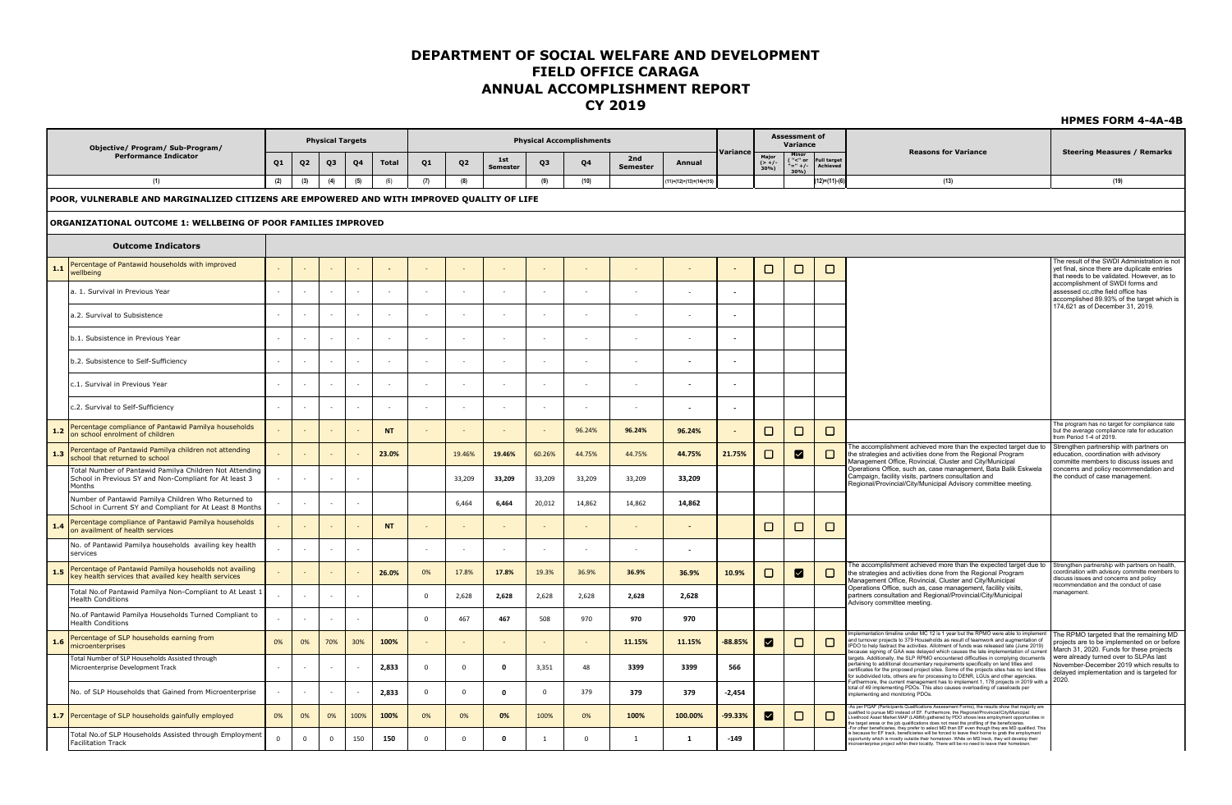|       |                                                                                                                             |          |                |                         |        |           |              |                |                 |          |                                 |                        |                         |                          |                         |                                     |                                |                                                                                                                                                                                                                                                                                                                                                                                                                                                                                                                                        | <b>HPMES FORM 4-4A-4B</b>                                                                                                                                                            |
|-------|-----------------------------------------------------------------------------------------------------------------------------|----------|----------------|-------------------------|--------|-----------|--------------|----------------|-----------------|----------|---------------------------------|------------------------|-------------------------|--------------------------|-------------------------|-------------------------------------|--------------------------------|----------------------------------------------------------------------------------------------------------------------------------------------------------------------------------------------------------------------------------------------------------------------------------------------------------------------------------------------------------------------------------------------------------------------------------------------------------------------------------------------------------------------------------------|--------------------------------------------------------------------------------------------------------------------------------------------------------------------------------------|
|       | Objective/ Program/ Sub-Program/                                                                                            |          |                | <b>Physical Targets</b> |        |           |              |                |                 |          | <b>Physical Accomplishments</b> |                        |                         |                          |                         | <b>Assessment of</b><br>Variance    |                                |                                                                                                                                                                                                                                                                                                                                                                                                                                                                                                                                        |                                                                                                                                                                                      |
|       | <b>Performance Indicator</b>                                                                                                | Q1       | Q <sub>2</sub> | Q3                      | Q4     | Total     | Q1           | Q <sub>2</sub> | 1st<br>Semester | Q3       | Q4                              | 2nd<br><b>Semester</b> | Annual                  | Variance                 | Major<br>(> +/-<br>30%) | Minor<br>("<" or<br>"=" +/-<br>30%) | <b>Full target</b><br>Achieved | <b>Reasons for Variance</b>                                                                                                                                                                                                                                                                                                                                                                                                                                                                                                            | <b>Steering Measures / Remarks</b>                                                                                                                                                   |
|       | (1)                                                                                                                         | (2)      | (3)            | (4)                     | (5)    | (6)       | (7)          | (8)            |                 | (9)      | (10)                            |                        | 11)=(12)+(13)+(14)+(15) |                          |                         |                                     | 12)=(11)-(                     | (13)                                                                                                                                                                                                                                                                                                                                                                                                                                                                                                                                   | (19)                                                                                                                                                                                 |
|       | POOR, VULNERABLE AND MARGINALIZED CITIZENS ARE EMPOWERED AND WITH IMPROVED QUALITY OF LIFE                                  |          |                |                         |        |           |              |                |                 |          |                                 |                        |                         |                          |                         |                                     |                                |                                                                                                                                                                                                                                                                                                                                                                                                                                                                                                                                        |                                                                                                                                                                                      |
|       | ORGANIZATIONAL OUTCOME 1: WELLBEING OF POOR FAMILIES IMPROVED                                                               |          |                |                         |        |           |              |                |                 |          |                                 |                        |                         |                          |                         |                                     |                                |                                                                                                                                                                                                                                                                                                                                                                                                                                                                                                                                        |                                                                                                                                                                                      |
|       | <b>Outcome Indicators</b>                                                                                                   |          |                |                         |        |           |              |                |                 |          |                                 |                        |                         |                          |                         |                                     |                                |                                                                                                                                                                                                                                                                                                                                                                                                                                                                                                                                        |                                                                                                                                                                                      |
| 1.1   | Percentage of Pantawid households with improved<br>wellbeing                                                                |          |                |                         |        |           |              |                |                 |          |                                 |                        |                         |                          | □                       | □                                   | □                              |                                                                                                                                                                                                                                                                                                                                                                                                                                                                                                                                        | The result of the SWDI Administration is not<br>yet final, since there are duplicate entries                                                                                         |
|       | a. 1. Survival in Previous Year                                                                                             |          |                | $\sim$                  | $\sim$ |           |              | $\sim$         |                 |          |                                 |                        |                         | $\overline{\phantom{a}}$ |                         |                                     |                                |                                                                                                                                                                                                                                                                                                                                                                                                                                                                                                                                        | that needs to be validated. However, as to<br>accomplishment of SWDI forms and<br>assessed cc,cthe field office has                                                                  |
|       | a.2. Survival to Subsistence                                                                                                |          |                |                         |        |           |              |                |                 |          |                                 |                        |                         | $\sim$                   |                         |                                     |                                |                                                                                                                                                                                                                                                                                                                                                                                                                                                                                                                                        | accomplished 89.93% of the target which is<br>174,621 as of December 31, 2019.                                                                                                       |
|       | b.1. Subsistence in Previous Year                                                                                           |          |                |                         |        |           |              |                |                 |          |                                 |                        |                         |                          |                         |                                     |                                |                                                                                                                                                                                                                                                                                                                                                                                                                                                                                                                                        |                                                                                                                                                                                      |
|       | b.2. Subsistence to Self-Sufficiency                                                                                        |          |                |                         |        |           |              |                |                 |          |                                 |                        |                         | $\overline{\phantom{a}}$ |                         |                                     |                                |                                                                                                                                                                                                                                                                                                                                                                                                                                                                                                                                        |                                                                                                                                                                                      |
|       | c.1. Survival in Previous Year                                                                                              |          |                |                         |        |           |              |                |                 |          |                                 |                        |                         | $\sim$                   |                         |                                     |                                |                                                                                                                                                                                                                                                                                                                                                                                                                                                                                                                                        |                                                                                                                                                                                      |
|       | c.2. Survival to Self-Sufficiency                                                                                           |          |                |                         |        |           |              |                |                 |          |                                 |                        |                         | $\overline{\phantom{a}}$ |                         |                                     |                                |                                                                                                                                                                                                                                                                                                                                                                                                                                                                                                                                        |                                                                                                                                                                                      |
| 1.2   | Percentage compliance of Pantawid Pamilya households<br>on school enrolment of children                                     |          |                |                         |        | <b>NT</b> |              |                |                 |          | 96.24%                          | 96.24%                 | 96.24%                  |                          | □                       | □                                   | □                              |                                                                                                                                                                                                                                                                                                                                                                                                                                                                                                                                        | The program has no target for compliance rate<br>but the average compliance rate for education<br>from Period 1-4 of 2019.                                                           |
| 1.3   | Percentage of Pantawid Pamilya children not attending<br>school that returned to school                                     |          |                |                         |        | 23.0%     |              | 19.46%         | 19.46%          | 60.26%   | 44.75%                          | 44.75%                 | 44.75%                  | 21.75%                   | $\Box$                  | ◙                                   | □                              | The accomplishment achieved more than the expected target due to<br>the strategies and activities done from the Regional Program<br>Management Office, Rovincial, Cluster and City/Municipal                                                                                                                                                                                                                                                                                                                                           | Strengthen partnership with partners on<br>education, coordination with advisory<br>committe members to discuss issues and                                                           |
|       | Total Number of Pantawid Pamilya Children Not Attending<br>School in Previous SY and Non-Compliant for At least 3<br>Months |          |                |                         |        |           |              | 33,209         | 33,209          | 33,209   | 33,209                          | 33,209                 | 33,209                  |                          |                         |                                     |                                | Operations Office, such as, case management, Bata Balik Eskwela<br>Campaign, facility visits, partners consultation and<br>Regional/Provincial/City/Municipal Advisory committee meeting.                                                                                                                                                                                                                                                                                                                                              | concerns and policy recommendation and<br>the conduct of case management.                                                                                                            |
|       | Number of Pantawid Pamilya Children Who Returned to<br>School in Current SY and Compliant for At Least 8 Months             |          |                |                         |        |           |              | 6,464          | 6,464           | 20,012   | 14,862                          | 14,862                 | 14,862                  |                          |                         |                                     |                                |                                                                                                                                                                                                                                                                                                                                                                                                                                                                                                                                        |                                                                                                                                                                                      |
| $1.4$ | Percentage compliance of Pantawid Pamilya households<br>on availment of health services                                     |          |                |                         |        | <b>NT</b> |              |                |                 |          |                                 |                        |                         |                          | □                       | □                                   | □                              |                                                                                                                                                                                                                                                                                                                                                                                                                                                                                                                                        |                                                                                                                                                                                      |
|       | No. of Pantawid Pamilya households availing key health<br>services                                                          |          |                |                         |        |           | $\sim$       |                |                 |          |                                 |                        |                         |                          |                         |                                     |                                |                                                                                                                                                                                                                                                                                                                                                                                                                                                                                                                                        |                                                                                                                                                                                      |
| 1.5   | Percentage of Pantawid Pamilya households not availing<br>key health services that availed key health services              |          |                |                         |        | 26.0%     | 0%           | 17.8%          | 17.8%           | 19.3%    | 36.9%                           | 36.9%                  | 36.9%                   | 10.9%                    | $\Box$                  | ☑                                   | $\Box$                         | The accomplishment achieved more than the expected target due to<br>the strategies and activities done from the Regional Program<br>Management Office, Rovincial, Cluster and City/Municipal<br>Operations Office, such as, case management, facility visits,                                                                                                                                                                                                                                                                          | Strengthen partnership with partners on health<br>coordination with advisory committe members to<br>discuss issues and concerns and policy<br>recommendation and the conduct of case |
|       | Total No.of Pantawid Pamilya Non-Compliant to At Least 1<br><b>Health Conditions</b>                                        |          |                |                         |        |           | $\mathbf 0$  | 2,628          | 2,628           | 2,628    | 2,628                           | 2,628                  | 2,628                   |                          |                         |                                     |                                | partners consultation and Regional/Provincial/City/Municipal<br>Advisory committee meeting.                                                                                                                                                                                                                                                                                                                                                                                                                                            | nanagement.                                                                                                                                                                          |
|       | No.of Pantawid Pamilya Households Turned Compliant to<br><b>Health Conditions</b>                                           |          |                |                         |        |           | $\mathbf 0$  | 467            | 467             | 508      | 970                             | 970                    | 970                     |                          |                         |                                     |                                |                                                                                                                                                                                                                                                                                                                                                                                                                                                                                                                                        |                                                                                                                                                                                      |
| 1.6   | Percentage of SLP households earning from<br>microenterprises                                                               | 0%       | 0%             | 70%                     | 30%    | 100%      |              |                |                 |          |                                 | 11.15%                 | 11.15%                  | 88.85%                   | ⊠                       | $\Box$                              | □                              | nplementation timeline under MC 12 is 1 year but the RPMO were able to impleme<br>and turnover projects to 379 Households as result of teamwork and augmentation of IPDO to help fastract the activities. Allotment of funds was released late (June 2019)<br>because signing of GAA was delayed which causes the late implementation of current                                                                                                                                                                                       | The RPMO targeted that the remaining MD<br>projects are to be implemented on or before<br>March 31, 2020. Funds for these projects                                                   |
|       | Total Number of SLP Households Assisted through<br>Microenterprise Development Track                                        |          |                |                         |        | 2,833     | $\mathbf{0}$ | $\Omega$       | $\mathbf{o}$    | 3,351    | 48                              | 3399                   | 3399                    | 566                      |                         |                                     |                                | argets. Additionally, the SLP RPMO encountered difficulties in complying documents<br>bertaining to additional documentary requirements specifically on land titles and<br>certificates for the proposed project sites. Some of the projects sites has no land titles<br>for subdivided lots, others are for processing to DENR. LGUs and other agencies.<br>Furthermore, the current management has to implement 1, 178 projects in 2019 with a                                                                                       | were already turned over to SLPAs last<br>November-December 2019 which results to<br>delayed implementation and is targeted for<br>2020.                                             |
|       | No. of SLP Households that Gained from Microenterprise                                                                      |          |                |                         |        | 2,833     | $\mathbf{0}$ | $\mathbf 0$    | $\mathbf{o}$    | $\Omega$ | 379                             | 379                    | 379                     | $-2,454$                 |                         |                                     |                                | total of 49 implementing PDOs. This also causes overloading of caseloads per<br>mplementing and monitoring PDOs.                                                                                                                                                                                                                                                                                                                                                                                                                       |                                                                                                                                                                                      |
| 1.7   | Percentage of SLP households gainfully employed                                                                             | 0%       | 0%             | 0%                      | 100%   | 100%      | 0%           | 0%             | 0%              | 100%     | 0%                              | 100%                   | 100.00%                 | 99.33%                   | М                       | □                                   | □                              | -As per PQAF (Participants Qualifications Assessment Forms), the results show that majority are<br>qualified to pursue MD instead of EF. Furthermore, the Regional/Provincial/City/Municipal<br>communications and the control of the control of the control of the control of the control of the control of the control of the control of the control of the control of the beneficiaries.<br>The target areas or the job qualif<br>For other beneficiaries, they prefer to select MD than EF even though they are MD qualified. This |                                                                                                                                                                                      |
|       | Total No.of SLP Households Assisted through Employment<br><b>Facilitation Track</b>                                         | $\Omega$ | $\mathbf 0$    | 0                       | 150    | 150       | $\mathbf 0$  | $\mathbf{0}$   | $\mathbf 0$     | -1       | $\mathbf 0$                     | 1                      | 1                       | $-149$                   |                         |                                     |                                | s because for EF track, beneficiaries will be forced to leave their home to grab the employment<br>ppportunity which is mostly outside their hometown. While on MD track, they will develop their<br>icroenterprise project within their locality. There will be no need to leave their hometown.                                                                                                                                                                                                                                      |                                                                                                                                                                                      |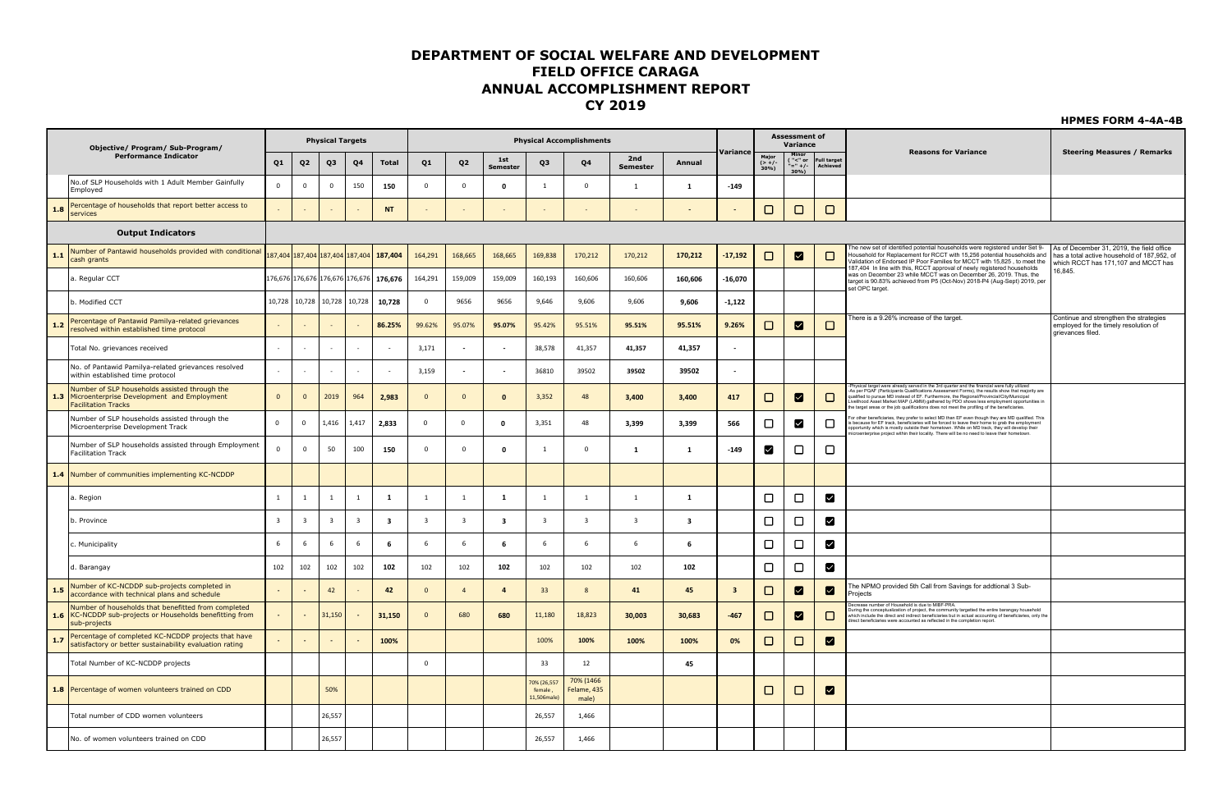| Objective/ Program/ Sub-Program/                                                                                                 |                          |                         | <b>Physical Targets</b>     |                         |                                         |                         |                         |                        |                                       | <b>Physical Accomplishments</b>   |                         |                         |                          |                  | <b>Assessment of</b><br>Variance          |                         |                                                                                                                                                                                                                                                                                                                                                                                                                                                                                        |
|----------------------------------------------------------------------------------------------------------------------------------|--------------------------|-------------------------|-----------------------------|-------------------------|-----------------------------------------|-------------------------|-------------------------|------------------------|---------------------------------------|-----------------------------------|-------------------------|-------------------------|--------------------------|------------------|-------------------------------------------|-------------------------|----------------------------------------------------------------------------------------------------------------------------------------------------------------------------------------------------------------------------------------------------------------------------------------------------------------------------------------------------------------------------------------------------------------------------------------------------------------------------------------|
| <b>Performance Indicator</b>                                                                                                     | Q1                       | Q <sub>2</sub>          | Q3                          | Q4                      | <b>Total</b>                            | Q <sub>1</sub>          | Q <sub>2</sub>          | 1st<br><b>Semester</b> | Q3                                    | Q4                                | 2nd<br><b>Semester</b>  | Annual                  | Variance                 | $(>+/$ -<br>30%) | $\frac{1}{2}$ = $\frac{1}{2}$ +/-<br>30%) | Full target<br>Achieved | <b>Reasons for Variance</b><br><b>Steering Measures / Remarks</b>                                                                                                                                                                                                                                                                                                                                                                                                                      |
| No.of SLP Households with 1 Adult Member Gainfully<br>Employed                                                                   | $\mathbf 0$              | $\mathbf 0$             | $\overline{0}$              | 150                     | 150                                     | $\Omega$                | $\Omega$                | $\mathbf{0}$           | 1                                     | $\Omega$                          | 1                       | 1                       | $-149$                   |                  |                                           |                         |                                                                                                                                                                                                                                                                                                                                                                                                                                                                                        |
| Percentage of households that report better access to<br>1.8<br>services                                                         |                          |                         |                             |                         | <b>NT</b>                               |                         |                         |                        |                                       |                                   |                         | $\blacksquare$          |                          | □                | $\Box$                                    | $\Box$                  |                                                                                                                                                                                                                                                                                                                                                                                                                                                                                        |
| <b>Output Indicators</b>                                                                                                         |                          |                         |                             |                         |                                         |                         |                         |                        |                                       |                                   |                         |                         |                          |                  |                                           |                         |                                                                                                                                                                                                                                                                                                                                                                                                                                                                                        |
| Number of Pantawid households provided with conditional<br>1.1<br>cash grants                                                    |                          |                         |                             |                         | 87,404 187,404 187,404 187,404 187,404  | 164,291                 | 168,665                 | 168,665                | 169,838                               | 170,212                           | 170,212                 | 170,212                 | $-17,192$                | □                | ☑                                         | □                       | he new set of identified potential households were registered under Set 9-<br>As of December 31, 2019, the field office<br>lousehold for Replacement for RCCT with 15,256 potential households and<br>has a total active household of 187.952, of<br>/alidation of Endorsed IP Poor Families for MCCT with 15,825, to meet the<br>which RCCT has 171,107 and MCCT has<br>187,404 In line with this, RCCT approval of newly registered households                                       |
| a. Regular CCT                                                                                                                   |                          |                         |                             |                         | 176,676 176,676 176,676 176,676 176,676 | 164,291                 | 159,009                 | 159,009                | 160,193                               | 160,606                           | 160,606                 | 160,606                 | $-16,070$                |                  |                                           |                         | 16,845.<br>was on December 23 while MCCT was on December 26, 2019. Thus, the<br>target is 90.83% achieved from P5 (Oct-Nov) 2018-P4 (Aug-Sept) 2019, per<br>set OPC target.                                                                                                                                                                                                                                                                                                            |
| b. Modified CCT                                                                                                                  |                          |                         | 10,728 10,728 10,728 10,728 |                         | 10,728                                  | $\overline{0}$          | 9656                    | 9656                   | 9,646                                 | 9,606                             | 9,606                   | 9,606                   | $-1,122$                 |                  |                                           |                         |                                                                                                                                                                                                                                                                                                                                                                                                                                                                                        |
| Percentage of Pantawid Pamilya-related grievances<br>1.2<br>resolved within established time protocol                            |                          |                         |                             |                         | 86.25%                                  | 99.62%                  | 95.07%                  | 95.07%                 | 95.42%                                | 95.51%                            | 95.51%                  | 95.51%                  | 9.26%                    | □                | ☑                                         | $\Box$                  | here is a 9.26% increase of the target.<br>Continue and strengthen the strategies<br>employed for the timely resolution of<br>grievances filed.                                                                                                                                                                                                                                                                                                                                        |
| Total No. grievances received                                                                                                    | $\overline{\phantom{a}}$ |                         | ÷                           |                         |                                         | 3,171                   |                         |                        | 38,578                                | 41,357                            | 41,357                  | 41,357                  | $\overline{\phantom{a}}$ |                  |                                           |                         |                                                                                                                                                                                                                                                                                                                                                                                                                                                                                        |
| No. of Pantawid Pamilya-related grievances resolved<br>within established time protocol                                          |                          |                         |                             |                         |                                         | 3,159                   |                         |                        | 36810                                 | 39502                             | 39502                   | 39502                   | $\blacksquare$           |                  |                                           |                         |                                                                                                                                                                                                                                                                                                                                                                                                                                                                                        |
| Number of SLP households assisted through the<br>1.3<br>Microenterprise Development and Employment<br><b>Facilitation Tracks</b> | $\overline{0}$           | $\overline{0}$          | 2019                        | 964                     | 2,983                                   | $\Omega$                | $\Omega$                | $\mathbf{0}$           | 3,352                                 | 48                                | 3,400                   | 3,400                   | 417                      | $\Box$           | ⊠                                         | □                       | Physical target were already served in the 3rd quarter and the financial were fully utilized<br>As per PQAF (Participants Qualifications Assessment Forms), the results show that majority are<br>qualified to pursue MD instead of EF. Furthermore, the Regional/Provincial/City/Municipal<br>Livelihood Asset Market MAP (LAMM) gathered by PDO shows less employment opportunities in<br>e target areas or the job qualifications does not meet the profiling of the beneficiaries. |
| Number of SLP households assisted through the<br>Microenterprise Development Track                                               | $\overline{0}$           | $\overline{0}$          | 1,416                       | 1,417                   | 2,833                                   | $\Omega$                | $\overline{0}$          | 0                      | 3,351                                 | 48                                | 3,399                   | 3,399                   | 566                      | □                | ☑                                         | □                       | or other beneficiaries, they prefer to select MD than EF even though they are MD qualified. This<br>is because for EF track, beneficiaries will be forced to leave their home to grab the employment<br>opportunity which is mostly outside their hometown. While on MD track, they will develop their<br>icroenterprise project within their locality. There will be no need to leave their hometown.                                                                                 |
| Number of SLP households assisted through Employment<br><b>Facilitation Track</b>                                                | $\circ$                  | $\mathbf{0}$            | 50                          | 100                     | 150                                     | $\Omega$                | $\mathbf{0}$            | $\mathbf 0$            | 1                                     | $\mathbf 0$                       | 1                       | 1                       | $-149$                   | И                | □                                         | □                       |                                                                                                                                                                                                                                                                                                                                                                                                                                                                                        |
| 1.4 Number of communities implementing KC-NCDDP                                                                                  |                          |                         |                             |                         |                                         |                         |                         |                        |                                       |                                   |                         |                         |                          |                  |                                           |                         |                                                                                                                                                                                                                                                                                                                                                                                                                                                                                        |
| a. Region                                                                                                                        | $\mathbf{1}$             | 1                       | $\overline{1}$              | 1                       | 1                                       | $\blacksquare$          | $\overline{1}$          | 1                      | $\overline{1}$                        | <sup>1</sup>                      | 1                       | 1                       |                          | $\Box$           | $\Box$                                    | ◘                       |                                                                                                                                                                                                                                                                                                                                                                                                                                                                                        |
| b. Province                                                                                                                      | $\overline{\mathbf{3}}$  | $\overline{\mathbf{3}}$ | $\overline{\mathbf{3}}$     | $\overline{\mathbf{3}}$ | $\overline{\mathbf{3}}$                 | $\overline{\mathbf{3}}$ | $\overline{\mathbf{3}}$ | 3                      | $\overline{\mathbf{3}}$               | $\overline{\mathbf{3}}$           | $\overline{\mathbf{3}}$ | $\overline{\mathbf{3}}$ |                          | $\Box$           | $\Box$                                    | ◘                       |                                                                                                                                                                                                                                                                                                                                                                                                                                                                                        |
| c. Municipality                                                                                                                  | 6                        | 6                       | 6                           | 6                       | 6                                       | 6                       | - 6                     | 6                      | 6                                     | 6                                 | 6                       | - 6                     |                          | □                | $\Box$                                    | M                       |                                                                                                                                                                                                                                                                                                                                                                                                                                                                                        |
| d. Barangay                                                                                                                      | 102                      | 102                     | 102                         | 102                     | 102                                     | 102                     | 102                     | 102                    | 102                                   | 102                               | 102                     | 102                     |                          | □                | $\Box$                                    | ⊠                       |                                                                                                                                                                                                                                                                                                                                                                                                                                                                                        |
| Number of KC-NCDDP sub-projects completed in<br>1.5<br>accordance with technical plans and schedule                              | $\sim$                   |                         | 42                          |                         | 42                                      | $\Omega$                | $\overline{4}$          | $\overline{a}$         | 33                                    | 8                                 | 41                      | 45                      | $\overline{\mathbf{3}}$  | □                | ☑                                         | ☑                       | The NPMO provided 5th Call from Savings for addtional 3 Sub-<br>Projects                                                                                                                                                                                                                                                                                                                                                                                                               |
| Number of households that benefitted from completed<br>1.6 KC-NCDDP sub-projects or Households benefitting from<br>sub-projects  |                          |                         | 31,150                      |                         | 31,150                                  | $\mathbf{0}$            | 680                     | 680                    | 11,180                                | 18,823                            | 30,003                  | 30,683                  | $-467$                   | □                | ☑                                         | □                       | ecrease number of Household is due to MIBF-PRA<br>ouring the conceptualization of project, the community targetted the entire barangay household<br>nation include the direct and indirect beneficiaries but in actual accounting of beneficiaries, only the<br>Which include the direct and indirect beneficiaries but in actual accounting of beneficiaries, only the<br>direct benefi                                                                                               |
| Percentage of completed KC-NCDDP projects that have<br>1.7<br>satisfactory or better sustainability evaluation rating            |                          |                         |                             |                         | 100%                                    |                         |                         |                        | 100%                                  | 100%                              | 100%                    | 100%                    | 0%                       | □                | $\Box$                                    | ☑                       |                                                                                                                                                                                                                                                                                                                                                                                                                                                                                        |
| Total Number of KC-NCDDP projects                                                                                                |                          |                         |                             |                         |                                         | $\Omega$                |                         |                        | 33                                    | 12                                |                         | 45                      |                          |                  |                                           |                         |                                                                                                                                                                                                                                                                                                                                                                                                                                                                                        |
| 1.8 Percentage of women volunteers trained on CDD                                                                                |                          |                         | 50%                         |                         |                                         |                         |                         |                        | 70% (26,557<br>female.<br>11,506male) | 70% (1466<br>Felame, 435<br>male) |                         |                         |                          | □                | $\Box$                                    | ☑                       |                                                                                                                                                                                                                                                                                                                                                                                                                                                                                        |
| Total number of CDD women volunteers                                                                                             |                          |                         | 26,557                      |                         |                                         |                         |                         |                        | 26,557                                | 1,466                             |                         |                         |                          |                  |                                           |                         |                                                                                                                                                                                                                                                                                                                                                                                                                                                                                        |
| No. of women volunteers trained on CDD                                                                                           |                          |                         | 26,557                      |                         |                                         |                         |                         |                        | 26,557                                | 1,466                             |                         |                         |                          |                  |                                           |                         |                                                                                                                                                                                                                                                                                                                                                                                                                                                                                        |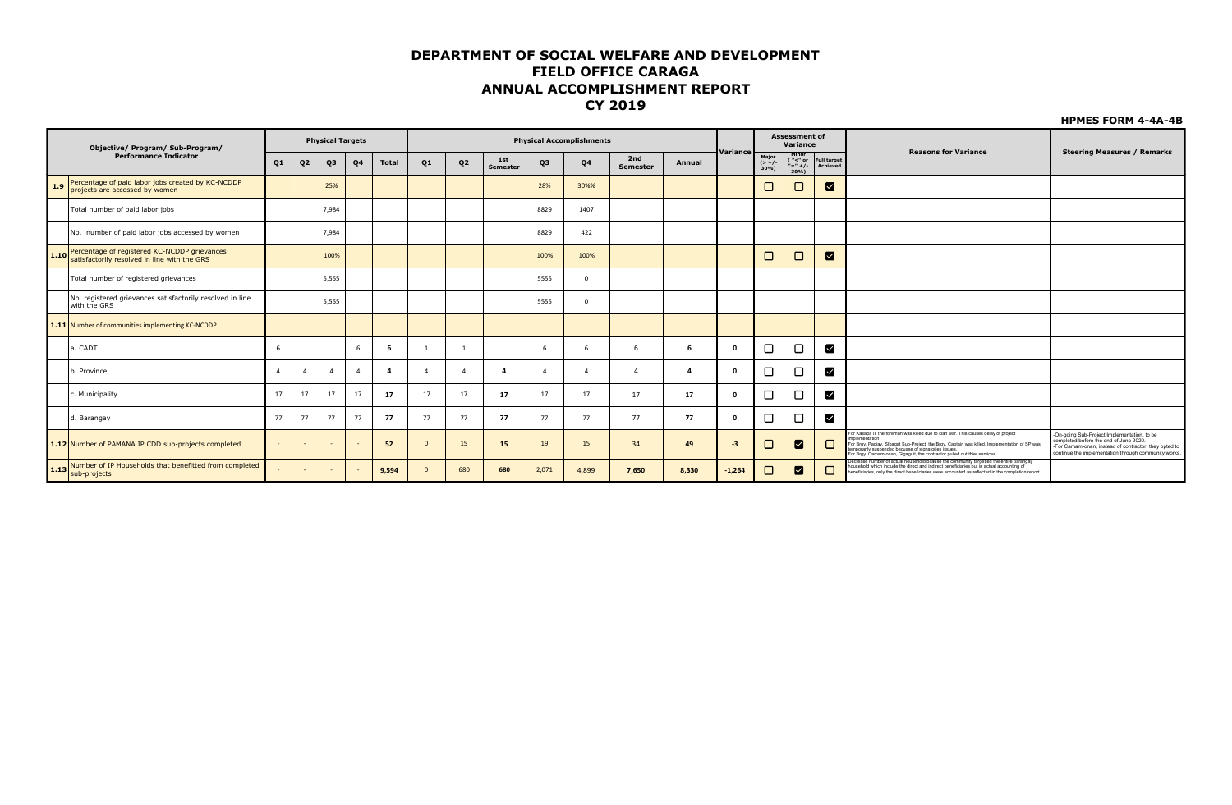**HPMES FORM 4-4A-4B**

validated from Sub-Prpject Completion Report

|     | Objective/ Program/ Sub-Program/                                                                  |                |                | <b>Physical Targets</b> |    |                |                |                |                        |          | <b>Physical Accomplishments</b> |                        |              |              |                         | <b>Assessment of</b><br>Variance        |                                |                                                                                                                                                                                                                                                                                                                                        |                                                                                                                                                                                                        |
|-----|---------------------------------------------------------------------------------------------------|----------------|----------------|-------------------------|----|----------------|----------------|----------------|------------------------|----------|---------------------------------|------------------------|--------------|--------------|-------------------------|-----------------------------------------|--------------------------------|----------------------------------------------------------------------------------------------------------------------------------------------------------------------------------------------------------------------------------------------------------------------------------------------------------------------------------------|--------------------------------------------------------------------------------------------------------------------------------------------------------------------------------------------------------|
|     | <b>Performance Indicator</b>                                                                      | Q <sub>1</sub> | Q <sub>2</sub> | Q3                      | Q4 | Total          | Q <sub>1</sub> | Q <sub>2</sub> | 1st<br><b>Semester</b> | Q3       | Q4                              | 2nd<br><b>Semester</b> | Annual       | Variance     | Major<br>(> +/-<br>30%) | Minor<br>("<" or<br>"=" +/-<br>$30\%$ ) | <b>Full target</b><br>Achieved | <b>Reasons for Variance</b>                                                                                                                                                                                                                                                                                                            | <b>Steering Measures / Remarks</b>                                                                                                                                                                     |
| 1.9 | Percentage of paid labor jobs created by KC-NCDDP<br>projects are accessed by women               |                |                | 25%                     |    |                |                |                |                        | 28%      | 30%%                            |                        |              |              |                         | $\Box$                                  | ⊠                              |                                                                                                                                                                                                                                                                                                                                        |                                                                                                                                                                                                        |
|     | Total number of paid labor jobs                                                                   |                |                | 7,984                   |    |                |                |                |                        | 8829     | 1407                            |                        |              |              |                         |                                         |                                |                                                                                                                                                                                                                                                                                                                                        |                                                                                                                                                                                                        |
|     | No. number of paid labor jobs accessed by women                                                   |                |                | 7,984                   |    |                |                |                |                        | 8829     | 422                             |                        |              |              |                         |                                         |                                |                                                                                                                                                                                                                                                                                                                                        |                                                                                                                                                                                                        |
|     | Percentage of registered KC-NCDDP grievances<br>1.10 satisfactorily resolved in line with the GRS |                |                | 100%                    |    |                |                |                |                        | 100%     | 100%                            |                        |              |              |                         | $\Box$                                  | ⊠                              |                                                                                                                                                                                                                                                                                                                                        |                                                                                                                                                                                                        |
|     | Total number of registered grievances                                                             |                |                | 5,555                   |    |                |                |                |                        | 5555     |                                 |                        |              |              |                         |                                         |                                |                                                                                                                                                                                                                                                                                                                                        |                                                                                                                                                                                                        |
|     | No. registered grievances satisfactorily resolved in line<br>with the GRS                         |                |                | 5,555                   |    |                |                |                |                        | 5555     |                                 |                        |              |              |                         |                                         |                                |                                                                                                                                                                                                                                                                                                                                        |                                                                                                                                                                                                        |
|     | 1.11 Number of communities implementing KC-NCDDP                                                  |                |                |                         |    |                |                |                |                        |          |                                 |                        |              |              |                         |                                         |                                |                                                                                                                                                                                                                                                                                                                                        |                                                                                                                                                                                                        |
|     | a. CADT                                                                                           |                |                |                         |    |                |                |                |                        | -6       |                                 | 6                      | 6            | $\mathbf{0}$ |                         | $\Box$                                  | ◘                              |                                                                                                                                                                                                                                                                                                                                        |                                                                                                                                                                                                        |
|     | p. Province                                                                                       | $\Delta$       | $\Delta$       | $\overline{4}$          | 4  | $\overline{a}$ |                | $\Delta$       |                        | $\Delta$ |                                 |                        | $\mathbf{A}$ | $\mathbf{0}$ |                         | $\Box$                                  | ☑                              |                                                                                                                                                                                                                                                                                                                                        |                                                                                                                                                                                                        |
|     | c. Municipality                                                                                   | 17             | 17             | 17                      | 17 | 17             | 17             | 17             | 17                     | 17       | 17                              | 17                     | 17           | $\Omega$     |                         | $\Box$                                  | ◘                              |                                                                                                                                                                                                                                                                                                                                        |                                                                                                                                                                                                        |
|     | d. Barangay                                                                                       | 77             | 77             | 77                      | 77 | -77            | 77             | 77             | 77                     | 77       | 77                              | 77                     | 77           | $\mathbf{0}$ |                         | $\Box$                                  | ◘                              |                                                                                                                                                                                                                                                                                                                                        |                                                                                                                                                                                                        |
|     | 1.12 Number of PAMANA IP CDD sub-projects completed                                               | $\sim$         |                |                         |    | 52             |                | 15             | 15                     | 19       | 15                              | 34                     | 49           | $-3$         |                         | ⊠                                       | $\Box$                         | or Kasapa II, the foreman was killed due to clan war. This causes delay of project<br>nplementation<br>For Brgy. Padiay, Sibagat Sub-Project, the Brgy. Captain was killed. Implementation of SP was temporarily suspended becuase of signatories issues.<br>For Brgy. Camam-onan, Gigaguit, the contractor pulled out thier services. | -On-going Sub-Project Implementation, to be<br>completed before the end of June 2020.<br>-For Camam-onan, instead of contractor, they opted to<br>continue the implementation through community works. |
|     | 1.13 Number of IP Households that benefitted from completed                                       |                |                | $\sim$                  |    | 9,594          |                | 680            | 680                    | 2,071    | 4,899                           | 7,650                  | 8,330        | $-1,264$     |                         | ☑                                       |                                | lecrease number of actual household bcause the community targetted the entire barangay<br>ousehold which include the direct and indirect beneficiaries but in actual accounting of<br>beneficiaries, only the direct beneficiaries were accounted as reflected in the completion report.                                               |                                                                                                                                                                                                        |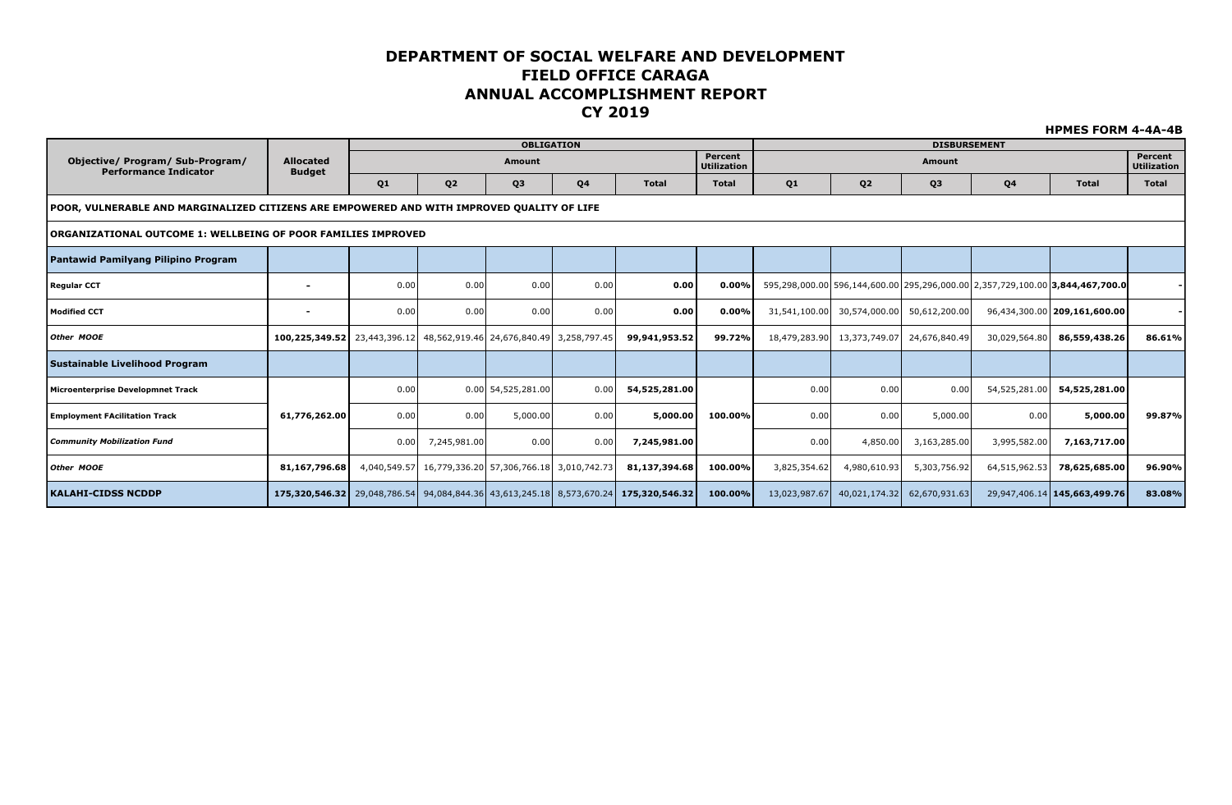|                                                                                            |                                                                       |                |                                                       | <b>OBLIGATION</b>    |                |                                                                                      |                               |              |                                           | <b>DISBURSEMENT</b> |               |                                                                               |                               |
|--------------------------------------------------------------------------------------------|-----------------------------------------------------------------------|----------------|-------------------------------------------------------|----------------------|----------------|--------------------------------------------------------------------------------------|-------------------------------|--------------|-------------------------------------------|---------------------|---------------|-------------------------------------------------------------------------------|-------------------------------|
| Objective/ Program/ Sub-Program/<br><b>Performance Indicator</b>                           | <b>Allocated</b><br><b>Budget</b>                                     |                |                                                       | <b>Amount</b>        |                |                                                                                      | Percent<br><b>Utilization</b> |              |                                           | <b>Amount</b>       |               |                                                                               | Percent<br><b>Utilization</b> |
|                                                                                            |                                                                       | Q <sub>1</sub> | Q <sub>2</sub>                                        | Q3                   | Q <sub>4</sub> | <b>Total</b>                                                                         | <b>Total</b>                  | Q1           | Q <sub>2</sub>                            | Q3                  | Q4            | <b>Total</b>                                                                  | <b>Total</b>                  |
| POOR, VULNERABLE AND MARGINALIZED CITIZENS ARE EMPOWERED AND WITH IMPROVED QUALITY OF LIFE |                                                                       |                |                                                       |                      |                |                                                                                      |                               |              |                                           |                     |               |                                                                               |                               |
| ORGANIZATIONAL OUTCOME 1: WELLBEING OF POOR FAMILIES IMPROVED                              |                                                                       |                |                                                       |                      |                |                                                                                      |                               |              |                                           |                     |               |                                                                               |                               |
| Pantawid Pamilyang Pilipino Program                                                        |                                                                       |                |                                                       |                      |                |                                                                                      |                               |              |                                           |                     |               |                                                                               |                               |
| <b>Regular CCT</b>                                                                         | $\overline{\phantom{0}}$                                              | 0.00           | 0.00                                                  | 0.00                 | 0.00           | 0.00                                                                                 | 0.00%                         |              |                                           |                     |               | 595,298,000.00 596,144,600.00 295,296,000.00 2,357,729,100.00 3,844,467,700.0 |                               |
| <b>Modified CCT</b>                                                                        |                                                                       | 0.00           | 0.00                                                  | 0.00                 | 0.00           | 0.00                                                                                 | $0.00\%$                      |              | 31,541,100.00 30,574,000.00 50,612,200.00 |                     |               | 96,434,300.00 209,161,600.00                                                  |                               |
| Other MOOE                                                                                 | 100,225,349.52 23,443,396.12 48,562,919.46 24,676,840.49 3,258,797.45 |                |                                                       |                      |                | 99,941,953.52                                                                        | 99.72%                        |              | 18,479,283.90 13,373,749.07 24,676,840.49 |                     | 30,029,564.80 | 86,559,438.26                                                                 | 86.61%                        |
| Sustainable Livelihood Program                                                             |                                                                       |                |                                                       |                      |                |                                                                                      |                               |              |                                           |                     |               |                                                                               |                               |
| Microenterprise Developmnet Track                                                          |                                                                       | 0.00           |                                                       | $0.00$ 54,525,281.00 | 0.00           | 54,525,281.00                                                                        |                               | 0.00         | 0.00                                      | 0.00                | 54,525,281.00 | 54,525,281.00                                                                 |                               |
| <b>Employment FAcilitation Track</b>                                                       | 61,776,262.00                                                         | 0.00           | 0.00                                                  | 5,000.00             | 0.00           | 5,000.00                                                                             | 100.00%                       | 0.00         | 0.00                                      | 5,000.00            | 0.00          | 5,000.00                                                                      | 99.87%                        |
| <b>Community Mobilization Fund</b>                                                         |                                                                       | 0.00           | 7,245,981.00                                          | 0.00                 | 0.00           | 7,245,981.00                                                                         |                               | 0.00         | 4,850.00                                  | 3,163,285.00        | 3,995,582.00  | 7,163,717.00                                                                  |                               |
| Other MOOE                                                                                 | 81,167,796.68                                                         |                | 4,040,549.57 16,779,336.20 57,306,766.18 3,010,742.73 |                      |                | 81,137,394.68                                                                        | 100.00%                       | 3,825,354.62 | 4,980,610.93                              | 5,303,756.92        | 64,515,962.53 | 78,625,685.00                                                                 | 96.90%                        |
| KALAHI-CIDSS NCDDP                                                                         |                                                                       |                |                                                       |                      |                | 175,320,546.32 29,048,786.54 94,084,844.36 43,613,245.18 8,573,670.24 175,320,546.32 | 100.00%                       |              | 13,023,987.67 40,021,174.32 62,670,931.63 |                     |               | 29,947,406.14 145,663,499.76                                                  | 83.08%                        |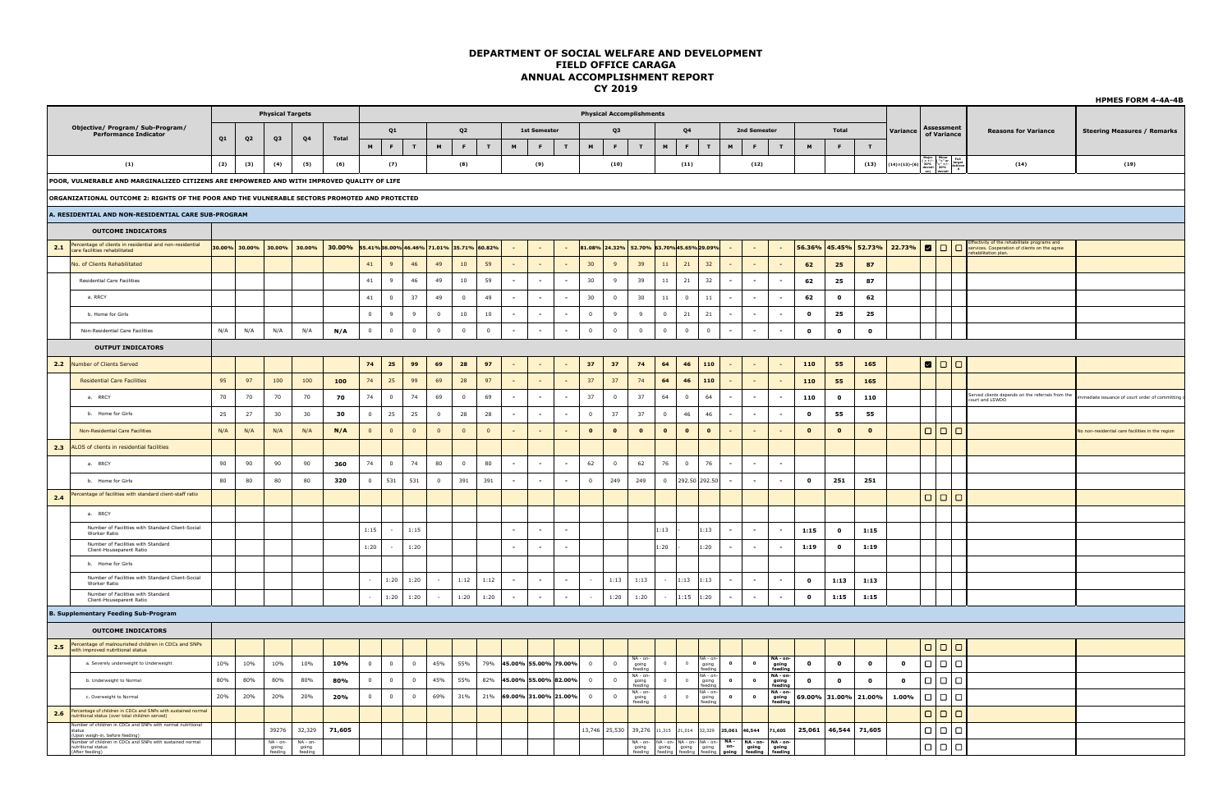|     |                                                                                                                                                                                                                          |        |                |                                |                               |        |                |                |                                          |                |                |                |                          |                     |                      |                 | <u>.</u>                                  |                                          |                         |                |                                                                                                     |                                                      |           |                             |                      |               |              |                  |                                                                                                                                                                                                                                                                                               |                                                                                               | <b>HPMES FORM 4-4A-4B</b>                        |
|-----|--------------------------------------------------------------------------------------------------------------------------------------------------------------------------------------------------------------------------|--------|----------------|--------------------------------|-------------------------------|--------|----------------|----------------|------------------------------------------|----------------|----------------|----------------|--------------------------|---------------------|----------------------|-----------------|-------------------------------------------|------------------------------------------|-------------------------|----------------|-----------------------------------------------------------------------------------------------------|------------------------------------------------------|-----------|-----------------------------|----------------------|---------------|--------------|------------------|-----------------------------------------------------------------------------------------------------------------------------------------------------------------------------------------------------------------------------------------------------------------------------------------------|-----------------------------------------------------------------------------------------------|--------------------------------------------------|
|     |                                                                                                                                                                                                                          |        |                | <b>Physical Targets</b>        |                               |        |                |                |                                          |                |                |                |                          |                     |                      |                 | <b>Physical Accomplishments</b>           |                                          |                         |                |                                                                                                     |                                                      |           |                             |                      |               |              |                  |                                                                                                                                                                                                                                                                                               |                                                                                               |                                                  |
|     | Objective/ Program/ Sub-Program/<br><b>Performance Indicator</b>                                                                                                                                                         |        |                |                                |                               |        |                | Q1             |                                          |                | Q <sub>2</sub> |                |                          | <b>1st Semester</b> |                      |                 | Q <sub>3</sub>                            |                                          |                         | Q <sub>4</sub> |                                                                                                     | 2nd Semester                                         |           |                             |                      | Total         |              | Variance         | <b>Assessment</b><br>of Variance                                                                                                                                                                                                                                                              | <b>Reasons for Variance</b>                                                                   | <b>Steering Measures / Remarks</b>               |
|     |                                                                                                                                                                                                                          | Q1     | Q <sub>2</sub> | Q3                             | Q <sub>4</sub>                | Total  | $\blacksquare$ | F              | $\mathbf T$                              | $\blacksquare$ | $\mathsf F$    | T              | M                        | F                   | T                    | $\blacksquare$  | F.                                        | T                                        | $\,$ M                  | $\mathsf F$    | $\mathbf T$                                                                                         | $\blacksquare$<br>M                                  |           | $\mathbf{T}$                | $\blacksquare$       | F             | T            |                  |                                                                                                                                                                                                                                                                                               |                                                                                               |                                                  |
|     | (1)                                                                                                                                                                                                                      | (2)    | (3)            | (4)                            | (5)                           | (6)    |                | (7)            |                                          |                | (8)            |                |                          | (9)                 |                      |                 | (10)                                      |                                          |                         | (11)           |                                                                                                     |                                                      | (12)      |                             |                      |               | (13)         | $14) = (13)-(6)$ | $\begin{array}{ccc} \text{Major} & \text{Minor} & \text{Full} \\ (\geq + / \cdot & (\stackrel{v - c}{\sim} \text{or} \quad \text{target} \\ 30\% & \stackrel{v - c}{\sim} + / \cdot & \text{farget} \\ \text{deviation} & 30\% & \text{Achiewa} \\ \text{on)} & \text{deviation} \end{array}$ | (14)                                                                                          | (19)                                             |
|     | POOR, VULNERABLE AND MARGINALIZED CITIZENS ARE EMPOWERED AND WITH IMPROVED QUALITY OF LIFE                                                                                                                               |        |                |                                |                               |        |                |                |                                          |                |                |                |                          |                     |                      |                 |                                           |                                          |                         |                |                                                                                                     |                                                      |           |                             |                      |               |              |                  |                                                                                                                                                                                                                                                                                               |                                                                                               |                                                  |
|     | ORGANIZATIONAL OUTCOME 2: RIGHTS OF THE POOR AND THE VULNERABLE SECTORS PROMOTED AND PROTECTED                                                                                                                           |        |                |                                |                               |        |                |                |                                          |                |                |                |                          |                     |                      |                 |                                           |                                          |                         |                |                                                                                                     |                                                      |           |                             |                      |               |              |                  |                                                                                                                                                                                                                                                                                               |                                                                                               |                                                  |
|     | A. RESIDENTIAL AND NON-RESIDENTIAL CARE SUB-PROGRAM                                                                                                                                                                      |        |                |                                |                               |        |                |                |                                          |                |                |                |                          |                     |                      |                 |                                           |                                          |                         |                |                                                                                                     |                                                      |           |                             |                      |               |              |                  |                                                                                                                                                                                                                                                                                               |                                                                                               |                                                  |
|     | <b>OUTCOME INDICATORS</b>                                                                                                                                                                                                |        |                |                                |                               |        |                |                |                                          |                |                |                |                          |                     |                      |                 |                                           |                                          |                         |                |                                                                                                     |                                                      |           |                             |                      |               |              |                  |                                                                                                                                                                                                                                                                                               |                                                                                               |                                                  |
|     | 2.1 Percentage of clients in residential and non-residential<br>care facilities rehabilitated                                                                                                                            |        | 30.00% 30.00%  | 30.00%                         | 30.00%                        | 30.00% |                |                | 55.41%36.00% 46.46% 71.01% 35.71% 60.82% |                |                |                |                          |                     | $\sim$               |                 | 81.08% 24.32% 52.70% 63.70% 45.65% 29.09% |                                          |                         |                |                                                                                                     |                                                      |           | $\sim$                      | 56.36% 45.45% 52.73% |               |              | 22.73%           | 000                                                                                                                                                                                                                                                                                           | Effectivity of the rehabilitate programs and<br>services. Cooperation of clients on the agree |                                                  |
|     | No. of Clients Rehabilitated                                                                                                                                                                                             |        |                |                                |                               |        | 41             | $\overline{9}$ | 46                                       | 49             | $10\,$         | 59             | $\sim$                   | $\sim$              | $\sim$               | 30 <sub>o</sub> | 9                                         | 39                                       | $11\,$                  | 21             | 32                                                                                                  | $\sim$<br>$\sim$                                     |           | $\sim$                      | 62                   | 25            | 87           |                  |                                                                                                                                                                                                                                                                                               | abilitation plan.                                                                             |                                                  |
|     | Residential Care Facilities                                                                                                                                                                                              |        |                |                                |                               |        | 41             | $\overline{9}$ | 46                                       | 49             | $10\,$         | 59             | $\overline{\phantom{a}}$ | $\sim$              | $\sim$               | 30              | 9                                         | 39                                       | $11\,$                  | 21             | 32                                                                                                  | $\sim$<br>$\blacksquare$                             |           | $\sim$                      | 62                   | 25            | 87           |                  |                                                                                                                                                                                                                                                                                               |                                                                                               |                                                  |
|     | a, RRCY                                                                                                                                                                                                                  |        |                |                                |                               |        | 41             | $\mathbf 0$    | 37                                       | 49             | $\overline{0}$ | 49             | $\sim$                   | $\sim$              | $\sim$               | 30              | $\overline{0}$                            | 30                                       | $11\,$                  | $\Omega$       | $11\,$                                                                                              | $\sim$<br>$\overline{\phantom{a}}$                   |           | $\overline{\phantom{a}}$    | 62                   | $\mathbf{o}$  | 62           |                  |                                                                                                                                                                                                                                                                                               |                                                                                               |                                                  |
|     | b. Home for Girls                                                                                                                                                                                                        |        |                |                                |                               |        | $\overline{0}$ | 9              | 9                                        | $\overline{0}$ | 10             | 10             | $\sim$                   | $\sim$              | $\sim$               | $\overline{0}$  | 9                                         | 9                                        | $\overline{\mathbf{0}}$ | 21             | 21                                                                                                  | $\sim$<br>$\sim$                                     |           | $\sim$                      | $\mathbf{o}$         | 25            | 25           |                  |                                                                                                                                                                                                                                                                                               |                                                                                               |                                                  |
|     | Non-Residential Care Facilities                                                                                                                                                                                          | N/A    | N/A            | N/A                            | N/A                           | N/A    | $\overline{0}$ | $\mathbf 0$    | $\overline{0}$                           | $\mathbf 0$    | $\mathbf 0$    | $\overline{0}$ | $\overline{a}$           | $\sim$              | $\sim$               | $\overline{0}$  | $\overline{0}$                            | $\Omega$                                 | $\mathbf 0$             | $\circ$        | $\overline{0}$                                                                                      | $\sim$<br>$\overline{\phantom{a}}$                   |           | $\sim$                      | $\mathbf{o}$         | $\bullet$     | $\mathbf{o}$ |                  |                                                                                                                                                                                                                                                                                               |                                                                                               |                                                  |
|     | <b>OUTPUT INDICATORS</b>                                                                                                                                                                                                 |        |                |                                |                               |        |                |                |                                          |                |                |                |                          |                     |                      |                 |                                           |                                          |                         |                |                                                                                                     |                                                      |           |                             |                      |               |              |                  |                                                                                                                                                                                                                                                                                               |                                                                                               |                                                  |
|     |                                                                                                                                                                                                                          |        |                |                                |                               |        |                |                |                                          |                |                |                |                          |                     |                      |                 |                                           |                                          |                         |                |                                                                                                     |                                                      |           |                             |                      |               |              |                  |                                                                                                                                                                                                                                                                                               |                                                                                               |                                                  |
|     | 2.2 Number of Clients Served                                                                                                                                                                                             |        |                |                                |                               |        | 74             | 25             | 99                                       | 69             | 28             | 97             |                          |                     | $\sim$               | 37              | 37                                        | 74                                       | 64                      | 46             | 110                                                                                                 |                                                      |           |                             | 110                  | 55            | 165          |                  | 800                                                                                                                                                                                                                                                                                           |                                                                                               |                                                  |
|     | <b>Residential Care Facilities</b>                                                                                                                                                                                       | 95     | 97             | 100                            | 100                           | 100    | 74             | 25             | 99                                       | 69             | ${\bf 28}$     | 97             | $\sim$                   | $\sim$              | $\sim$               | 37              | 37                                        | 74                                       | 64                      | 46             | 110                                                                                                 | $\sim$                                               |           | $\sim$                      | 110                  | 55            | 165          |                  |                                                                                                                                                                                                                                                                                               |                                                                                               |                                                  |
|     | a. RRCY                                                                                                                                                                                                                  | $70\,$ | 70             | 70                             | 70                            | 70     | 74             | $\overline{0}$ | 74                                       | 69             | $\overline{0}$ | 69             | $\sim$                   | $\sim$              | $\sim$               | 37              | $\overline{\mathbf{0}}$                   | 37                                       | 64                      | $\overline{0}$ | 64                                                                                                  | $\sim$<br>$\overline{\phantom{a}}$                   |           | $\sim$                      | 110                  | $\bullet$     | 110          |                  |                                                                                                                                                                                                                                                                                               | Served clients depends on the referrals from the<br>ourt and LSWDO                            | mediate issuance of court order of committi      |
|     | b. Home for Girls                                                                                                                                                                                                        | 25     | 27             | 30                             | 30                            | 30     | $\mathbf{0}$   | 25             | 25                                       | $\mathbb O$    | 28             | 28             | $\overline{\phantom{a}}$ |                     | $\sim$               | $\overline{0}$  | 37                                        | 37                                       | $\overline{0}$          | 46             | 46                                                                                                  | $\overline{\phantom{a}}$<br>$\blacksquare$           |           | $\overline{\phantom{a}}$    | $\mathbf{o}$         | 55            | 55           |                  |                                                                                                                                                                                                                                                                                               |                                                                                               |                                                  |
|     | Non-Residential Care Facilities                                                                                                                                                                                          | N/A    | N/A            | N/A                            | N/A                           | N/A    | $\overline{0}$ | $\mathbf{0}$   | $\overline{0}$                           | $\overline{0}$ | $\circ$        | $\overline{0}$ | $\sim$                   | $\sim$              | $\sim$               | $\bullet$       | $\bullet$                                 | $\mathbf{0}$                             | $\mathbf{o}$            | $\bullet$      | $\bullet$                                                                                           | $\sim$<br>$\blacksquare$                             |           | $\sim$                      | $\bullet$            | $\bullet$     | $\mathbf{o}$ |                  | $\Box$                                                                                                                                                                                                                                                                                        |                                                                                               | to non-residential care facilities in the region |
| 2.3 | ALOS of clients in residential facilities                                                                                                                                                                                |        |                |                                |                               |        |                |                |                                          |                |                |                |                          |                     |                      |                 |                                           |                                          |                         |                |                                                                                                     |                                                      |           |                             |                      |               |              |                  |                                                                                                                                                                                                                                                                                               |                                                                                               |                                                  |
|     | a. RRCY                                                                                                                                                                                                                  | 90     | 90             | 90                             | 90                            | 360    | 74             | $\overline{0}$ | 74                                       | 80             | $\overline{0}$ | 80             | $\sim$                   | $\sim$              | $\sim$               | 62              | $\overline{0}$                            | 62                                       | 76                      | $\overline{0}$ | 76                                                                                                  | $\sim$<br>$\overline{\phantom{a}}$                   |           | $\sim$                      |                      |               |              |                  |                                                                                                                                                                                                                                                                                               |                                                                                               |                                                  |
|     | b. Home for Girls                                                                                                                                                                                                        | 80     | 80             | 80                             | 80                            | 320    | $\overline{0}$ | 531            | 531                                      | $\mathbf 0$    | 391            | 391            | $\sim$                   | $\sim$              | $\sim$               | $\overline{0}$  | 249                                       | 249                                      | $\overline{0}$          | 292.50 292.50  |                                                                                                     | $\blacksquare$<br>$\overline{\phantom{a}}$           |           | $\overline{\phantom{a}}$    | $\mathbf{o}$         | 251           | 251          |                  |                                                                                                                                                                                                                                                                                               |                                                                                               |                                                  |
| 2.4 | Percentage of facilities with standard client-staff ratio                                                                                                                                                                |        |                |                                |                               |        |                |                |                                          |                |                |                |                          |                     |                      |                 |                                           |                                          |                         |                |                                                                                                     |                                                      |           |                             |                      |               |              |                  | $\Box$                                                                                                                                                                                                                                                                                        |                                                                                               |                                                  |
|     | a. RRCY                                                                                                                                                                                                                  |        |                |                                |                               |        |                |                |                                          |                |                |                |                          |                     |                      |                 |                                           |                                          |                         |                |                                                                                                     |                                                      |           |                             |                      |               |              |                  |                                                                                                                                                                                                                                                                                               |                                                                                               |                                                  |
|     | Number of Facilities with Standard Client-Social<br><b>Worker Ratio</b>                                                                                                                                                  |        |                |                                |                               |        | 1:15           | $\sim$         | 1:15                                     |                |                |                | $\sim$                   | $\sim$              | $\sim$               |                 |                                           |                                          | 1:13                    |                | 1:13                                                                                                | $\sim$<br>$\overline{\phantom{a}}$                   |           | $\sim$                      | 1:15                 | $\bullet$     | 1:15         |                  |                                                                                                                                                                                                                                                                                               |                                                                                               |                                                  |
|     | Number of Facilities with Standard<br>Client-Houseparent Ratio                                                                                                                                                           |        |                |                                |                               |        | 1:20           |                | 1:20                                     |                |                |                | $\sim$                   | $\sim$              | $\sim$               |                 |                                           |                                          | 1:20                    |                | 1:20                                                                                                | $\overline{\phantom{a}}$<br>$\overline{\phantom{a}}$ |           | $\sim$                      | 1:19                 | $\bullet$     | 1:19         |                  |                                                                                                                                                                                                                                                                                               |                                                                                               |                                                  |
|     | b. Home for Girls                                                                                                                                                                                                        |        |                |                                |                               |        |                |                |                                          |                |                |                |                          |                     |                      |                 |                                           |                                          |                         |                |                                                                                                     |                                                      |           |                             |                      |               |              |                  |                                                                                                                                                                                                                                                                                               |                                                                                               |                                                  |
|     | Number of Facilities with Standard Client-Social<br>Worker Ratio                                                                                                                                                         |        |                |                                |                               |        | $\sim$         | 1:20           | 1:20                                     |                | 1:12           | 1:12           | $\sim$                   | $\sim$              | $\sim$               |                 | 1:13                                      | 1:13                                     | $\sim$                  | 1:13           | 1:13                                                                                                | $\mathcal{L}_{\mathcal{A}}$<br>$\sim$                |           | $\overline{\phantom{a}}$    | $\mathbf{o}$         | 1:13          | 1:13         |                  |                                                                                                                                                                                                                                                                                               |                                                                                               |                                                  |
|     | Number of Facilities with Standard                                                                                                                                                                                       |        |                |                                |                               |        | $\sim$         | 1:20           | 1:20                                     | $\sim$         | 1:20           | 1:20           | $\sim$                   | $\sim$              | $\sim$               |                 | 1:20                                      | 1:20                                     | $\sim$                  | 1:15           | 1:20                                                                                                | $\sim$<br>$\sim$                                     |           | $\sim$                      | $\bullet$            | 1:15          | 1:15         |                  |                                                                                                                                                                                                                                                                                               |                                                                                               |                                                  |
|     | Client-Houseparent Ratio<br>B. Supplementary Feeding Sub-Program                                                                                                                                                         |        |                |                                |                               |        |                |                |                                          |                |                |                |                          |                     |                      |                 |                                           |                                          |                         |                |                                                                                                     |                                                      |           |                             |                      |               |              |                  |                                                                                                                                                                                                                                                                                               |                                                                                               |                                                  |
|     | <b>OUTCOME INDICATORS</b>                                                                                                                                                                                                |        |                |                                |                               |        |                |                |                                          |                |                |                |                          |                     |                      |                 |                                           |                                          |                         |                |                                                                                                     |                                                      |           |                             |                      |               |              |                  |                                                                                                                                                                                                                                                                                               |                                                                                               |                                                  |
|     | 2.5 Percentage of malnourished children in CDCs and SNPs                                                                                                                                                                 |        |                |                                |                               |        |                |                |                                          |                |                |                |                          |                     |                      |                 |                                           |                                          |                         |                |                                                                                                     |                                                      |           |                             |                      |               |              |                  | $\Box$                                                                                                                                                                                                                                                                                        |                                                                                               |                                                  |
|     | with improved nutritional status                                                                                                                                                                                         |        |                |                                |                               |        |                |                |                                          |                |                |                |                          |                     |                      |                 |                                           | NA - on                                  |                         |                | $NA - or$                                                                                           |                                                      |           | NA - or                     |                      |               |              |                  |                                                                                                                                                                                                                                                                                               |                                                                                               |                                                  |
|     | a. Severely underweight to Underweight                                                                                                                                                                                   | 10%    | 10%            | 10%                            | 10%                           | 10%    | $\overline{0}$ | $\bf{0}$       | $\overline{0}$                           | 45%            | 55%            | 79%            |                          |                     | 45.00% 55.00% 79.00% | $\overline{0}$  | $\overline{0}$                            | going<br>feeding                         | $\overline{0}$          | $\Omega$       | going<br>feeding                                                                                    | $\bullet$<br>$\bullet$                               |           | going<br>feeding<br>NA - or | $\mathbf{o}$         | $\mathbf{o}$  | $\bullet$    | $\mathbf{o}$     | $\Box$                                                                                                                                                                                                                                                                                        |                                                                                               |                                                  |
|     | b. Underweight to Normal                                                                                                                                                                                                 | 80%    | 80%            | 80%                            | 80%                           | 80%    | $\overline{0}$ | $\mathbf 0$    | $\overline{0}$                           | 45%            | 55%            | 82%            |                          |                     | 45.00% 55.00% 82.00% | $\overline{0}$  | $\overline{0}$                            | NA - on<br>going<br>feeding<br>$NA - on$ | $\overline{0}$          | $\circ$        | NA - on<br>going<br>feeding<br>NA - on                                                              | $\bullet$<br>$\bullet$                               |           | going<br>feeding            | $\mathbf{0}$         | $\mathbf{o}$  | $\Omega$     | $\Omega$         | $\Box$                                                                                                                                                                                                                                                                                        |                                                                                               |                                                  |
|     | c. Overweight to Normal                                                                                                                                                                                                  | 20%    | 20%            | 20%                            | 20%                           | 20%    | $\overline{0}$ | $\overline{0}$ | $\overline{0}$                           | 69%            | 31%            |                | 21% 69.00% 31.00% 21.00% |                     |                      | $\overline{0}$  | $\overline{\mathbf{0}}$                   | going<br>feeding                         | $\overline{0}$          | $\circ$        | going<br>feeding                                                                                    | $\bullet$<br>$\bullet$                               |           | NA - on<br>going<br>feeding | 69.00% 31.00% 21.00% |               |              | 1.00%            | $\Box$                                                                                                                                                                                                                                                                                        |                                                                                               |                                                  |
| 2.6 | Percentage of children in CDCs and SNPs with sustained normal nutritional status (over total children served)<br>Number of children in CDCs and SNPs with normal nutritional                                             |        |                |                                |                               |        |                |                |                                          |                |                |                |                          |                     |                      |                 |                                           |                                          |                         |                |                                                                                                     |                                                      |           |                             |                      |               |              |                  | $\Box$                                                                                                                                                                                                                                                                                        |                                                                                               |                                                  |
|     | Number of children in CDCs and Stwist With normal nuchuonal<br>(Upon weigh-in, before feeding)<br>Number of children in CDCs and SNPs with sustained normal<br>Number of children in CDCs and SNPs with sustained normal |        |                | 39276                          | 32,329                        | 71,605 |                |                |                                          |                |                |                |                          |                     |                      |                 |                                           |                                          |                         |                | 13,746 25,530 39,276 11,315 21,014 32,329 25,061 46,544                                             |                                                      | 71,605    |                             | 25,061               | 46,544 71,605 |              |                  | $\Box   \Box   \Box$                                                                                                                                                                                                                                                                          |                                                                                               |                                                  |
|     | (After feeding)                                                                                                                                                                                                          |        |                | $NA - on-$<br>going<br>feeding | $NA - on$<br>going<br>feeding |        |                |                |                                          |                |                |                |                          |                     |                      |                 |                                           | $NA - on-$<br>going<br>feeding           |                         |                | NA - on- NA - on- NA - on-<br>going going going on-<br>feeding feeding feeding <b>going</b> feeding |                                                      | $NA - on$ | going<br>feeding            |                      |               |              |                  | $\Box   \Box   \Box$                                                                                                                                                                                                                                                                          |                                                                                               |                                                  |

**feeding**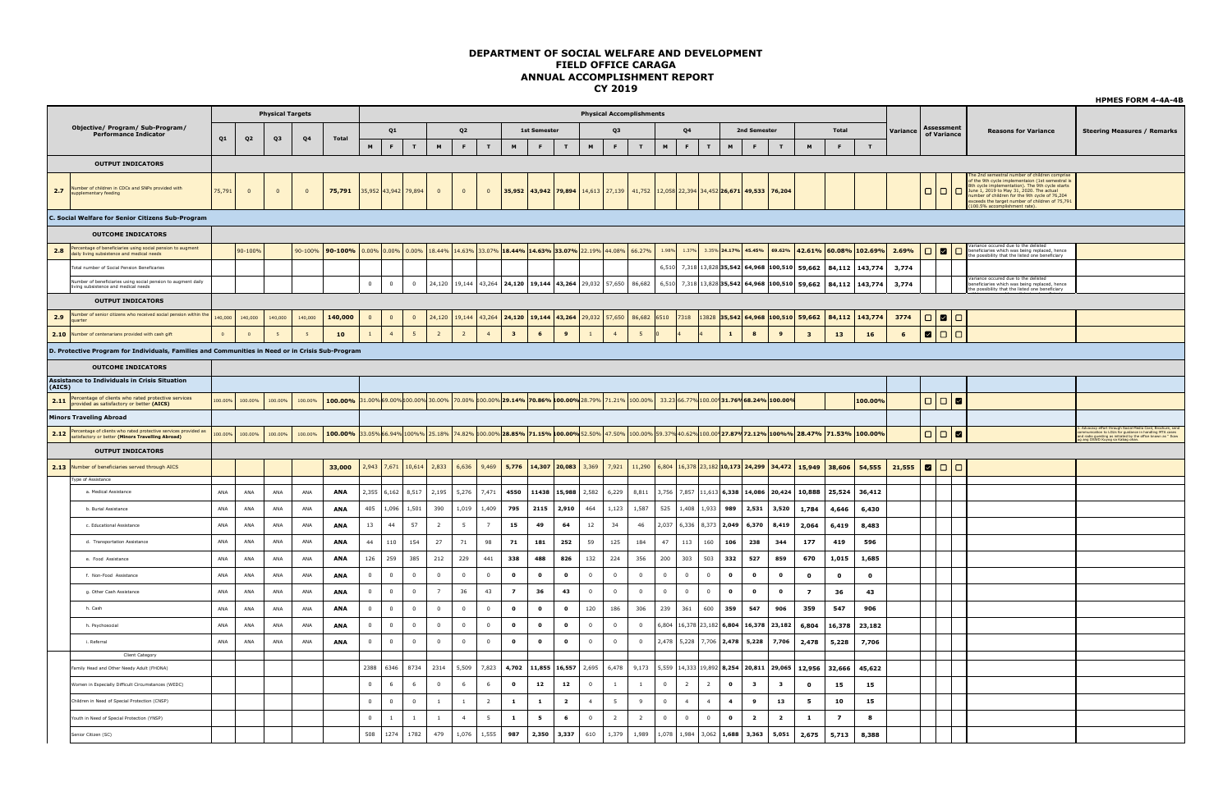|        |                                                                                                                           |         |                         |                         |                |                                                                                                                                           |                |                |                      |                         |                |                |                                                                                           |                     |                             |                |                                 |                |                           |                |                |                                           |                         |                         |                                                                                                                                        |                              |              |          |                                                                                      |                                                                                                                                                                                                                                                                                                                                                                   | <b>HPMES FORM 4-4A-4B</b>                                                                                                                                                                                                     |
|--------|---------------------------------------------------------------------------------------------------------------------------|---------|-------------------------|-------------------------|----------------|-------------------------------------------------------------------------------------------------------------------------------------------|----------------|----------------|----------------------|-------------------------|----------------|----------------|-------------------------------------------------------------------------------------------|---------------------|-----------------------------|----------------|---------------------------------|----------------|---------------------------|----------------|----------------|-------------------------------------------|-------------------------|-------------------------|----------------------------------------------------------------------------------------------------------------------------------------|------------------------------|--------------|----------|--------------------------------------------------------------------------------------|-------------------------------------------------------------------------------------------------------------------------------------------------------------------------------------------------------------------------------------------------------------------------------------------------------------------------------------------------------------------|-------------------------------------------------------------------------------------------------------------------------------------------------------------------------------------------------------------------------------|
|        |                                                                                                                           |         |                         | <b>Physical Targets</b> |                |                                                                                                                                           |                |                |                      |                         |                |                |                                                                                           |                     |                             |                | <b>Physical Accomplishments</b> |                |                           |                |                |                                           |                         |                         |                                                                                                                                        |                              |              |          |                                                                                      |                                                                                                                                                                                                                                                                                                                                                                   |                                                                                                                                                                                                                               |
|        | Objective/ Program/ Sub-Program/<br><b>Performance Indicator</b>                                                          | Q1      | Q <sub>2</sub>          | Q3                      | Q <sub>4</sub> | Total                                                                                                                                     |                | Q1             |                      |                         | Q <sub>2</sub> |                |                                                                                           | <b>1st Semester</b> |                             |                | <b>O3</b>                       |                |                           | Q <sub>4</sub> |                |                                           | 2nd Semester            |                         |                                                                                                                                        | Total                        |              | Variance | Assessment<br>of Variance                                                            | <b>Reasons for Variance</b>                                                                                                                                                                                                                                                                                                                                       | <b>Steering Measures / Remarks</b>                                                                                                                                                                                            |
|        |                                                                                                                           |         |                         |                         |                |                                                                                                                                           | M              | F              | $\mathbf{r}$         | M                       | F              | T              | M                                                                                         | F                   | T                           | $\blacksquare$ | F.                              | $\mathbf{r}$   | $\,$ M                    | $\mathsf F$    | T              | M                                         | $\mathsf F$             | T                       | $\,$ M                                                                                                                                 | F.                           | T            |          |                                                                                      |                                                                                                                                                                                                                                                                                                                                                                   |                                                                                                                                                                                                                               |
|        | <b>OUTPUT INDICATORS</b>                                                                                                  |         |                         |                         |                |                                                                                                                                           |                |                |                      |                         |                |                |                                                                                           |                     |                             |                |                                 |                |                           |                |                |                                           |                         |                         |                                                                                                                                        |                              |              |          |                                                                                      |                                                                                                                                                                                                                                                                                                                                                                   |                                                                                                                                                                                                                               |
| 2.7    | Number of children in CDCs and SNPs provided with<br>supplementary feeding                                                | 75,791  | $\overline{\mathbf{0}}$ | $\overline{0}$          | $\mathbf{0}$   | 75,791                                                                                                                                    |                |                | 35,952 43,942 79,894 | $\overline{\mathbf{0}}$ | $\overline{0}$ | $\mathbf{0}$   | 35,952                                                                                    |                     | 43,942 79,894 14,613 27,139 |                |                                 | 41,752         |                           |                |                | 12,058 22,394 34,452 26,671 49,533 76,204 |                         |                         |                                                                                                                                        |                              |              |          | 0 0 0                                                                                | le 2nd semestral number of children comprise<br>of the 9th cycle implementaion (1st semestral is<br>entation). The 9th cycle starts<br>Bth cycle implementation). The 9th cycle st<br>June 1, 2019 to May 31, 2020. The actual<br>umber of children for the 9th cycle of 76.204<br>cceeds the target number of children of 75,791<br>.00.5% accomplishment rate). |                                                                                                                                                                                                                               |
|        | C. Social Welfare for Senior Citizens Sub-Program                                                                         |         |                         |                         |                |                                                                                                                                           |                |                |                      |                         |                |                |                                                                                           |                     |                             |                |                                 |                |                           |                |                |                                           |                         |                         |                                                                                                                                        |                              |              |          |                                                                                      |                                                                                                                                                                                                                                                                                                                                                                   |                                                                                                                                                                                                                               |
|        | <b>OUTCOME INDICATORS</b>                                                                                                 |         |                         |                         |                |                                                                                                                                           |                |                |                      |                         |                |                |                                                                                           |                     |                             |                |                                 |                |                           |                |                |                                           |                         |                         |                                                                                                                                        |                              |              |          |                                                                                      |                                                                                                                                                                                                                                                                                                                                                                   |                                                                                                                                                                                                                               |
| 2.8    | Percentage of beneficiaries using social pension to augment<br>daily living subsistence and medical needs                 |         | 90-100%                 |                         |                | 90-100% 90-100%                                                                                                                           |                |                |                      |                         |                |                | $0.00\%$ $0.00\%$ $0.00\%$ 18.44% 14.63% 33.07% 18.44% 14.63% 33.07% 22.19% 44.08% 66.27% |                     |                             |                |                                 |                |                           |                |                | 1.98% 1.37% 3.35% 24.17% 45.45%           |                         |                         |                                                                                                                                        | 69.62% 42.61% 60.08% 102.69% |              | 2.69%    | $\begin{array}{c c c c c} \hline \textbf{O} & \textbf{O} & \textbf{O} \end{array}$   | iriance occured due to the delisted<br>eneficiaries which was being replaced, hence<br>he possibility that the listed one beneficiary                                                                                                                                                                                                                             |                                                                                                                                                                                                                               |
|        | Fotal number of Social Pension Beneficaries                                                                               |         |                         |                         |                |                                                                                                                                           |                |                |                      |                         |                |                |                                                                                           |                     |                             |                |                                 |                |                           |                |                |                                           |                         |                         | 6,510 7,318 13,828 35,542 64,968 100,510 59,662                                                                                        | 84,112                       | 143,774      | 3,774    |                                                                                      |                                                                                                                                                                                                                                                                                                                                                                   |                                                                                                                                                                                                                               |
|        | Number of beneficiaries using social pension to augment daily<br>living subsistence and medical needs                     |         |                         |                         |                |                                                                                                                                           | $\overline{0}$ | $\mathbf 0$    | $\overline{0}$       |                         |                |                | 24,120   19,144   43,264   24,120   19,144   43,264   29,032   57,650                     |                     |                             |                |                                 | 86,682         |                           |                |                |                                           |                         |                         | 6,510 7,318 13,828 35,542 64,968 100,510 59,662                                                                                        | 84,112                       | 143,774      | 3,774    |                                                                                      | ariance occured due to the delisted<br>eneficiaries which was being replaced, hence<br>the possibility that the listed one beneficiary                                                                                                                                                                                                                            |                                                                                                                                                                                                                               |
|        | <b>OUTPUT INDICATORS</b>                                                                                                  |         |                         |                         |                |                                                                                                                                           |                |                |                      |                         |                |                |                                                                                           |                     |                             |                |                                 |                |                           |                |                |                                           |                         |                         |                                                                                                                                        |                              |              |          |                                                                                      |                                                                                                                                                                                                                                                                                                                                                                   |                                                                                                                                                                                                                               |
| 2.9    | Number of senior citizens who received social pension within the<br>louarter                                              | 140,000 | 140,000                 | 140,000                 | 140,000        | 140,000                                                                                                                                   | $\overline{0}$ | $\overline{0}$ | $\overline{0}$       | 24,120                  |                |                | 19,144 43,264 24,120 19,144 43,264 29,032 57,650                                          |                     |                             |                |                                 | 86,682 6510    |                           | 7318           |                |                                           |                         |                         | $13828$ 35,542 64,968 100,510 59,662                                                                                                   | 84,112                       | 143,774      | 3774     | $\begin{array}{c c c c c c} \hline \textbf{C} & \textbf{C} & \textbf{C} \end{array}$ |                                                                                                                                                                                                                                                                                                                                                                   |                                                                                                                                                                                                                               |
| 2.10   | lumber of centenarians provided with cash gift                                                                            | $\circ$ | $\overline{0}$          | $\overline{5}$          |                | 10                                                                                                                                        |                | $\overline{4}$ | 5 <sup>5</sup>       | $\overline{2}$          | $\overline{2}$ | $\overline{4}$ | $\overline{\mathbf{3}}$                                                                   | $6\overline{6}$     | $\overline{9}$              | $\mathbf{1}$   |                                 | 5              |                           |                |                | $\mathbf{1}$                              | $\bf{8}$                | $\overline{9}$          | $\overline{\mathbf{3}}$                                                                                                                | 13                           | 16           | 6        | 800                                                                                  |                                                                                                                                                                                                                                                                                                                                                                   |                                                                                                                                                                                                                               |
|        | D. Protective Program for Individuals, Families and Communities in Need or in Crisis Sub-Program                          |         |                         |                         |                |                                                                                                                                           |                |                |                      |                         |                |                |                                                                                           |                     |                             |                |                                 |                |                           |                |                |                                           |                         |                         |                                                                                                                                        |                              |              |          |                                                                                      |                                                                                                                                                                                                                                                                                                                                                                   |                                                                                                                                                                                                                               |
|        | <b>OUTCOME INDICATORS</b>                                                                                                 |         |                         |                         |                |                                                                                                                                           |                |                |                      |                         |                |                |                                                                                           |                     |                             |                |                                 |                |                           |                |                |                                           |                         |                         |                                                                                                                                        |                              |              |          |                                                                                      |                                                                                                                                                                                                                                                                                                                                                                   |                                                                                                                                                                                                                               |
| (AICS) | <b>Assistance to Individuals in Crisis Situation</b>                                                                      |         |                         |                         |                |                                                                                                                                           |                |                |                      |                         |                |                |                                                                                           |                     |                             |                |                                 |                |                           |                |                |                                           |                         |                         |                                                                                                                                        |                              |              |          |                                                                                      |                                                                                                                                                                                                                                                                                                                                                                   |                                                                                                                                                                                                                               |
|        | Percentage of clients who rated protective services<br>2.11 provided as satisfactory or better (AICS)                     | 100.00% | 100.00%                 | 100.00%                 | 100.00%        | 100.00% 31.00% 69.00% 100.00% 30.00% 70.00% 100.00% 29.14% 70.86% 100.00% 28.79% 71.21% 100.00% 33.23 66.77% 100.00 31.76% 68.24% 100.00% |                |                |                      |                         |                |                |                                                                                           |                     |                             |                |                                 |                |                           |                |                |                                           |                         |                         |                                                                                                                                        |                              | 100.00%      |          | $\begin{array}{c c c c c c} \hline \textbf{C} & \textbf{C} & \textbf{C} \end{array}$ |                                                                                                                                                                                                                                                                                                                                                                   |                                                                                                                                                                                                                               |
|        | <b>Minors Traveling Abroad</b>                                                                                            |         |                         |                         |                |                                                                                                                                           |                |                |                      |                         |                |                |                                                                                           |                     |                             |                |                                 |                |                           |                |                |                                           |                         |                         |                                                                                                                                        |                              |              |          |                                                                                      |                                                                                                                                                                                                                                                                                                                                                                   |                                                                                                                                                                                                                               |
|        | 2.12 Percentage of clients who rated protective services provided as<br>satisfactory or better (Minors Travelling Abroad) | 100.00% | 100.00%                 | 100.00%                 | 100.00%        | 100.00%                                                                                                                                   |                |                |                      |                         |                |                |                                                                                           |                     |                             |                |                                 |                |                           |                |                |                                           |                         |                         | 33.05%66.94%100%%25.18%74.82% 100.00%28.85%71.15% 100.00%352.50% 47.50% 100.00% 59.37% 40.62% 100.00 27.87% 72.12% 100%% 28.47% 71.53% |                              | 100.00%      |          | $\begin{array}{c c c c c c} \hline \textbf{C} & \textbf{C} & \textbf{C} \end{array}$ |                                                                                                                                                                                                                                                                                                                                                                   | 1. Advocacy effort through Social Media Card, Brochure, send<br>communication to LGUs for guidance in handling MTA cases<br>and radio guesting as initiated by the office known as " Ikaw<br>ug ang DSWD Kuyog sa Kabag ohan. |
|        | <b>OUTPUT INDICATORS</b>                                                                                                  |         |                         |                         |                |                                                                                                                                           |                |                |                      |                         |                |                |                                                                                           |                     |                             |                |                                 |                |                           |                |                |                                           |                         |                         |                                                                                                                                        |                              |              |          |                                                                                      |                                                                                                                                                                                                                                                                                                                                                                   |                                                                                                                                                                                                                               |
|        | 2.13 Number of beneficiaries served through AICS                                                                          |         |                         |                         |                | 33,000                                                                                                                                    |                |                | 2,943 7,671 10,614   | 2,833                   |                | $6,636$ 9,469  | 5,776                                                                                     |                     | $14,307$ 20,083 3,369       |                | 7,921                           |                |                           |                |                |                                           |                         |                         | 11,290   6,804   16,378   23,182   10,173   24,299   34,472   15,949   38,606                                                          |                              | 54,555       | 21,555   | 800                                                                                  |                                                                                                                                                                                                                                                                                                                                                                   |                                                                                                                                                                                                                               |
|        | Type of Assistance                                                                                                        |         |                         |                         |                |                                                                                                                                           |                |                |                      |                         |                |                |                                                                                           |                     |                             |                |                                 |                |                           |                |                |                                           |                         |                         |                                                                                                                                        |                              |              |          |                                                                                      |                                                                                                                                                                                                                                                                                                                                                                   |                                                                                                                                                                                                                               |
|        | a. Medical Assistance                                                                                                     | ANA     | ANA                     | <b>ANA</b>              | ANA            | ANA                                                                                                                                       |                | $2,355$ 6,162  | 8,517                | 2,195                   | 5,276          | 7,471          | 4550                                                                                      | 11438               | 15,988                      | 2,582          | 6,229                           | 8,811          | 3,756 7,857 11,613 6,338  |                |                |                                           | 14,086                  |                         | 20,424 10,888                                                                                                                          | 25,524                       | 36,412       |          |                                                                                      |                                                                                                                                                                                                                                                                                                                                                                   |                                                                                                                                                                                                                               |
|        | b. Burial Assistance                                                                                                      | ANA     | ANA                     | ANA                     | ANA            | ANA                                                                                                                                       | 405            | 1,096          | 1,501                | 390                     | 1,019          | 1,409          | 795                                                                                       | 2115                | 2,910                       | 464            | 1,123                           | 1,587          | 525                       | 1,408 1,933    |                | 989                                       | 2,531                   | 3,520                   | 1,784                                                                                                                                  | 4,646                        | 6,430        |          |                                                                                      |                                                                                                                                                                                                                                                                                                                                                                   |                                                                                                                                                                                                                               |
|        | c. Educational Assistance                                                                                                 | ANA     | ANA                     | ANA                     | ANA            | ANA                                                                                                                                       | 13             | 44             | 57                   | $\overline{2}$          | 5              | $\overline{7}$ | 15                                                                                        | 49                  | 64                          | 12             | 34                              | 46             | 2,037                     | 6,336 8,373    |                | 2,049                                     | 6,370                   | 8,419                   | 2,064                                                                                                                                  | 6,419                        | 8,483        |          |                                                                                      |                                                                                                                                                                                                                                                                                                                                                                   |                                                                                                                                                                                                                               |
|        | d. Transportation Assistance                                                                                              | ANA     | ANA                     | <b>ANA</b>              | ANA            | <b>ANA</b>                                                                                                                                | 44             | 110            | 154                  | 27                      | 71             | 98             | 71                                                                                        | 181                 | 252                         | 59             | 125                             | 184            | 47                        | 113            | 160            | 106                                       | 238                     | 344                     | 177                                                                                                                                    | 419                          | 596          |          |                                                                                      |                                                                                                                                                                                                                                                                                                                                                                   |                                                                                                                                                                                                                               |
|        | e. Food Assistance                                                                                                        | ANA     | ANA                     | ANA                     | ANA            | ANA                                                                                                                                       | 126            | 259            | 385                  | 212                     | 229            | 441            | 338                                                                                       | 488                 | 826                         | 132            | 224                             | 356            | 200                       | 303            | 503            | 332                                       | 527                     | 859                     | 670                                                                                                                                    | 1,015                        | 1,685        |          |                                                                                      |                                                                                                                                                                                                                                                                                                                                                                   |                                                                                                                                                                                                                               |
|        | f. Non-Food Assistance                                                                                                    | ANA     | ANA                     | $\sf ANA$               | $\mathsf{ANA}$ | ANA                                                                                                                                       | $\overline{0}$ | $\overline{0}$ | $\overline{0}$       | $\mathbf 0$             | $\overline{0}$ | $\mathbf 0$    | $\mathbf{o}$                                                                              | $\bullet$           | $\mathbf{o}$                | $\,0\,$        | $\mathbf{0}$                    | $\mathbf 0$    | $\overline{0}$            | $\overline{0}$ | $\mathbf 0$    | $\bullet$                                 | $\bullet$               | $\bullet$               | $\mathbf{o}$                                                                                                                           | $\mathbf{o}$                 | $\mathbf{o}$ |          |                                                                                      |                                                                                                                                                                                                                                                                                                                                                                   |                                                                                                                                                                                                                               |
|        | g. Other Cash Assistance                                                                                                  | ANA     | ANA                     | ANA                     | ANA            | <b>ANA</b>                                                                                                                                | $\Omega$       | $\circ$        | $\circ$              | 7                       | 36             | 43             | $\overline{7}$                                                                            | 36                  | 43                          | $\Omega$       | $\Omega$                        | $\Omega$       | $\Omega$                  | $\overline{0}$ | $\Omega$       | $\bullet$                                 | $\bullet$               | $\Omega$                | $\overline{z}$                                                                                                                         | 36                           | 43           |          |                                                                                      |                                                                                                                                                                                                                                                                                                                                                                   |                                                                                                                                                                                                                               |
|        | h. Cash                                                                                                                   | ANA     | ANA                     | ANA                     | ANA            | ANA                                                                                                                                       | $\overline{0}$ | $\overline{0}$ | $\overline{0}$       | $\overline{0}$          | $\overline{0}$ | $\overline{0}$ | $\bullet$                                                                                 | $\bullet$           | $\bullet$                   | 120            | 186                             | 306            | 239                       | 361            | 600            | 359                                       | 547                     | 906                     | 359                                                                                                                                    | 547                          | 906          |          |                                                                                      |                                                                                                                                                                                                                                                                                                                                                                   |                                                                                                                                                                                                                               |
|        | h. Psychosocial                                                                                                           | ANA     | ANA                     | ANA                     | ANA            | <b>ANA</b>                                                                                                                                | $\overline{0}$ | $\overline{0}$ | $\overline{0}$       | $\overline{0}$          | $\overline{0}$ | $\overline{0}$ | $\bullet$                                                                                 | $\bullet$           | $\bullet$                   | $\overline{0}$ | $\overline{0}$                  | $\overline{0}$ | 6,804 16,378 23,182 6,804 |                |                |                                           |                         | 16,378 23,182           | 6,804                                                                                                                                  | 16,378                       | 23,182       |          |                                                                                      |                                                                                                                                                                                                                                                                                                                                                                   |                                                                                                                                                                                                                               |
|        | i. Referral                                                                                                               | ANA     | ANA                     | ANA                     | ANA            | <b>ANA</b>                                                                                                                                | $\overline{0}$ | $\overline{0}$ | $\overline{0}$       | $\overline{0}$          | $\overline{0}$ | $\mathbf{0}$   | $\bullet$                                                                                 | $\mathbf{o}$        | $\bullet$                   | $\mathbf{0}$   | $^{\circ}$                      | $\overline{0}$ | 2,478 5,228 7,706 2,478   |                |                |                                           | 5,228                   | 7,706                   | 2,478                                                                                                                                  | 5,228                        | 7,706        |          |                                                                                      |                                                                                                                                                                                                                                                                                                                                                                   |                                                                                                                                                                                                                               |
|        | Client Category                                                                                                           |         |                         |                         |                |                                                                                                                                           |                |                |                      |                         |                |                |                                                                                           |                     |                             |                |                                 |                |                           |                |                |                                           |                         |                         |                                                                                                                                        |                              |              |          |                                                                                      |                                                                                                                                                                                                                                                                                                                                                                   |                                                                                                                                                                                                                               |
|        | amily Head and Other Needy Adult (FHONA)                                                                                  |         |                         |                         |                |                                                                                                                                           | 2388           | 6346           | 8734                 | 2314                    | 5,509          | 7,823          | 4,702                                                                                     |                     | 11,855 16,557               | 2,695          | 6,478                           | 9,173          | 5,559 14,333 19,892 8,254 |                |                |                                           |                         | 20,811 29,065           | 12,956                                                                                                                                 | 32,666                       | 45,622       |          |                                                                                      |                                                                                                                                                                                                                                                                                                                                                                   |                                                                                                                                                                                                                               |
|        | men in Especially Difficult Circumstances (WEDC)                                                                          |         |                         |                         |                |                                                                                                                                           | $\overline{0}$ | 6              | 6                    | $\mathbf 0$             | 6              | 6              | $\bullet$                                                                                 | 12                  | 12                          | $\,0\,$        | $\mathbf{1}$                    | $\mathbf{1}$   | $\overline{0}$            | $\overline{2}$ | $\overline{2}$ | $\bullet$                                 | $\overline{\mathbf{3}}$ | $\overline{\mathbf{3}}$ | $\mathbf{o}$                                                                                                                           | 15                           | 15           |          |                                                                                      |                                                                                                                                                                                                                                                                                                                                                                   |                                                                                                                                                                                                                               |
|        | Children in Need of Special Protection (CNSP)                                                                             |         |                         |                         |                |                                                                                                                                           | $\overline{0}$ | $\circ$        | $\Omega$             | $\overline{1}$          | $\mathbf{1}$   | $\overline{2}$ | $\mathbf{1}$                                                                              | $\mathbf{1}$        | $\overline{2}$              | $\overline{4}$ | 5 <sub>5</sub>                  | Q              | $\Omega$                  | $\overline{4}$ | $\overline{4}$ | $\overline{\mathbf{4}}$                   | 9                       | 13                      | 5                                                                                                                                      | 10                           | 15           |          |                                                                                      |                                                                                                                                                                                                                                                                                                                                                                   |                                                                                                                                                                                                                               |
|        | 'outh in Need of Special Protection (YNSP)                                                                                |         |                         |                         |                |                                                                                                                                           | $\overline{0}$ | $\mathbf{1}$   | <sup>1</sup>         | <sup>1</sup>            | $\overline{4}$ | 5              | $\mathbf{1}$                                                                              | 5                   | 6                           | $\overline{0}$ | $\overline{2}$                  | $\overline{2}$ | $\overline{0}$            | $\overline{0}$ | $\overline{0}$ | $\bullet$                                 | $\overline{\mathbf{2}}$ | $\overline{\mathbf{2}}$ | 1                                                                                                                                      | $\overline{z}$               | 8            |          |                                                                                      |                                                                                                                                                                                                                                                                                                                                                                   |                                                                                                                                                                                                                               |
|        | senior Citizen (SC)                                                                                                       |         |                         |                         |                |                                                                                                                                           | 508            | 1274           | 1782                 | 479                     | 1,076          | 1,555          | 987                                                                                       | 2,350               | 3,337                       | 610            | 1,379                           | 1,989          | 1,078 1,984 3,062 1,688   |                |                |                                           | 3,363                   | 5,051                   | 2,675                                                                                                                                  | 5,713                        | 8,388        |          |                                                                                      |                                                                                                                                                                                                                                                                                                                                                                   |                                                                                                                                                                                                                               |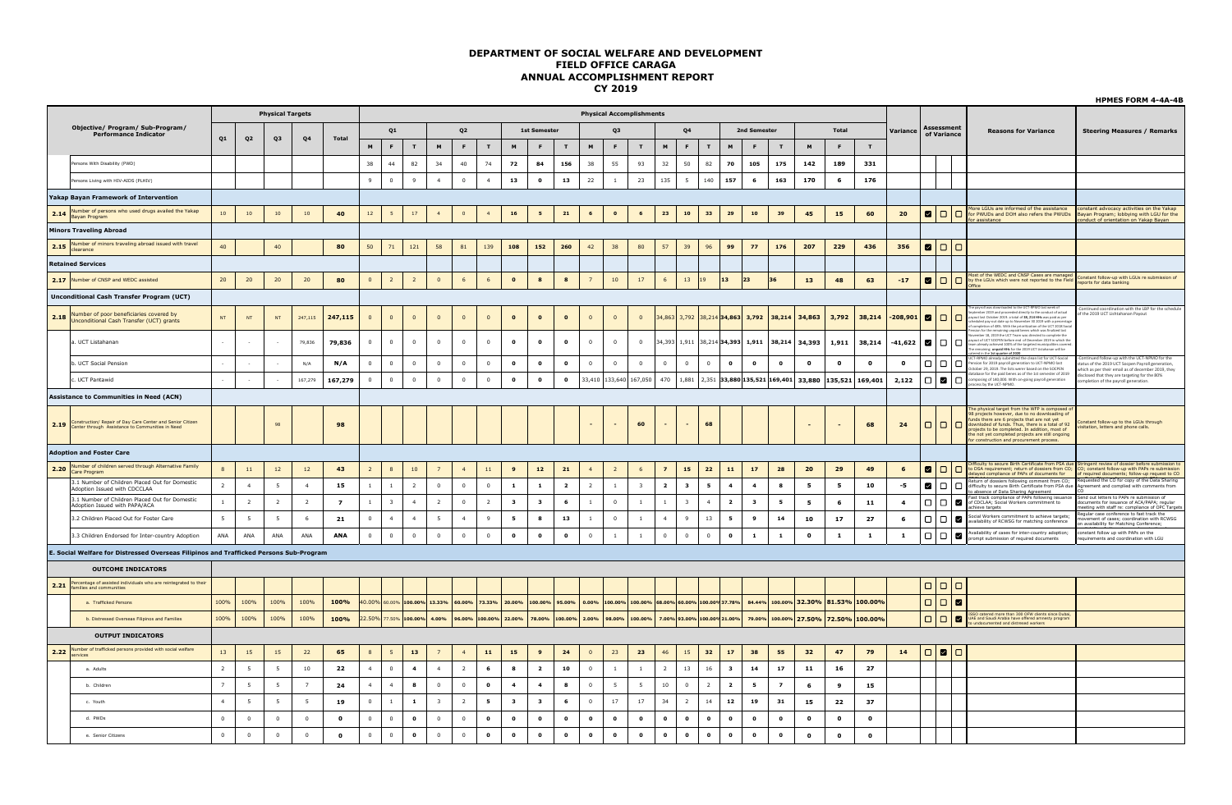|      |                                                                                                                     |                |                 |                         |                 |                |                         |                         |                                    |                         |                |                |                         |                         |                      |                          |                 |                                              |                         |                             |                |                         |                         |                |                    |                                                     |              |                |                                                                                                                     |                                                                                                                                                                                                                                                                                                        | <b>HPMES FORM 4-4A-4B</b>                                                                                                                                                          |
|------|---------------------------------------------------------------------------------------------------------------------|----------------|-----------------|-------------------------|-----------------|----------------|-------------------------|-------------------------|------------------------------------|-------------------------|----------------|----------------|-------------------------|-------------------------|----------------------|--------------------------|-----------------|----------------------------------------------|-------------------------|-----------------------------|----------------|-------------------------|-------------------------|----------------|--------------------|-----------------------------------------------------|--------------|----------------|---------------------------------------------------------------------------------------------------------------------|--------------------------------------------------------------------------------------------------------------------------------------------------------------------------------------------------------------------------------------------------------------------------------------------------------|------------------------------------------------------------------------------------------------------------------------------------------------------------------------------------|
|      |                                                                                                                     |                |                 | <b>Physical Targets</b> |                 |                |                         |                         |                                    |                         |                |                |                         |                         |                      |                          |                 | <b>Physical Accomplishments</b>              |                         |                             |                |                         |                         |                |                    |                                                     |              |                |                                                                                                                     |                                                                                                                                                                                                                                                                                                        |                                                                                                                                                                                    |
|      | Objective/ Program/ Sub-Program/<br><b>Performance Indicator</b>                                                    | Q1             | Q <sub>2</sub>  | Q <sub>3</sub>          | Q <sub>4</sub>  | Total          |                         | Q1                      |                                    |                         | Q <sub>2</sub> |                |                         | <b>1st Semester</b>     |                      |                          | O <sub>3</sub>  |                                              |                         | Q <sub>4</sub>              |                |                         | 2nd Semester            |                |                    | Total                                               |              | Variance       | Assessmen<br>of Variance                                                                                            | <b>Reasons for Variance</b>                                                                                                                                                                                                                                                                            | <b>Steering Measures / Remarks</b>                                                                                                                                                 |
|      |                                                                                                                     |                |                 |                         |                 |                | M                       | F.                      | T                                  | M                       | F.             | T.             | M                       | F.                      | T                    | M                        | F               | T                                            | M                       | F.                          | T              | M                       | F.                      | T              | M                  | F                                                   | T            |                |                                                                                                                     |                                                                                                                                                                                                                                                                                                        |                                                                                                                                                                                    |
|      | Persons With Disability (PWD)                                                                                       |                |                 |                         |                 |                | 38                      | 44                      | 82                                 | 34                      | 40             | 74             | 72                      | 84                      | 156                  | 38                       | 55              | 93                                           | 32                      | 50                          | 82             | 70                      | 105                     | 175            | 142                | 189                                                 | 331          |                |                                                                                                                     |                                                                                                                                                                                                                                                                                                        |                                                                                                                                                                                    |
|      | ersons Living with HIV-AIDS (PLHIV)                                                                                 |                |                 |                         |                 |                | 9                       | $\Omega$                | $\mathbf{q}$                       | $\overline{4}$          | $\Omega$       | $\overline{4}$ | 13                      | $\Omega$                | 13                   | $22\,$                   | $\overline{1}$  | 23                                           | 135                     | 5                           | 140            | 157                     | 6                       | 163            | 170                | 6                                                   | 176          |                |                                                                                                                     |                                                                                                                                                                                                                                                                                                        |                                                                                                                                                                                    |
|      | <b>Yakap Bavan Framework of Intervention</b>                                                                        |                |                 |                         |                 |                |                         |                         |                                    |                         |                |                |                         |                         |                      |                          |                 |                                              |                         |                             |                |                         |                         |                |                    |                                                     |              |                |                                                                                                                     |                                                                                                                                                                                                                                                                                                        |                                                                                                                                                                                    |
|      | 2.14 Number of persons who used drugs availed the Yakap                                                             | 10             | 10              | $10\,$                  | $10\,$          | 40             | 12                      | 5                       | $17\,$                             | $\overline{4}$          | $\overline{0}$ | $\overline{4}$ | ${\bf 16}$              | $5^{\circ}$             | 21                   | $\overline{\phantom{a}}$ | $\bullet$       | $6\phantom{.0}$                              | 23                      | ${\bf 10}$                  | 33             | 29                      | 10                      | 39             | 45                 | 15                                                  | 60           | 20             | 000                                                                                                                 | ore LGUs are informed of the assistance<br>r PWUDs and DOH also refers the PWUDs<br>assistance                                                                                                                                                                                                         | constant advocacy activities on the Yakap<br>Bayan Program; lobbying with LGU for the                                                                                              |
|      | <b>Minors Traveling Abroad</b>                                                                                      |                |                 |                         |                 |                |                         |                         |                                    |                         |                |                |                         |                         |                      |                          |                 |                                              |                         |                             |                |                         |                         |                |                    |                                                     |              |                |                                                                                                                     |                                                                                                                                                                                                                                                                                                        | onduct of orientation on Yakap Bayan                                                                                                                                               |
|      | <b>2.15</b> Number of minors traveling abroad issued with travel                                                    | 40             |                 | 40                      |                 | 80             | 50                      | 71                      | 121                                | 58                      | 81             | 139            | 108                     | 152                     | 260                  | 42                       | 38              | 80                                           | 57                      | 39                          | 96             | 99                      | 77                      | 176            | 207                | 229                                                 | 436          | 356            | ZIOIO                                                                                                               |                                                                                                                                                                                                                                                                                                        |                                                                                                                                                                                    |
|      | <b>Retained Services</b>                                                                                            |                |                 |                         |                 |                |                         |                         |                                    |                         |                |                |                         |                         |                      |                          |                 |                                              |                         |                             |                |                         |                         |                |                    |                                                     |              |                |                                                                                                                     |                                                                                                                                                                                                                                                                                                        |                                                                                                                                                                                    |
|      | 2.17 Number of CNSP and WEDC assisted                                                                               | 20             | 20              | 20                      | 20 <sub>2</sub> | 80             | $\mathbf{0}$            | $\overline{2}$          | $\overline{2}$                     | $\overline{0}$          | 6              | 6              | $\bullet$               | $\bf{8}$                | $\bf{8}$             | $\overline{7}$           | 10 <sup>°</sup> | 17                                           | 6                       | 13                          | 19             | 13<br>23                |                         | 36             | 13                 | 48                                                  | 63           | $-17$          |                                                                                                                     | ost of the WEDC and CNSP Cases are managed<br>D by the LGUs which were not reported to the Field                                                                                                                                                                                                       | Constant follow-up with LGUs re submission of<br>ports for data banking                                                                                                            |
|      | <b>Unconditional Cash Transfer Program (UCT)</b>                                                                    |                |                 |                         |                 |                |                         |                         |                                    |                         |                |                |                         |                         |                      |                          |                 |                                              |                         |                             |                |                         |                         |                |                    |                                                     |              |                |                                                                                                                     |                                                                                                                                                                                                                                                                                                        |                                                                                                                                                                                    |
|      | Number of poor beneficiaries covered by                                                                             | NT             | N <sub>1</sub>  | <b>NT</b>               | 247.115         | 247,115        | $\Omega$                | $\Omega$                | $\Omega$                           | $\overline{0}$          | $\Omega$       | $\Omega$       | $\Omega$                | $\Omega$                | $\mathbf{o}$         | $\overline{0}$           | $\Omega$        | $\Omega$                                     | 34.863 3.792            |                             | 38.214 34.863  |                         | 3.792                   | 38,214         | 34.863             |                                                     |              |                | $ Z $ o $ C $                                                                                                       | e payroll was downloaded to the UCT-RPMO last week of<br>ptember 2019 and proceeded directly to the conduct of actual<br>yout last October 2019. a total of <b>38, 214 HHs</b> was paid as per                                                                                                         | Continued coordination with the LBP for the schedule<br>f the 2019 UCT Lishtahanan Payout                                                                                          |
| 2.18 | Unconditional Cash Transfer (UCT) grants                                                                            |                |                 |                         |                 |                |                         |                         |                                    |                         |                |                |                         |                         |                      |                          |                 |                                              |                         |                             |                |                         |                         |                |                    | 3,792                                               | 38,214       | $-208,901$     |                                                                                                                     | duled pay-out date up to November 30 2019 with a percent<br>ompletion of 48%. With the prioritization of the UCT 2018 Soci<br>on for the remaining unpaid benes which was finalized last                                                                                                               |                                                                                                                                                                                    |
|      | a. UCT Listahanan                                                                                                   |                |                 |                         | 79,836          | 79,836         | $\overline{0}$          | $\overline{0}$          | $\mathbf{0}$                       | $\overline{\mathbf{0}}$ | $\overline{0}$ | $\overline{0}$ | $\bullet$               | $\bullet$               | $\bullet$            | $\overline{0}$           | $\mathbf 0$     | $\overline{0}$                               | 34,393 1,911            |                             | 38,214 34,393  |                         | 1,911                   | 38,214         | 34,393             | 1,911                                               | 38,214       | $-41,622$      | 101 D I D                                                                                                           | nber 18, 2019 the UCT Team was directed to complete the<br>covember 18, 2019 the UCT Team was directed to complete the coupled and your of UCT SOCPEN before end of December 2019 in which the<br>sam already achieved 100% of the targeted municipalities covere<br>he remaining u <b>wasid HHs f</b> |                                                                                                                                                                                    |
|      | b. UCT Social Pension                                                                                               |                |                 |                         | N/A             | N/A            | $\overline{0}$          | $\overline{0}$          | $\overline{0}$                     | $\overline{\mathbf{0}}$ | $\overline{0}$ | $\mathbf{0}$   | $\mathbf{o}$            | $\mathbf{o}$            | $\bullet$            | $\overline{0}$           | $\overline{0}$  | $\overline{0}$                               | $\overline{0}$          | $\overline{0}$              | $\overline{0}$ | $\mathbf{o}$            | $\mathbf{o}$            | $\mathbf{o}$   | $\mathbf{o}$       | $\mathbf{o}$                                        | $\mathbf{o}$ | $\mathbf{o}$   | 0 0 0                                                                                                               | sion for 2019 payroll generation to UCT-NPMO last                                                                                                                                                                                                                                                      | tinued follow-up with the UCT-NPMO for the<br>stus of the 2019 UCT Socpen Payroll generation,                                                                                      |
|      | c. UCT Pantawid                                                                                                     |                | $\sim$          |                         | 167,279         | 167,279        | $\overline{0}$          | $\overline{0}$          | $\mathbf{0}$                       | $\mathbf{0}$            | $\overline{0}$ | $\mathbf 0$    | $\mathbf{o}$            | $\bullet$               | $\mathbf{o}$         |                          |                 | 33,410 133,640 167,050                       | 470                     | 1,881                       |                |                         |                         |                |                    | 2,351 33,880 135,521 169,401 33,880 135,521 169,401 |              | 2,122          | $\Box   \, \blacksquare   \, \Box$                                                                                  | ber 29, 2019. The lists werer based on the SOCPEN<br>base for the paid benes as of the 1st semester of 2019<br>osing of 140,000. With on-going payroll generation                                                                                                                                      | hich as per their email as of december 2019, they<br>isclosed that they are targeting for the 80%<br>mpletion of the payroll generation.                                           |
|      | <b>Assistance to Communities in Need (ACN)</b>                                                                      |                |                 |                         |                 |                |                         |                         |                                    |                         |                |                |                         |                         |                      |                          |                 |                                              |                         |                             |                |                         |                         |                |                    |                                                     |              |                |                                                                                                                     | ess by the UCT-NPMO.                                                                                                                                                                                                                                                                                   |                                                                                                                                                                                    |
|      |                                                                                                                     |                |                 |                         |                 |                |                         |                         |                                    |                         |                |                |                         |                         |                      |                          |                 |                                              |                         |                             |                |                         |                         |                |                    |                                                     |              |                |                                                                                                                     | he physical target from the WFP is composed of<br>ever, due to no downloading of                                                                                                                                                                                                                       |                                                                                                                                                                                    |
|      | Construction/ Repair of Day Care Center and Senior Citizen<br>2.19 Center through Assistance to Communities in Need |                |                 | 98                      |                 | 98             |                         |                         |                                    |                         |                |                |                         |                         |                      | $\sim$                   | $\sim$          | 60                                           | $\sim$                  | $\sim$                      | 68             |                         |                         |                | $\sim$             | $\overline{\phantom{a}}$                            | 68           | 24             | alala                                                                                                               | nds there are 6 projects that are not yet<br>wnloded of funds. Thus, there is a total of 92<br>bjects to be completed. In addition, most of<br>the not yet completed projects are still ongoing<br>r construction and procurement process.                                                             | constant follow-up to the LGUs through<br>isitation, letters and phone calls.                                                                                                      |
|      | <b>Adoption and Foster Care</b>                                                                                     |                |                 |                         |                 |                |                         |                         |                                    |                         |                |                |                         |                         |                      |                          |                 |                                              |                         |                             |                |                         |                         |                |                    |                                                     |              |                |                                                                                                                     |                                                                                                                                                                                                                                                                                                        |                                                                                                                                                                                    |
| 2.20 | Number of children served through Alternative Family<br>Care Program                                                | 8              | $11\,$          | $12\,$                  | 12              | 43             | $\overline{2}$          | 8                       | $10\,$                             | $\overline{7}$          | $\overline{4}$ | 11             | $\overline{9}$          | 12                      | 21                   | $\overline{4}$           | $\overline{2}$  | 6                                            | $\overline{z}$          | 15                          | 22             | 11                      | 17                      | 28             | 20                 | 29                                                  | 49           | 6              | 000                                                                                                                 | Ifficulty to secure Birth Certificate from PSA due<br>I DSA requirement; return of dossiers from CO;<br>layed compliance of PAPs of documents for                                                                                                                                                      | tringent review of dossier before submission to<br>0; constant follow-up with PAPs re submission<br>of required documents: follow-up request to CO                                 |
|      | 3.1 Number of Children Placed Out for Domestic<br>Adoption Issued with CDCCLAA                                      | $\overline{2}$ | $\overline{4}$  | 5                       | $\overline{4}$  | 15             | $\mathbf{1}$            | $\overline{1}$          | 2                                  | $\overline{0}$          | $\overline{0}$ | $\overline{0}$ | $\mathbf{1}$            | $\mathbf{1}$            | $\overline{2}$       | $\overline{2}$           | $\mathbf{1}$    | $\overline{\mathbf{3}}$                      | $\overline{\mathbf{2}}$ | $\overline{\mathbf{3}}$     | $5^{\circ}$    | $\overline{4}$          | $\overline{4}$          | 8              | 5                  | 5                                                   | 10           | $-5$           | <b>ZIOIO</b>                                                                                                        | eturn of dossiers following comment from CO;<br>Ifficulty to secure Birth Certificate from PSA due                                                                                                                                                                                                     | Requested the CO for copy of the Data Sharing<br>greement and complied with comments fron                                                                                          |
|      | 3.1 Number of Children Placed Out for Domestic<br>Adoption Issued with PAPA/ACA                                     | $\mathbf{1}$   | $\overline{2}$  | $\overline{2}$          | <sup>2</sup>    | $\overline{z}$ | $\mathbf{1}$            | $\overline{\mathbf{3}}$ | $\overline{4}$                     | $\overline{2}$          | $\overline{0}$ | $\overline{2}$ | $\overline{\mathbf{3}}$ | $\overline{\mathbf{3}}$ | 6                    | <sup>1</sup>             | $\overline{0}$  | <sup>1</sup>                                 | <sup>1</sup>            | 3                           | $\overline{4}$ | $\overline{2}$          | $\overline{\mathbf{3}}$ | 5              | 5                  | 6                                                   | 11           | $\overline{4}$ | $\begin{array}{c c c c c c} \hline \textbf{C} & \textbf{C} & \textbf{C} \end{array}$                                | absence of Data Sharing Agreement<br>st track compliance of PAPs following issuance<br>of CDCLAA: Social Workers commitment to                                                                                                                                                                         | Send out letters to PAPs re submission of<br>documents for issuance of ACA/PAPA; regular                                                                                           |
|      | 3.2 Children Placed Out for Foster Care                                                                             | -5             | 5               | 5                       | 6               | 21             | $\,$ 0                  | $\overline{4}$          | $\overline{4}$                     | 5                       | $\overline{4}$ | 9              | 5                       | 8                       | 13                   | $\mathbf{1}$             | $\mathbb O$     | $\mathbf{1}$                                 | $\overline{4}$          | $\overline{9}$              | 13             | $5^{\circ}$             | 9                       | ${\bf 14}$     | 10                 | 17                                                  | 27           | 6              | $\Box$                                                                                                              | hieve targets<br>ocial Workers commitment to achieve targets;<br>vailability of RCWSG for matching conference                                                                                                                                                                                          | eeting with staff re: compliance of OPC Targets<br>gular case conference to fast track the<br>ovement of cases; coordination with RCWSG<br>n availability for Matching Conference; |
|      | 3.3 Children Endorsed for Inter-country Adoption                                                                    | ANA            | ANA             | ANA                     | ANA             | ANA            | $\overline{0}$          | $\overline{0}$          | $^{\circ}$                         | $\overline{0}$          | $\overline{0}$ | $\overline{0}$ | $\mathbf{o}$            | $\Omega$                | $\bullet$            | $\overline{0}$           | $\mathbf{1}$    | <sup>1</sup>                                 | $\mathbf{0}$            | $\mathbf{0}$                | $\mathbf 0$    | $\mathbf{o}$            | $\mathbf{1}$            | 1              | $\pmb{\mathsf{o}}$ | $\mathbf{1}$                                        | $\mathbf{1}$ | 1              | $\Box   \Box   \boxtimes$                                                                                           | vailability of cases for inter-country adoption;<br>rompt submission of required documents                                                                                                                                                                                                             | onstant follow up with PAPs on the<br>equirements and coordination with LGU                                                                                                        |
|      | E. Social Welfare for Distressed Overseas Filipinos and Trafficked Persons Sub-Program                              |                |                 |                         |                 |                |                         |                         |                                    |                         |                |                |                         |                         |                      |                          |                 |                                              |                         |                             |                |                         |                         |                |                    |                                                     |              |                |                                                                                                                     |                                                                                                                                                                                                                                                                                                        |                                                                                                                                                                                    |
|      | <b>OUTCOME INDICATORS</b>                                                                                           |                |                 |                         |                 |                |                         |                         |                                    |                         |                |                |                         |                         |                      |                          |                 |                                              |                         |                             |                |                         |                         |                |                    |                                                     |              |                |                                                                                                                     |                                                                                                                                                                                                                                                                                                        |                                                                                                                                                                                    |
|      | 2.21 Percentage of assisted individuals who are reintegrated to their                                               |                |                 |                         |                 |                |                         |                         |                                    |                         |                |                |                         |                         |                      |                          |                 |                                              |                         |                             |                |                         |                         |                |                    |                                                     |              |                | 000                                                                                                                 |                                                                                                                                                                                                                                                                                                        |                                                                                                                                                                                    |
|      | a. Trafficked Persons                                                                                               | 100%           | 100%            | 100%                    | 100%            | 100%           |                         |                         | 0.00% 60.00% 100.00% 13.33% 60.00% |                         |                |                | 73.33% 20.00%           |                         | 100.00% 95.00% 0.00% |                          |                 | 100.00% 100.00% 68.00% 60.00% 100.00% 37.78% |                         |                             |                |                         |                         |                |                    | 84.44% 100.00% 32.30% 81.53% 100.00%                |              |                | $\begin{array}{c c c c c c} \hline \textbf{C} & \textbf{C} & \textbf{C} \end{array}$                                |                                                                                                                                                                                                                                                                                                        |                                                                                                                                                                                    |
|      | b. Distressed Overseas Filipinos and Families                                                                       | 100%           | 100%            | 100%                    | 100%            | 100%           |                         | 22.50% 77.50%           | 100.00%                            | 4.00%                   | 96.00%         | 100.00% 22.00% |                         | 78.00%                  | 100.00% 2.00%        |                          |                 | 98.00% 100.00%                               |                         | 7.00% 93.00% 100.00% 21.00% |                |                         |                         |                |                    | 79.00% 100.00% 27.50% 72.50% 100.00%                |              |                | $\begin{array}{c c c c c c} \hline \multicolumn{1}{ c }{\textbf{a}} & \multicolumn{1}{ c }{\textbf{a}} \end{array}$ | SO catered more than 300 OFW clients since Dubai,<br>LE and Saudi Arabia have offered amnesty program<br>undocumented and distresed workers                                                                                                                                                            |                                                                                                                                                                                    |
|      | <b>OUTPUT INDICATORS</b>                                                                                            |                |                 |                         |                 |                |                         |                         |                                    |                         |                |                |                         |                         |                      |                          |                 |                                              |                         |                             |                |                         |                         |                |                    |                                                     |              |                |                                                                                                                     |                                                                                                                                                                                                                                                                                                        |                                                                                                                                                                                    |
|      | 2.22 Number of trafficked persons provided with social welfare                                                      | 13             | 15              | 15                      | 22              | 65             | 8                       | 5 <sub>5</sub>          | 13                                 | $\overline{7}$          | $\overline{4}$ | 11             | 15                      | $\overline{9}$          | 24                   | $\overline{0}$           | 23              | 23                                           | 46                      | 15                          | 32             | $17$                    | 38                      | 55             | 32                 | 47                                                  | 79           | 14             | 000                                                                                                                 |                                                                                                                                                                                                                                                                                                        |                                                                                                                                                                                    |
|      | a. Adults                                                                                                           | $\overline{2}$ | 5               | 5                       | 10              | 22             | $\overline{4}$          | $\overline{0}$          | $\overline{\mathbf{4}}$            | $\overline{4}$          | $\overline{2}$ | 6              | 8                       | $\overline{2}$          | 10                   | $\overline{0}$           | $\mathbf{1}$    | $\mathbf{1}$                                 | $\overline{2}$          | 13                          | 16             | $\overline{\mathbf{3}}$ | 14                      | 17             | 11                 | 16                                                  | 27           |                |                                                                                                                     |                                                                                                                                                                                                                                                                                                        |                                                                                                                                                                                    |
|      | b. Children                                                                                                         | 7              | $5\overline{5}$ | 5                       | $\overline{7}$  | 24             | 4                       | $\overline{4}$          | 8                                  | $\overline{\mathbf{0}}$ | $\overline{0}$ | $\mathbf 0$    | $\overline{4}$          | $\overline{4}$          | 8                    | $\overline{0}$           | $5^{\circ}$     | 5 <sub>5</sub>                               | 10                      | $\overline{\mathbf{0}}$     | $\overline{2}$ | $\overline{2}$          | 5                       | $\overline{7}$ | 6                  | 9                                                   | 15           |                |                                                                                                                     |                                                                                                                                                                                                                                                                                                        |                                                                                                                                                                                    |
|      | c. Youth                                                                                                            | $\overline{4}$ | 5               | 5                       | - 5             | 19             | $\overline{0}$          | $\mathbf{1}$            | $\mathbf{1}$                       | $\overline{\mathbf{3}}$ | 2              | 5              | $\overline{\mathbf{3}}$ | $\overline{\mathbf{3}}$ | 6                    | $\overline{0}$           | 17              | 17                                           | 34                      | 2                           | 14             | 12                      | 19                      | 31             | 15                 | 22                                                  | 37           |                |                                                                                                                     |                                                                                                                                                                                                                                                                                                        |                                                                                                                                                                                    |
|      | d. PWDs                                                                                                             | $\mathbf{0}$   | $\mathbf 0$     | $\overline{0}$          | $\mathbf{0}$    | $\mathbf{o}$   | $\overline{\mathbf{0}}$ | $\overline{0}$          | $\bullet$                          | $\mathbf 0$             | $\mathbf{0}$   | $\mathbf{o}$   | $\mathbf{o}$            | $\mathbf{o}$            | $\bullet$            | $\bullet$                | $\bullet$       | $\bullet$                                    | $\mathbf{o}$            | $\bullet$                   | $\bullet$      | $\bullet$               | $\bullet$               | $\bullet$      | $\mathbf{o}$       | $\mathbf 0$                                         | $\mathbf{o}$ |                |                                                                                                                     |                                                                                                                                                                                                                                                                                                        |                                                                                                                                                                                    |
|      | e. Senior Citizens                                                                                                  | $\circ$        | $\mathbf 0$     | $\overline{0}$          | $\mathbf{0}$    | $\mathbf{o}$   | $\,$ 0 $\,$             | $\circ$                 | $\mathbf{o}$                       | $\overline{0}$          | $\overline{0}$ | $\bullet$      | $\mathbf{o}$            | $\mathbf{o}$            | $\bullet$            | $\mathbf{o}$             | $\mathbf{o}$    | $\bullet$                                    | $\mathbf{o}$            | $\bullet$                   | $\mathbf{o}$   | $\bullet$               | $\bullet$               | $\mathbf{o}$   | $\pmb{\mathsf{o}}$ | $\mathbf{o}$                                        | $\mathbf{o}$ |                |                                                                                                                     |                                                                                                                                                                                                                                                                                                        |                                                                                                                                                                                    |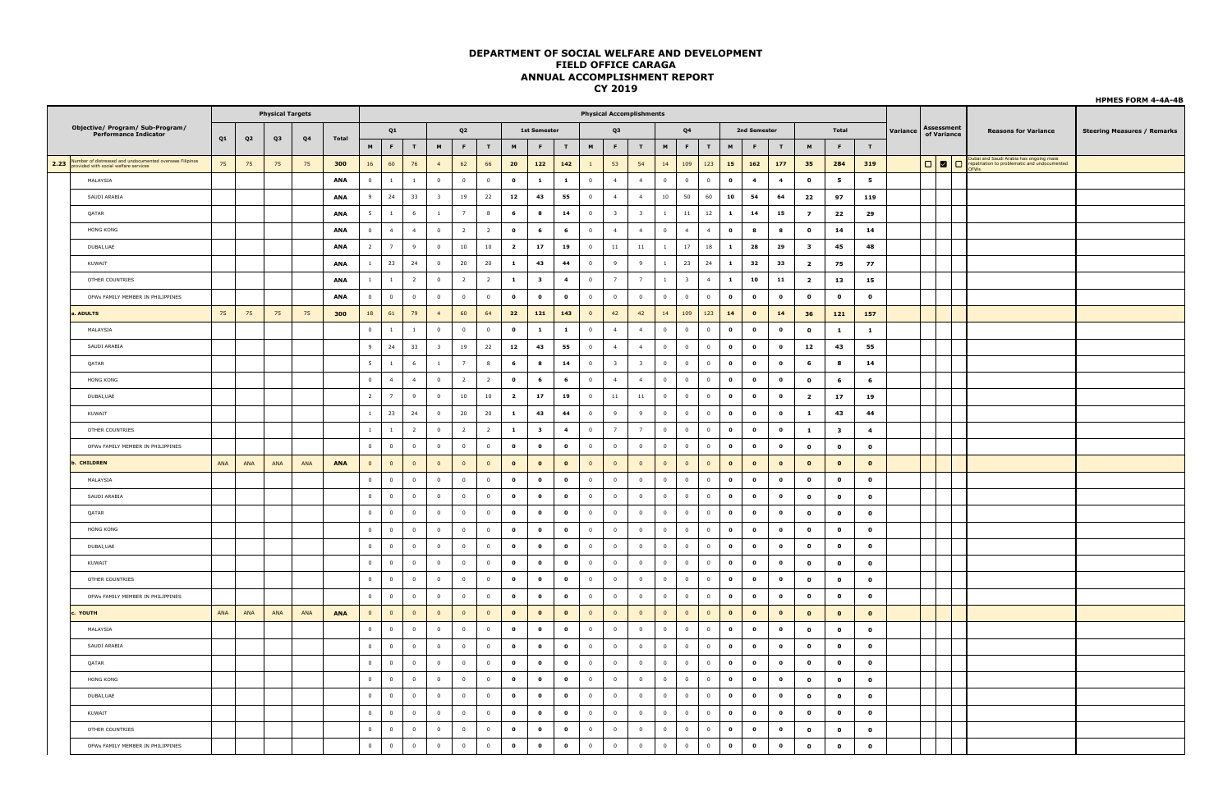|                                                                  |     |                |                         |                |              |                |                         |                |                         |                         |                |                         |                         |                         |                         |                                 |                         |                         |                         |                |              |                         |                         |                         |                         |                |          |                           |                                                                                                           | <b>HPMES FORM 4-4A-4B</b>          |
|------------------------------------------------------------------|-----|----------------|-------------------------|----------------|--------------|----------------|-------------------------|----------------|-------------------------|-------------------------|----------------|-------------------------|-------------------------|-------------------------|-------------------------|---------------------------------|-------------------------|-------------------------|-------------------------|----------------|--------------|-------------------------|-------------------------|-------------------------|-------------------------|----------------|----------|---------------------------|-----------------------------------------------------------------------------------------------------------|------------------------------------|
|                                                                  |     |                | <b>Physical Targets</b> |                |              |                |                         |                |                         |                         |                |                         |                         |                         |                         | <b>Physical Accomplishments</b> |                         |                         |                         |                |              |                         |                         |                         |                         |                |          |                           |                                                                                                           |                                    |
| Objective/ Program/ Sub-Program/<br><b>Performance Indicator</b> | Q1  | Q <sub>2</sub> | Q <sub>3</sub>          | Q <sub>4</sub> | <b>Total</b> |                | Q1                      |                |                         | Q2                      |                |                         | <b>1st Semester</b>     |                         |                         | Q <sub>3</sub>                  |                         |                         | Q <sub>4</sub>          |                |              | 2nd Semester            |                         |                         | Total                   |                | Variance | Assessment<br>of Variance | <b>Reasons for Variance</b>                                                                               | <b>Steering Measures / Remarks</b> |
|                                                                  |     |                |                         |                |              | M              | F                       | T              | M                       | F.                      | T              | M                       | F                       | T                       | M                       | F                               | T                       | $\blacksquare$          | F.                      | T              | M            | F.                      | T                       | M                       | F.                      | T              |          |                           |                                                                                                           |                                    |
| 2.23 Wumber of distressed and undocumented overseas Filipinos    | 75  | 75             | 75                      | 75             | 300          | 16             | 60                      | 76             | $\overline{4}$          | 62                      | 66             | 20                      | 122                     | 142                     | $\overline{1}$          | 53                              | 54                      | 14                      | 109                     | 123            | 15           | 162                     | 177                     | 35                      | 284                     | 319            |          |                           | .<br>Dubal and Saudi Arabia has ongoing mass<br>epatriation to problematic and undocumented<br><b>FWs</b> |                                    |
| MALAYSIA                                                         |     |                |                         |                | ANA          | $\overline{0}$ | $\mathbf{1}$            | $\mathbf{1}$   | $\overline{0}$          | $\overline{0}$          | $\overline{0}$ | $\bullet$               | $\mathbf{1}$            | $\mathbf{1}$            | $\mathbf 0$             | $\overline{4}$                  | $\overline{4}$          | $\overline{0}$          | $\overline{0}$          | $\overline{0}$ | $\bullet$    | $\overline{\mathbf{4}}$ | $\overline{\mathbf{4}}$ | $\mathbf{o}$            | 5                       | 5              |          |                           |                                                                                                           |                                    |
| SAUDI ARABIA                                                     |     |                |                         |                | <b>ANA</b>   | 9              | 24                      | 33             | $\overline{\mathbf{3}}$ | 19                      | 22             | 12                      | 43                      | 55                      | $\overline{0}$          | $\overline{4}$                  | $\overline{4}$          | $10\,$                  | 50                      | 60             | 10           | 54                      | 64                      | 22                      | 97                      | 119            |          |                           |                                                                                                           |                                    |
| QATAR                                                            |     |                |                         |                | ANA          | $5^{\circ}$    | $\overline{1}$          | 6              | $\mathbf{1}$            | $\overline{7}$          | 8              | $\epsilon$              | $\bf{8}$                | 14                      | $\overline{\mathbf{0}}$ | $\overline{\mathbf{3}}$         | $\overline{\mathbf{3}}$ | $\overline{1}$          | $11\,$                  | 12             | $\mathbf{1}$ | 14                      | 15                      | $\overline{z}$          | 22                      | 29             |          |                           |                                                                                                           |                                    |
| HONG KONG                                                        |     |                |                         |                | <b>ANA</b>   | $\overline{0}$ | $\overline{4}$          | $\overline{4}$ | $\overline{0}$          | $\overline{2}$          | $\overline{2}$ | $\bullet$               | 6                       | 6                       | $\mathbf{0}$            | $\overline{4}$                  | $\overline{4}$          | $\overline{0}$          | $\overline{4}$          | $\overline{4}$ | $\bullet$    | 8                       | $\bf{8}$                | $\mathbf{o}$            | 14                      | 14             |          |                           |                                                                                                           |                                    |
| DUBAI, UAE                                                       |     |                |                         |                | ANA          | $\overline{2}$ | 7                       | 9              | $\,0\,$                 | 10                      | 10             | $\overline{\mathbf{z}}$ | 17                      | 19                      | $\overline{0}$          | $11\,$                          | $11\,$                  | $\mathbf{1}$            | 17                      | 18             | $\mathbf{1}$ | 28                      | 29                      | $\overline{\mathbf{3}}$ | 45                      | 48             |          |                           |                                                                                                           |                                    |
| KUWAIT                                                           |     |                |                         |                | ANA          | $\mathbf{1}$   | 23                      | 24             | $\overline{0}$          | $20\,$                  | 20             | $\mathbf{1}$            | 43                      | 44                      | $\overline{\mathbf{0}}$ | $\mathbf{q}$                    | $\overline{9}$          | $\overline{1}$          | 23                      | 24             | $\mathbf{1}$ | 32                      | 33                      | $\overline{\mathbf{2}}$ | 75                      | 77             |          |                           |                                                                                                           |                                    |
| OTHER COUNTRIES                                                  |     |                |                         |                | ANA          | $\mathbf{1}$   | $\overline{1}$          | $\overline{2}$ | $\overline{\mathbf{0}}$ | $\overline{2}$          | $\overline{2}$ | $\mathbf{1}$            | $\overline{\mathbf{3}}$ | $\overline{\mathbf{4}}$ | $\overline{\mathbf{0}}$ | 7                               | 7                       | $\overline{1}$          | $\overline{\mathbf{3}}$ | $\overline{4}$ | $\mathbf{1}$ | 10                      | 11                      | $\overline{\mathbf{2}}$ | 13                      | 15             |          |                           |                                                                                                           |                                    |
| OFWs FAMILY MEMBER IN PHILIPPINES                                |     |                |                         |                | <b>ANA</b>   | $\circ$        | $\overline{0}$          | $\overline{0}$ | $\overline{0}$          | $\overline{0}$          | $\overline{0}$ | $\mathbf{o}$            | $\mathbf{o}$            | $\bullet$               | $\overline{0}$          | $\overline{0}$                  | $\overline{0}$          | $\overline{0}$          | $\overline{0}$          | $\overline{0}$ | $\bullet$    | $\bullet$               | $\bullet$               | $\mathbf{o}$            | $\mathbf{o}$            | $\mathbf{o}$   |          |                           |                                                                                                           |                                    |
| . ADULTS                                                         | 75  | 75             | 75                      | 75             | 300          | 18             | 61                      | 79             | $\overline{4}$          | 60                      | 64             | 22                      | 121                     | 143                     | $\mathbf 0$             | 42                              | 42                      | $14\,$                  | 109                     | 123            | 14           | $\bullet$               | 14                      | 36                      | 121                     | 157            |          |                           |                                                                                                           |                                    |
| MALAYSIA                                                         |     |                |                         |                |              | $\overline{0}$ | $\overline{1}$          | $\overline{1}$ | $\overline{0}$          | $\overline{0}$          | $\overline{0}$ | $\bullet$               | $\mathbf{1}$            | $\mathbf{1}$            | $\overline{0}$          | $\overline{4}$                  | $\overline{4}$          | $\overline{0}$          | $\overline{0}$          | $\overline{0}$ | $\bullet$    | $\bullet$               | $\mathbf{0}$            | $\mathbf{o}$            | 1                       | 1              |          |                           |                                                                                                           |                                    |
| SAUDI ARABIA                                                     |     |                |                         |                |              | 9              | 24                      | 33             | $\overline{\mathbf{3}}$ | 19                      | 22             | 12                      | 43                      | 55                      | $\overline{\mathbf{0}}$ | $\overline{4}$                  | 4                       | $\overline{0}$          | $\bf{0}$                | $\overline{0}$ | $\bullet$    | $\bf o$                 | $\mathbf{o}$            | 12                      | 43                      | 55             |          |                           |                                                                                                           |                                    |
| OATAR                                                            |     |                |                         |                |              | 5              | $\overline{1}$          | 6              | $\mathbf{1}$            | $\overline{7}$          | 8              | 6                       | 8                       | 14                      | $\overline{0}$          | $\overline{\mathbf{3}}$         | $\overline{\mathbf{3}}$ | $\overline{0}$          | $\overline{0}$          | $\overline{0}$ | $\bullet$    | $\bullet$               | $\bullet$               | 6                       | 8                       | 14             |          |                           |                                                                                                           |                                    |
| HONG KONG                                                        |     |                |                         |                |              | $\mathbf 0$    | $\overline{4}$          | $\overline{4}$ | $\mathbf 0$             | $\overline{2}$          | $\overline{2}$ | $\bullet$               | 6                       | 6                       | $\mathbf 0$             | $\overline{4}$                  | $\overline{4}$          | $\overline{0}$          | $\mathbf{0}$            | $\mathbf 0$    | $\bullet$    | $\bf o$                 | $\mathbf{o}$            | $\mathbf{o}$            | 6                       | 6              |          |                           |                                                                                                           |                                    |
| DUBAI.UAE                                                        |     |                |                         |                |              | $\overline{2}$ | $\overline{7}$          | $\mathbf{q}$   | $\overline{0}$          | $10\,$                  | 10             | $\overline{\mathbf{z}}$ | 17                      | 19                      | $\overline{0}$          | $11\,$                          | 11                      | $\overline{0}$          | $\overline{0}$          | $\mathbf 0$    | $\bullet$    | $\bullet$               | $\bullet$               | $\overline{2}$          | 17                      | 19             |          |                           |                                                                                                           |                                    |
| KUWAIT                                                           |     |                |                         |                |              | $\mathbf{1}$   | 23                      | 24             | $\overline{0}$          | 20                      | 20             | $\mathbf{1}$            | 43                      | 44                      | $\overline{0}$          | 9                               | 9                       | $\overline{0}$          | $\overline{0}$          | $\overline{0}$ | $\mathbf{o}$ | $\bf o$                 | $\mathbf{o}$            | $\mathbf{1}$            | 43                      | 44             |          |                           |                                                                                                           |                                    |
| OTHER COUNTRIES                                                  |     |                |                         |                |              | $\mathbf{1}$   | $\mathbf{1}$            | $\overline{2}$ | $\overline{0}$          | $\overline{2}$          | $\overline{2}$ | $\mathbf{1}$            | $\overline{\mathbf{3}}$ | $\overline{4}$          | $\overline{0}$          | $\overline{7}$                  | $\overline{7}$          | $\overline{0}$          | $\overline{0}$          | $\overline{0}$ | $\bullet$    | $\bullet$               | $\bullet$               | $\mathbf{1}$            | $\overline{\mathbf{3}}$ | $\overline{a}$ |          |                           |                                                                                                           |                                    |
| OFWs FAMILY MEMBER IN PHILIPPINES                                |     |                |                         |                |              | $\mathbf{0}$   | $\overline{0}$          | $\overline{0}$ | $\overline{0}$          | $\overline{0}$          | $\overline{0}$ | $\mathbf{o}$            | $\bullet$               | $\bullet$               | $\mathbf{0}$            | $\overline{0}$                  | $\overline{0}$          | $\overline{0}$          | $\mathbf{0}$            | $\overline{0}$ | $\bullet$    | $\bullet$               | $\bullet$               | $\Omega$                | $\Omega$                | $\mathbf{o}$   |          |                           |                                                                                                           |                                    |
| . CHILDREN                                                       | ANA | ANA            | ANA                     | ANA            | <b>ANA</b>   | $\overline{0}$ | $\overline{0}$          | $\overline{0}$ | $\overline{0}$          | $\overline{0}$          | $\overline{0}$ | $\bullet$               | $\bullet$               | $\bullet$               | $\overline{0}$          | $\overline{0}$                  | $\overline{0}$          | $\overline{0}$          | $\overline{0}$          | $\overline{0}$ | $\bullet$    | $\bullet$               | $\bullet$               | $\bullet$               | $\mathbf{o}$            | $\bullet$      |          |                           |                                                                                                           |                                    |
| MALAYSIA                                                         |     |                |                         |                |              | $\mathbf 0$    | $\overline{0}$          | $\overline{0}$ | $\overline{0}$          | $\mathbf 0$             | $\mathbf 0$    | $\mathbf{o}$            | $\bullet$               | $\bullet$               | $\mathbf 0$             | $\overline{0}$                  | $\overline{0}$          | $\mathbf 0$             | $\overline{0}$          | $\mathbf 0$    | $\bullet$    | $\bullet$               | $\bullet$               | $\mathbf{o}$            | $\bullet$               | $\mathbf{o}$   |          |                           |                                                                                                           |                                    |
| SAUDI ARABIA                                                     |     |                |                         |                |              | $\overline{0}$ | $\overline{\mathbf{0}}$ | $\overline{0}$ | $\overline{0}$          | $\overline{\mathbf{0}}$ | $\overline{0}$ | $\bullet$               | $\bullet$               | $\mathbf{o}$            | $\overline{\mathbf{0}}$ | $\overline{0}$                  | $\overline{0}$          | $\overline{0}$          | $\bf{0}$                | $\overline{0}$ | $\bullet$    | $\bullet$               | $\bullet$               | $\mathbf{o}$            | $\mathbf 0$             | $\mathbf{o}$   |          |                           |                                                                                                           |                                    |
| QATAR                                                            |     |                |                         |                |              | $\overline{0}$ | $\overline{0}$          | $\overline{0}$ | $\overline{0}$          | $\overline{0}$          | $\mathbf{0}$   | $\bullet$               | $\mathbf{o}$            | $\mathbf{o}$            | $\overline{0}$          | $\overline{0}$                  | $\circ$                 | $\overline{0}$          | $\overline{0}$          | $\mathbf{0}$   | $\bullet$    | $\bullet$               | $\bullet$               | $\mathbf{o}$            | $\mathbf{o}$            | $\mathbf{o}$   |          |                           |                                                                                                           |                                    |
| <b>HONG KONG</b>                                                 |     |                |                         |                |              | $\overline{0}$ | $\Omega$                | $\Omega$       | $\overline{0}$          | $\overline{\mathbf{0}}$ | $\mathbf 0$    | $\bullet$               | $\bullet$               | $\bullet$               | $\overline{\mathbf{0}}$ | $\overline{0}$                  | $\overline{0}$          | $\overline{0}$          | $\overline{0}$          | $\mathbf{0}$   | $\bullet$    | $\bullet$               | $\bullet$               | $\mathbf{o}$            | $\mathbf 0$             | $\mathbf{o}$   |          |                           |                                                                                                           |                                    |
| DUBAI.UAE                                                        |     |                |                         |                |              | $\mathbf{0}$   | $\overline{0}$          | $\overline{0}$ | $\overline{0}$          | $\overline{0}$          | $\overline{0}$ | $\bullet$               | $\bullet$               | $\bullet$               | $\overline{0}$          | $\overline{0}$                  | $\circ$                 | $\overline{0}$          | $\circ$                 | $\overline{0}$ | $\bullet$    | $\bf o$                 | $\bullet$               | $\Omega$                | $\mathbf{o}$            | $\Omega$       |          |                           |                                                                                                           |                                    |
| KUWAIT                                                           |     |                |                         |                |              | $\overline{0}$ | $\overline{0}$          | $\overline{0}$ | $\overline{0}$          | $\overline{0}$          | $\overline{0}$ | $\bullet$               | $\bullet$               | $\bullet$               | $\overline{\mathbf{0}}$ | $\overline{0}$                  | $\overline{0}$          | $\overline{\mathbf{0}}$ | $\overline{0}$          | $\overline{0}$ | $\bullet$    | $\bullet$               | $\bullet$               | $\mathbf{o}$            | $\mathbf{o}$            | $\mathbf{o}$   |          |                           |                                                                                                           |                                    |
| OTHER COUNTRIES                                                  |     |                |                         |                |              | $\Omega$       | $\overline{0}$          | $\Omega$       | $\overline{0}$          | $\overline{0}$          | $\overline{0}$ | $\mathbf{o}$            | $\mathbf{o}$            | $\bullet$               | $\overline{0}$          | $\Omega$                        | $\Omega$                | $\overline{0}$          | $\overline{0}$          | $\overline{0}$ | $\bullet$    | $\bullet$               | $\bullet$               | $\mathbf{o}$            | $\mathbf{o}$            | $\mathbf{o}$   |          |                           |                                                                                                           |                                    |
| OFWs FAMILY MEMBER IN PHILIPPINES                                |     |                |                         |                |              | $\mathbf 0$    | $\overline{0}$          | $\overline{0}$ | $\overline{0}$          | $\overline{0}$          | $\overline{0}$ | $\bullet$               | $\bullet$               | $\bullet$               | $\overline{0}$          | $\overline{0}$                  | $\overline{0}$          | $\overline{0}$          | $\overline{0}$          | $\overline{0}$ | $\bullet$    | $\bullet$               | $\bullet$               | $\mathbf{o}$            | $\mathbf{o}$            | $\mathbf{o}$   |          |                           |                                                                                                           |                                    |
| . YOUTH                                                          | ANA | ANA            | ANA                     | ANA            | ANA          | $\overline{0}$ | $\circ$                 | $\overline{0}$ | $\overline{0}$          | $\overline{0}$          | $\overline{0}$ | $\mathbf{o}$            | $\bullet$               | $\bullet$               | $\overline{0}$          | $\overline{0}$                  | $\mathbf{0}$            | $\circ$                 | $\overline{0}$          | $\circ$        | $\bullet$    | $\bullet$               | $\bullet$               | $\mathbf{o}$            | $\mathbf{o}$            | $\mathbf{o}$   |          |                           |                                                                                                           |                                    |
| MALAYSIA                                                         |     |                |                         |                |              | $\overline{0}$ | $\overline{\mathbf{0}}$ | $\overline{0}$ | $\overline{0}$          | $\overline{0}$          | $\overline{0}$ | $\mathbf{o}$            | $\bullet$               | $\bullet$               | $\overline{0}$          | $\overline{0}$                  | $\mathbf 0$             | $\overline{0}$          | $\bf{0}$                | $\overline{0}$ | $\bullet$    | $\bf o$                 | $\mathbf{o}$            | $\mathbf{o}$            | $\mathbf{o}$            | $\mathbf{o}$   |          |                           |                                                                                                           |                                    |
| SAUDI ARABIA                                                     |     |                |                         |                |              | $\overline{0}$ | $\overline{0}$          | $\overline{0}$ | $\overline{0}$          | $\overline{0}$          | $\overline{0}$ | $\mathbf{o}$            | $\bullet$               | $\mathbf{o}$            | $\overline{0}$          | $\overline{0}$                  | $\overline{0}$          | $\overline{0}$          | $\overline{0}$          | $\overline{0}$ | $\bullet$    | $\bullet$               | $\bullet$               | $\mathbf{o}$            | $\bullet$               | $\mathbf{o}$   |          |                           |                                                                                                           |                                    |
| QATAR                                                            |     |                |                         |                |              | $\mathbf 0$    | $\overline{0}$          | $\overline{0}$ | $\,$ 0                  | $\mathbf 0$             | $\mathbf 0$    | $\mathbf{o}$            | $\bullet$               | $\bullet$               | $\,$ 0                  | $\overline{0}$                  | $\mathbf 0$             | $\overline{0}$          | $\overline{0}$          | $\mathbf 0$    | $\bullet$    | $\bf o$                 | $\mathbf{o}$            | $\mathbf{o}$            | $\bullet$               | $\mathbf{o}$   |          |                           |                                                                                                           |                                    |
| <b>HONG KONG</b>                                                 |     |                |                         |                |              | $\overline{0}$ | $\overline{0}$          | $\overline{0}$ | $\overline{0}$          | $\overline{0}$          | $\overline{0}$ | $\mathbf{o}$            | $\bullet$               | $\mathbf{o}$            | $\overline{0}$          | $\overline{0}$                  | $\overline{0}$          | $\overline{0}$          | $\overline{0}$          | $\overline{0}$ | $\bullet$    | $\bullet$               | $\bullet$               | $\bullet$               | $\mathbf{o}$            | $\mathbf{o}$   |          |                           |                                                                                                           |                                    |
| DUBAI, UAE                                                       |     |                |                         |                |              | $\overline{0}$ | $\overline{0}$          | $\overline{0}$ | $\overline{0}$          | $\overline{0}$          | $\overline{0}$ | $\bullet$               | $\bullet$               | $\bullet$               | $\overline{0}$          | $\overline{0}$                  | $\overline{0}$          | $\overline{0}$          | $\overline{0}$          | $\overline{0}$ | $\bullet$    | $\bf o$                 | $\mathbf{o}$            | $\mathbf{o}$            | $\mathbf{o}$            | $\mathbf{o}$   |          |                           |                                                                                                           |                                    |
| KUWAIT                                                           |     |                |                         |                |              | $\overline{0}$ | $\overline{0}$          | $\overline{0}$ | $\overline{0}$          | $\overline{0}$          | $\bf{0}$       | $\mathbf{o}$            | $\bullet$               | $\mathbf{o}$            | $\overline{0}$          | $\overline{0}$                  | $\mathbf{0}$            | $\overline{0}$          | $\overline{0}$          | $\overline{0}$ | $\bullet$    | $\bullet$               | $\bullet$               | $\mathbf{o}$            | $\mathbf{o}$            | $\mathbf{o}$   |          |                           |                                                                                                           |                                    |
| OTHER COUNTRIES                                                  |     |                |                         |                |              | $\overline{0}$ | $\overline{0}$          | $\overline{0}$ | $\overline{0}$          | $\overline{0}$          | $\mathbf 0$    | $\bullet$               | $\bullet$               | $\bullet$               | $\mathbf 0$             | $\overline{0}$                  | $\overline{0}$          | $\overline{0}$          | $\overline{0}$          | $\mathbf 0$    | $\bullet$    | $\bf o$                 | $\mathbf{o}$            | $\mathbf{o}$            | $\mathbf 0$             | $\mathbf{o}$   |          |                           |                                                                                                           |                                    |
| OFWs FAMILY MEMBER IN PHILIPPINES                                |     |                |                         |                |              | $\mathbf 0$    | $\overline{0}$          | $\overline{0}$ | $\,0\,$                 | $\overline{0}$          | $\mathbf 0$    | $\bullet$               | $\bullet$               | $\bullet$               | $\,0\,$                 | $\overline{0}$                  | $\,0\,$                 | $\overline{0}$          | $\overline{0}$          | $\mathbf 0$    | $\bullet$    | $\bullet$               | $\bullet$               | $\mathbf{o}$            | $\mathbf{o}$            | $\mathbf{o}$   |          |                           |                                                                                                           |                                    |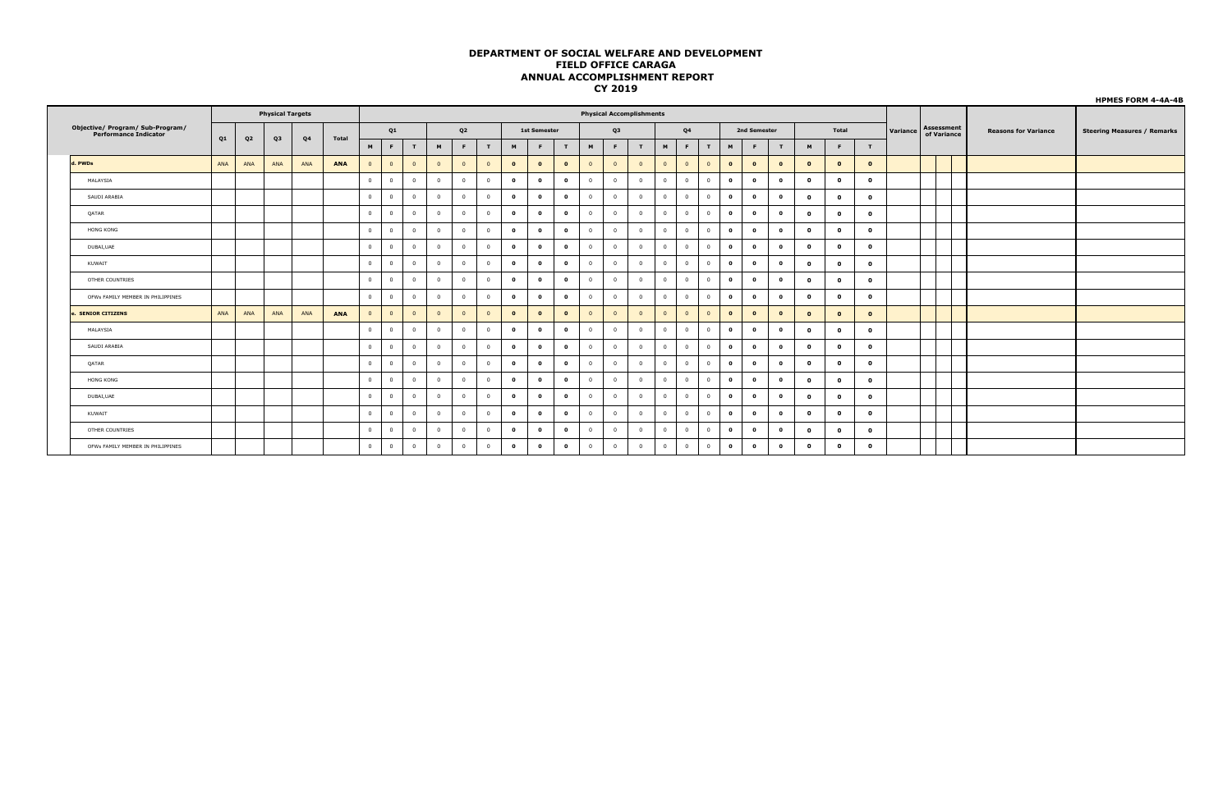|                                                                  |     |                |                         |                |       |                |                |                |                |                         |                |              |                     |                |                | ------                          |                |                |                |                |              |              |           |              |              |              |          |                                  |                             | <b>HPMES FORM 4-4A-4B</b>          |
|------------------------------------------------------------------|-----|----------------|-------------------------|----------------|-------|----------------|----------------|----------------|----------------|-------------------------|----------------|--------------|---------------------|----------------|----------------|---------------------------------|----------------|----------------|----------------|----------------|--------------|--------------|-----------|--------------|--------------|--------------|----------|----------------------------------|-----------------------------|------------------------------------|
|                                                                  |     |                | <b>Physical Targets</b> |                |       |                |                |                |                |                         |                |              |                     |                |                | <b>Physical Accomplishments</b> |                |                |                |                |              |              |           |              |              |              |          |                                  |                             |                                    |
| Objective/ Program/ Sub-Program/<br><b>Performance Indicator</b> |     |                |                         |                |       |                | Q1             |                |                | Q <sub>2</sub>          |                |              | <b>1st Semester</b> |                |                | Q3                              |                |                | Q <sub>4</sub> |                |              | 2nd Semester |           |              | Total        |              | Variance | <b>Assessment</b><br>of Variance | <b>Reasons for Variance</b> | <b>Steering Measures / Remarks</b> |
|                                                                  | Q1  | Q <sub>2</sub> | Q3                      | Q <sub>4</sub> | Total | M              | F.             | T              | M              | F.                      | T              | M            | F.                  | $\blacksquare$ | M              | F                               | T              | M              | F.             | T              | M            | F.           | T         | M            | F            | T            |          |                                  |                             |                                    |
| d. PWDs                                                          | ANA | ANA            | ANA                     | ANA            | ANA   | $\overline{0}$ | $\mathbf{0}$   | $\overline{0}$ | $\overline{0}$ | $\overline{0}$          | $\overline{0}$ | $\bullet$    | $\bullet$           | $\bullet$      | $\overline{0}$ | $\overline{0}$                  | $\overline{0}$ | $\overline{0}$ | $\overline{0}$ | $\overline{0}$ | $\bullet$    | $\bullet$    | $\bullet$ | $\bullet$    | $\bullet$    | $\bullet$    |          |                                  |                             |                                    |
| MALAYSIA                                                         |     |                |                         |                |       | $\overline{0}$ | $\overline{0}$ | $^{\circ}$     | $\Omega$       | $\overline{0}$          | $\overline{0}$ | $\mathbf{o}$ | $\mathbf{o}$        | $\bullet$      | $\Omega$       | $\overline{0}$                  | $\mathbf{0}$   | $\overline{0}$ | $\overline{0}$ | $\mathbf{0}$   | $\mathbf{o}$ | $\bullet$    | $\bullet$ | $\mathbf{o}$ | $\mathbf{o}$ | $\mathbf{o}$ |          |                                  |                             |                                    |
| SAUDI ARABIA                                                     |     |                |                         |                |       | $\Omega$       | $\mathbf{0}$   | $\mathbf{0}$   | $\overline{0}$ | $\overline{0}$          | $\overline{0}$ | $\bullet$    | $\bullet$           | $\bullet$      |                | $\overline{0}$                  | $\overline{0}$ | $\overline{0}$ | $\overline{0}$ | $\mathbf{0}$   | $\mathbf{0}$ | $\bullet$    | $\bullet$ | $\bullet$    | $\mathbf{o}$ | $\mathbf{o}$ |          |                                  |                             |                                    |
| QATAR                                                            |     |                |                         |                |       | $\overline{0}$ | $\overline{0}$ | $\Omega$       | $\Omega$       | $\overline{0}$          | $\overline{0}$ | $\mathbf{o}$ | $\bullet$           | $\bullet$      | $\Omega$       | $\overline{0}$                  | $\overline{0}$ | $\overline{0}$ | $\overline{0}$ | $\overline{0}$ | $\bullet$    | $\bullet$    | $\bullet$ | $\mathbf{o}$ | $\mathbf{o}$ | $\Omega$     |          |                                  |                             |                                    |
| <b>HONG KONG</b>                                                 |     |                |                         |                |       | $\overline{0}$ | $\overline{0}$ | $\mathbf{0}$   | $\Omega$       | $\overline{0}$          | $\overline{0}$ | $\mathbf 0$  | $\bullet$           | $\bullet$      | $\Omega$       | $\overline{0}$                  | $\overline{0}$ | $\overline{0}$ | $\overline{0}$ | $\mathbf{0}$   | $\bullet$    | $\bullet$    | $\bullet$ | $\mathbf{o}$ | $\mathbf{o}$ | $\mathbf{o}$ |          |                                  |                             |                                    |
| DUBAI, UAE                                                       |     |                |                         |                |       | $\overline{0}$ | $\mathbf{0}$   | $\circ$        | $\overline{0}$ | $\overline{0}$          | $\overline{0}$ | $\mathbf 0$  | $\bullet$           | $\bullet$      | $\Omega$       | $\overline{0}$                  | $\overline{0}$ | $\overline{0}$ | $\overline{0}$ | $\overline{0}$ | $\bullet$    | $\bullet$    | $\bullet$ | $\mathbf{o}$ | $\mathbf{o}$ | $\mathbf{o}$ |          |                                  |                             |                                    |
| KUWAIT                                                           |     |                |                         |                |       | $\circ$        | $\overline{0}$ | $\Omega$       | $\overline{0}$ | $\overline{0}$          | $^{\circ}$     | $\mathbf{o}$ | $\mathbf{0}$        | $\bullet$      | $\Omega$       | $\overline{0}$                  | $\overline{0}$ | $\overline{0}$ | $\overline{0}$ | $^{\circ}$     | $\mathbf{o}$ | $\bullet$    | $\bullet$ | $\mathbf{o}$ | $\mathbf{o}$ | $\mathbf{o}$ |          |                                  |                             |                                    |
| OTHER COUNTRIES                                                  |     |                |                         |                |       | $\overline{0}$ | $\mathbf{0}$   | $\overline{0}$ | $\overline{0}$ | $\overline{0}$          | $\overline{0}$ | $\mathbf{o}$ | $\bullet$           | $\bullet$      | $^{\circ}$     | $\overline{0}$                  | $\overline{0}$ | $\overline{0}$ | $\overline{0}$ | $\mathbf{0}$   | $\bullet$    | $\bullet$    | $\bullet$ | $\mathbf{o}$ | $\mathbf{o}$ | $\mathbf{o}$ |          |                                  |                             |                                    |
| OFWs FAMILY MEMBER IN PHILIPPINES                                |     |                |                         |                |       | $\mathbf{0}$   | $\overline{0}$ | $\Omega$       | $\overline{0}$ | $\overline{0}$          | $\overline{0}$ | $\bullet$    | $\bullet$           | $\bullet$      | $^{\circ}$     | $\overline{0}$                  | $\mathbf{0}$   | $\overline{0}$ | $\overline{0}$ | $\mathbf{0}$   | $\bullet$    | $\bullet$    | $\bullet$ | $\mathbf{o}$ | $\mathbf{o}$ | $\mathbf{o}$ |          |                                  |                             |                                    |
| <b>SENIOR CITIZENS</b>                                           | ANA | ANA            | ANA                     | ANA            | ANA   |                | $\mathbf{0}$   | $\mathbf{0}$   | $\Omega$       | $\overline{0}$          | $\Omega$       | $\mathbf 0$  | $\bullet$           | $\bullet$      |                | $\mathbf 0$                     | $\overline{0}$ | $\mathbf{0}$   | $\overline{0}$ | $\overline{0}$ | $\bullet$    | $\bullet$    | $\bullet$ | $\bullet$    | $\bullet$    | $\mathbf{o}$ |          |                                  |                             |                                    |
| MALAYSIA                                                         |     |                |                         |                |       | $\overline{0}$ | $\mathbf{0}$   | $\mathbf{0}$   | $\Omega$       | $\overline{0}$          | $\overline{0}$ | $\mathbf{o}$ | $\bullet$           | $\bullet$      | $^{\circ}$     | $\overline{0}$                  | $\overline{0}$ | $\overline{0}$ | $\overline{0}$ | $\overline{0}$ | $\bullet$    | $\bullet$    | $\bullet$ | $\mathbf{o}$ | $\mathbf{o}$ | $\mathbf{o}$ |          |                                  |                             |                                    |
| SAUDI ARABIA                                                     |     |                |                         |                |       | $\overline{0}$ | $\mathbf{0}$   | $\mathbf{0}$   | $\overline{0}$ | $\overline{0}$          | $^{\circ}$     | $\mathbf{o}$ | $\bullet$           | $\bullet$      |                | $\overline{0}$                  | $\overline{0}$ | $\overline{0}$ | $\overline{0}$ | $\mathbf{0}$   | $\mathbf{o}$ | $\bullet$    | $\bullet$ | $\mathbf{o}$ | $\mathbf{o}$ | $\mathbf{o}$ |          |                                  |                             |                                    |
| QATAR                                                            |     |                |                         |                |       | $\overline{0}$ | $\overline{0}$ | $\circ$        | $\overline{0}$ | $\overline{\mathbf{0}}$ | $\overline{0}$ | $\bullet$    | $\bullet$           | $\bullet$      | $\overline{0}$ | $\overline{0}$                  | $\overline{0}$ | $\overline{0}$ | $\overline{0}$ | $\overline{0}$ | $\bullet$    | $\bullet$    | $\bullet$ | $\mathbf{o}$ | $\mathbf{o}$ | $\mathbf{o}$ |          |                                  |                             |                                    |
| <b>HONG KONG</b>                                                 |     |                |                         |                |       | $\overline{0}$ | $\overline{0}$ | $\Omega$       | $\Omega$       | $\Omega$                | $\Omega$       | $\Omega$     | $\bullet$           | $\bullet$      | $^{\circ}$     | $\overline{0}$                  | $\Omega$       | $\overline{0}$ | $\overline{0}$ | $\Omega$       | $\Omega$     | $\bullet$    | $\bullet$ | $\mathbf{o}$ | $\mathbf{o}$ | $\mathbf{o}$ |          |                                  |                             |                                    |
| DUBAI, UAE                                                       |     |                |                         |                |       | $\overline{0}$ | $\overline{0}$ | $\mathbf{0}$   | $\mathbf{0}$   | $\overline{0}$          | $\overline{0}$ | $\bullet$    | $\mathbf{o}$        | $\bullet$      |                | $\overline{0}$                  | $\overline{0}$ | $\overline{0}$ | $\overline{0}$ | $\overline{0}$ | $\bullet$    | $\bullet$    | $\bullet$ | $\mathbf{o}$ | $\mathbf{o}$ | $\mathbf{o}$ |          |                                  |                             |                                    |
| KUWAIT                                                           |     |                |                         |                |       | $\circ$        | $\mathbf{0}$   | $\mathbf{0}$   | $\Omega$       | $\overline{0}$          | $\overline{0}$ | $\mathbf{o}$ | $\mathbf{o}$        | $\bullet$      |                | $\overline{0}$                  | $\overline{0}$ | $\overline{0}$ | $\overline{0}$ | $\mathbf{0}$   | $\mathbf{o}$ | $\bullet$    | $\bullet$ | $\mathbf{o}$ | $\mathbf{o}$ | $\mathbf{o}$ |          |                                  |                             |                                    |
| OTHER COUNTRIES                                                  |     |                |                         |                |       | $\Omega$       | $\mathbf{0}$   | $\mathbf{0}$   | $\Omega$       | $\overline{0}$          | $\overline{0}$ | $\mathbf{o}$ | $\bullet$           | $\bullet$      |                | $\overline{0}$                  | $\overline{0}$ | $\overline{0}$ | $\overline{0}$ | $\mathbf{0}$   | $\bullet$    | $\bullet$    | $\bullet$ | $\mathbf{o}$ | $\mathbf{o}$ | $\mathbf{o}$ |          |                                  |                             |                                    |
| OFWs FAMILY MEMBER IN PHILIPPINES                                |     |                |                         |                |       | $\Omega$       | $\mathbf{0}$   | $\Omega$       | $\Omega$       | $\overline{0}$          | $\Omega$       | $\mathbf{o}$ | $\mathbf{o}$        | $\bullet$      |                | $\overline{0}$                  | $\overline{0}$ | $\overline{0}$ | $\overline{0}$ | $\mathbf{0}$   | $\bullet$    | $\bullet$    | $\bullet$ | $\mathbf{o}$ | $\mathbf{o}$ | $\Omega$     |          |                                  |                             |                                    |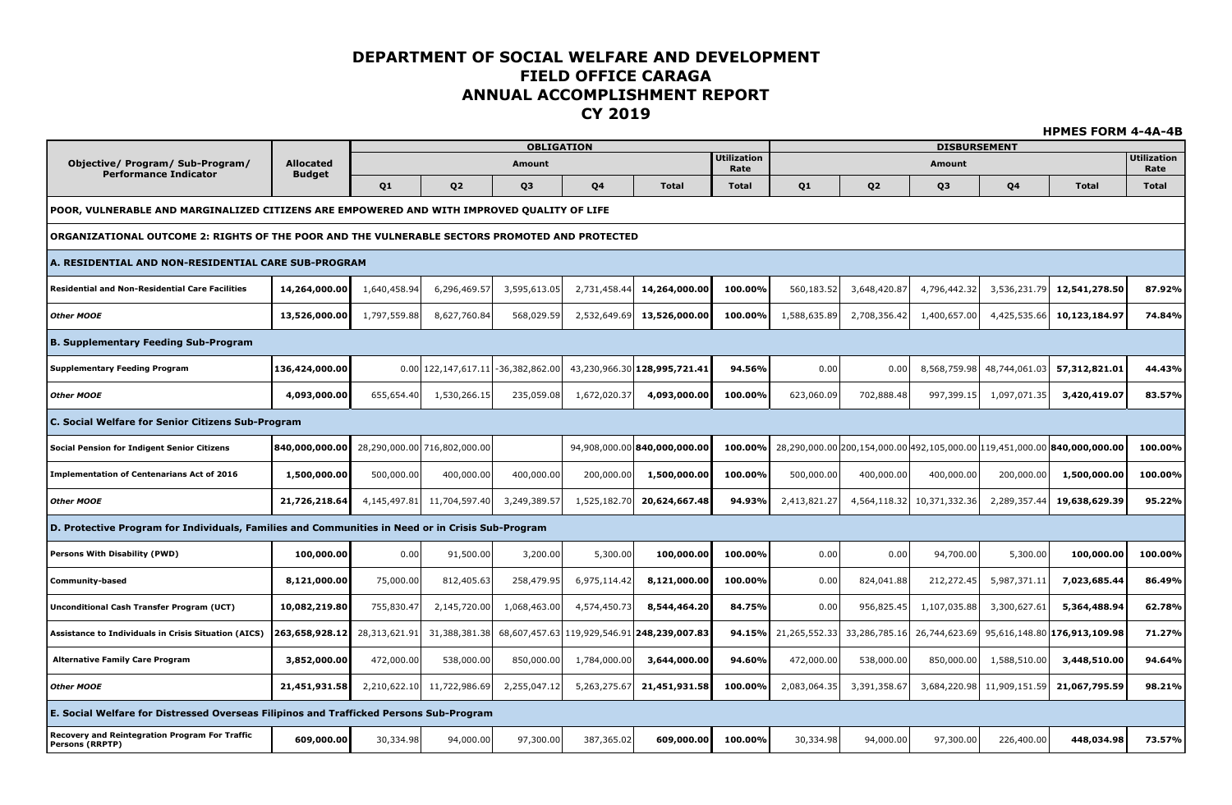|                                                                                                  |                  |                |                              |                                        |              |                                             |                      |                |                |                               |               | <b>HPMES FORM 4-4A-4B</b>                                                        |                      |
|--------------------------------------------------------------------------------------------------|------------------|----------------|------------------------------|----------------------------------------|--------------|---------------------------------------------|----------------------|----------------|----------------|-------------------------------|---------------|----------------------------------------------------------------------------------|----------------------|
| Objective/ Program/ Sub-Program/                                                                 | <b>Allocated</b> |                |                              | <b>OBLIGATION</b><br>Amount            |              |                                             | <b>Utilization</b>   |                |                | <b>DISBURSEMENT</b><br>Amount |               |                                                                                  | <b>Utilization</b>   |
| <b>Performance Indicator</b>                                                                     | <b>Budget</b>    | Q <sub>1</sub> | Q <sub>2</sub>               | Q3                                     | Q4           | <b>Total</b>                                | Rate<br><b>Total</b> | Q <sub>1</sub> | Q <sub>2</sub> | Q <sub>3</sub>                | Q4            | <b>Total</b>                                                                     | Rate<br><b>Total</b> |
| POOR, VULNERABLE AND MARGINALIZED CITIZENS ARE EMPOWERED AND WITH IMPROVED QUALITY OF LIFE       |                  |                |                              |                                        |              |                                             |                      |                |                |                               |               |                                                                                  |                      |
| ORGANIZATIONAL OUTCOME 2: RIGHTS OF THE POOR AND THE VULNERABLE SECTORS PROMOTED AND PROTECTED   |                  |                |                              |                                        |              |                                             |                      |                |                |                               |               |                                                                                  |                      |
|                                                                                                  |                  |                |                              |                                        |              |                                             |                      |                |                |                               |               |                                                                                  |                      |
| A. RESIDENTIAL AND NON-RESIDENTIAL CARE SUB-PROGRAM                                              |                  |                |                              |                                        |              |                                             |                      |                |                |                               |               |                                                                                  |                      |
| <b>Residential and Non-Residential Care Facilities</b>                                           | 14,264,000.00    | 1,640,458.94   | 6,296,469.57                 | 3,595,613.05                           | 2,731,458.44 | 14,264,000.00                               | 100.00%              | 560,183.52     | 3,648,420.87   | 4,796,442.32                  | 3,536,231.79  | 12,541,278.50                                                                    | 87.92%               |
| <b>Other MOOE</b>                                                                                | 13,526,000.00    | 1,797,559.88   | 8,627,760.84                 | 568,029.59                             | 2,532,649.69 | 13,526,000.00                               | 100.00%              | 1,588,635.89   | 2,708,356.42   | 1,400,657.00                  | 4,425,535.66  | 10,123,184.97                                                                    | 74.84%               |
| <b>B. Supplementary Feeding Sub-Program</b>                                                      |                  |                |                              |                                        |              |                                             |                      |                |                |                               |               |                                                                                  |                      |
| <b>Supplementary Feeding Program</b>                                                             | 136,424,000.00   |                |                              | $0.00 122,147,617.11  -36,382,862.00 $ |              | 43,230,966.30 128,995,721.41                | 94.56%               | 0.00           | 0.00           | 8,568,759.98                  | 48,744,061.03 | 57,312,821.01                                                                    | 44.43%               |
| <b>Other MOOE</b>                                                                                | 4,093,000.00     | 655,654.40     | 1,530,266.15                 | 235,059.08                             | 1,672,020.37 | 4,093,000.00                                | 100.00%              | 623,060.09     | 702,888.48     | 997,399.15                    | 1,097,071.35  | 3,420,419.07                                                                     | 83.57%               |
| C. Social Welfare for Senior Citizens Sub-Program                                                |                  |                |                              |                                        |              |                                             |                      |                |                |                               |               |                                                                                  |                      |
| <b>Social Pension for Indigent Senior Citizens</b>                                               | 840,000,000.00   |                | 28,290,000.00 716,802,000.00 |                                        |              | 94,908,000.00 840,000,000.00                | 100.00%              |                |                |                               |               | 28,290,000.00 200,154,000.00 492,105,000.00 119,451,000.00 <b>840,000,000.00</b> | 100.00%              |
| <b>Implementation of Centenarians Act of 2016</b>                                                | 1,500,000.00     | 500,000.00     | 400,000.00                   | 400,000.00                             | 200,000.00   | 1,500,000.00                                | 100.00%              | 500,000.00     | 400,000.00     | 400,000.00                    | 200,000.00    | 1,500,000.00                                                                     | 100.00%              |
| <b>Other MOOE</b>                                                                                | 21,726,218.64    | 4,145,497.81   | 11,704,597.40                | 3,249,389.57                           | 1,525,182.70 | 20,624,667.48                               | 94.93%               | 2,413,821.27   | 4,564,118.32   | 10,371,332.36                 | 2,289,357.44  | 19,638,629.39                                                                    | 95.22%               |
| D. Protective Program for Individuals, Families and Communities in Need or in Crisis Sub-Program |                  |                |                              |                                        |              |                                             |                      |                |                |                               |               |                                                                                  |                      |
| <b>Persons With Disability (PWD)</b>                                                             | 100,000.00       | 0.00           | 91,500.00                    | 3,200.00                               | 5,300.00     | 100,000.00                                  | 100.00%              | 0.00           | 0.00           | 94,700.00                     | 5,300.00      | 100,000,00                                                                       | 100.00%              |
| <b>Community-based</b>                                                                           | 8,121,000.00     | 75,000.00      | 812,405.63                   | 258,479.95                             | 6,975,114.42 | 8,121,000.00                                | 100.00%              | 0.00           | 824,041.88     | 212,272.45                    | 5,987,371.11  | 7,023,685.44                                                                     | 86.49%               |
| <b>Unconditional Cash Transfer Program (UCT)</b>                                                 | 10,082,219.80    | 755,830.47     | 2,145,720.00                 | 1,068,463.00                           | 4,574,450.73 | 8,544,464.20                                | 84.75%               | 0.00           | 956,825.45     | 1,107,035.88                  | 3,300,627.61  | 5,364,488.94                                                                     | 62.78%               |
| <b>Assistance to Individuals in Crisis Situation (AICS)</b>                                      | 263,658,928.12   | 28,313,621.91  | 31,388,381.38                |                                        |              | 68,607,457.63 119,929,546.91 248,239,007.83 | 94.15%               | 21,265,552.33  | 33,286,785.16  | 26,744,623.69                 |               | 95,616,148.80 176,913,109.98                                                     | 71.27%               |
| <b>Alternative Family Care Program</b>                                                           | 3,852,000.00     | 472,000.00     | 538,000.00                   | 850,000.00                             | 1,784,000.00 | 3,644,000.00                                | 94.60%               | 472,000.00     | 538,000.00     | 850,000.00                    | 1,588,510.00  | 3,448,510.00                                                                     | 94.64%               |
| <b>Other MOOE</b>                                                                                | 21,451,931.58    | 2,210,622.10   | 11,722,986.69                | 2,255,047.12                           | 5,263,275.67 | 21,451,931.58                               | 100.00%              | 2,083,064.35   | 3,391,358.67   | 3,684,220.98                  | 11,909,151.59 | 21,067,795.59                                                                    | 98.21%               |
| E. Social Welfare for Distressed Overseas Filipinos and Trafficked Persons Sub-Program           |                  |                |                              |                                        |              |                                             |                      |                |                |                               |               |                                                                                  |                      |
| Recovery and Reintegration Program For Traffic<br>Persons (RRPTP)                                | 609,000.00       | 30,334.98      | 94,000.00                    | 97,300.00                              | 387,365.02   | 609,000.00                                  | 100.00%              | 30,334.98      | 94,000.00      | 97,300.00                     | 226,400.00    | 448,034.98                                                                       | 73.57%               |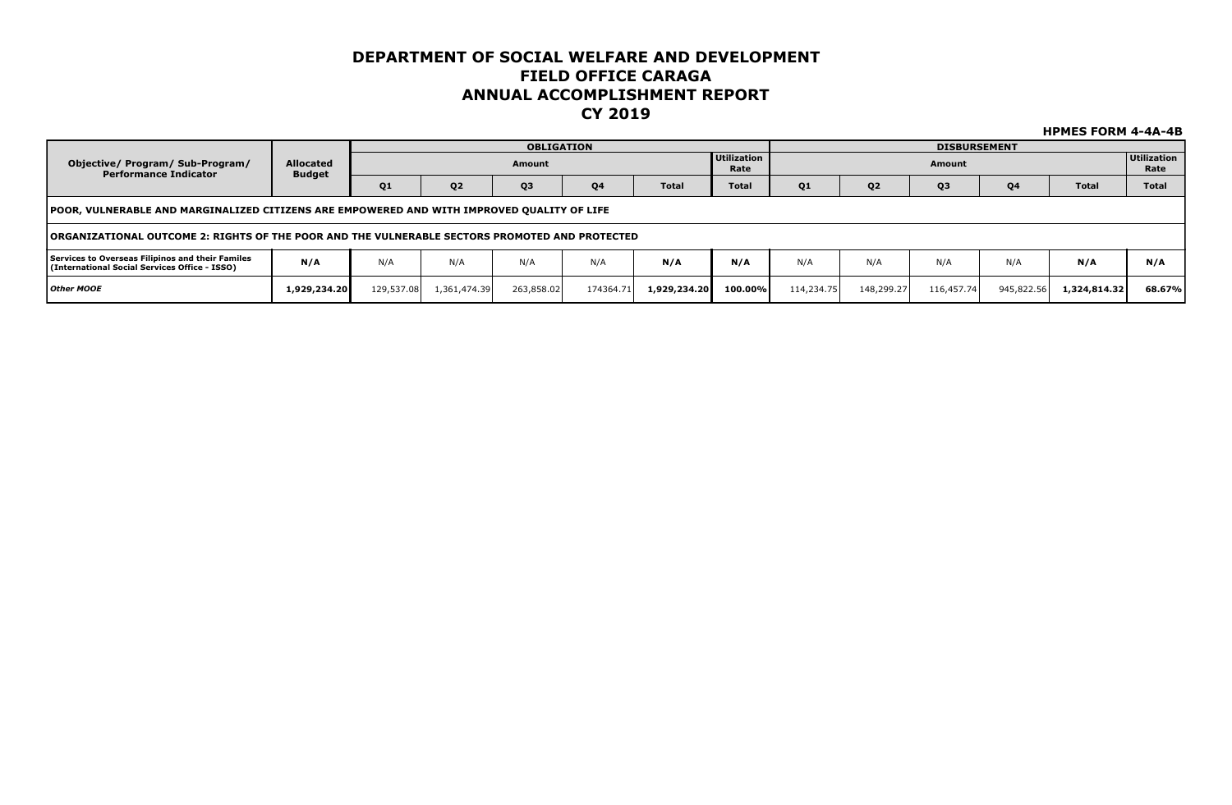|                                                                                                   |                                   |            |                | <b>OBLIGATION</b> |                |              |                            |            |                | <b>DISBURSEMENT</b> |                |              |                            |
|---------------------------------------------------------------------------------------------------|-----------------------------------|------------|----------------|-------------------|----------------|--------------|----------------------------|------------|----------------|---------------------|----------------|--------------|----------------------------|
| Objective/ Program/ Sub-Program/<br><b>Performance Indicator</b>                                  | <b>Allocated</b><br><b>Budget</b> |            |                | Amount            |                |              | <b>Utilization</b><br>Rate |            |                | Amount              |                |              | <b>Utilization</b><br>Rate |
|                                                                                                   |                                   | Q1         | Q <sub>2</sub> | Q <sub>3</sub>    | Q <sub>4</sub> | <b>Total</b> | <b>Total</b>               | Q1         | Q <sub>2</sub> | Q <sub>3</sub>      | Q <sub>4</sub> | <b>Total</b> | <b>Total</b>               |
| POOR, VULNERABLE AND MARGINALIZED CITIZENS ARE EMPOWERED AND WITH IMPROVED QUALITY OF LIFE        |                                   |            |                |                   |                |              |                            |            |                |                     |                |              |                            |
| TORGANIZATIONAL OUTCOME 2: RIGHTS OF THE POOR AND THE VULNERABLE SECTORS PROMOTED AND PROTECTED   |                                   |            |                |                   |                |              |                            |            |                |                     |                |              |                            |
| Services to Overseas Filipinos and their Familes<br>(International Social Services Office - ISSO) | N/A                               | N/A        | N/A            | N/A               | N/A            | N/A          | N/A                        | N/A        | N/A            | N/A                 | N/A            | N/A          | N/A                        |
| Other MOOE                                                                                        | 1,929,234.20                      | 129,537.08 | 1,361,474.39   | 263,858.02        | 174364.71      | 1,929,234.20 | $100.00\%$                 | 114,234.75 | 148,299.27     | 116,457.74          | 945,822.56     | 1,324,814.32 | 68.67%                     |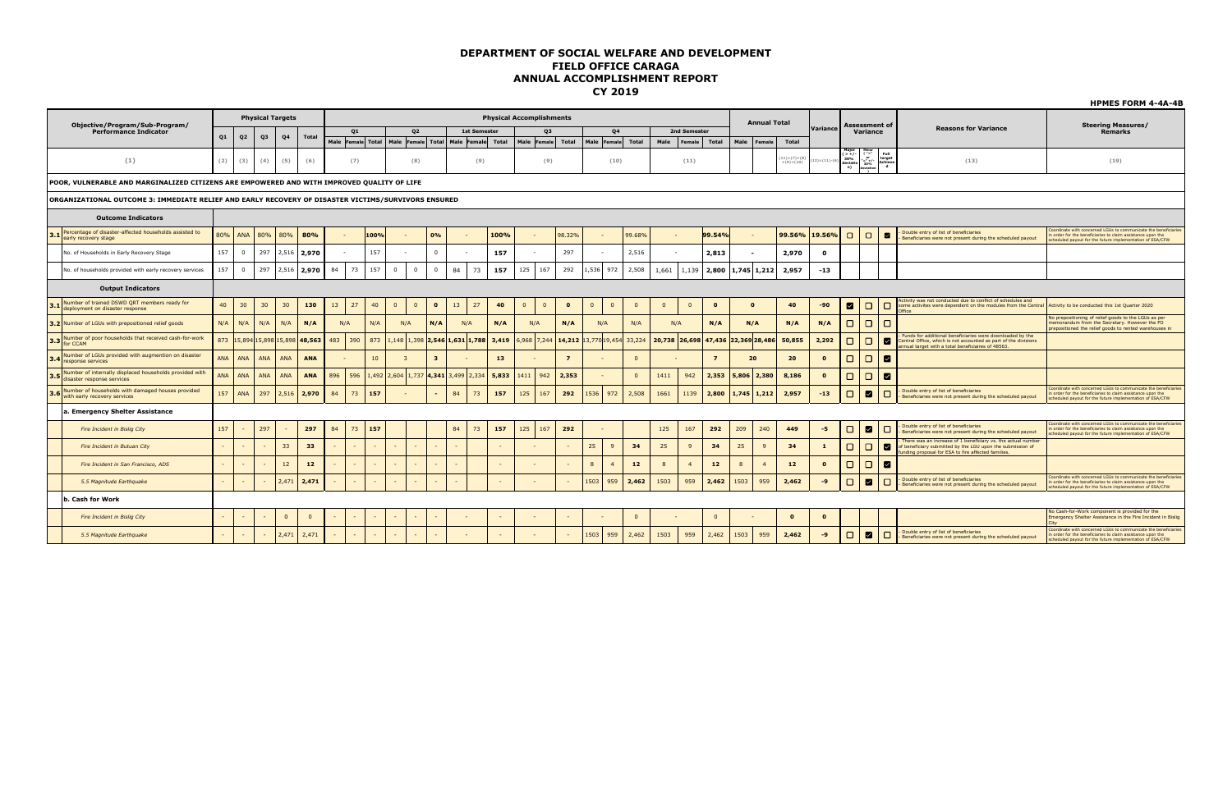|     |                                                                                                     |     |                |            |                         |              |     |        |       |                                                               |                         |                   |                     |                                 |            |                |          |                             |              |                |              |                                    |               |                     |                              |          |                                                                                                                                                                                                |                                                                                                     |                                                                                                                                                                                         | <b>HPMES FORM 4-4A-4B</b>                                                                                                                                                                  |
|-----|-----------------------------------------------------------------------------------------------------|-----|----------------|------------|-------------------------|--------------|-----|--------|-------|---------------------------------------------------------------|-------------------------|-------------------|---------------------|---------------------------------|------------|----------------|----------|-----------------------------|--------------|----------------|--------------|------------------------------------|---------------|---------------------|------------------------------|----------|------------------------------------------------------------------------------------------------------------------------------------------------------------------------------------------------|-----------------------------------------------------------------------------------------------------|-----------------------------------------------------------------------------------------------------------------------------------------------------------------------------------------|--------------------------------------------------------------------------------------------------------------------------------------------------------------------------------------------|
|     | Objective/Program/Sub-Program/                                                                      |     |                |            | <b>Physical Targets</b> |              |     |        |       |                                                               |                         |                   |                     | <b>Physical Accomplishments</b> |            |                |          |                             |              |                |              |                                    |               | <b>Annual Total</b> |                              |          |                                                                                                                                                                                                | <b>Assessment of</b>                                                                                |                                                                                                                                                                                         | <b>Steering Measures/</b>                                                                                                                                                                  |
|     | <b>Performance Indicator</b>                                                                        |     |                |            |                         |              |     | Q1     |       | Q <sub>2</sub>                                                |                         |                   | <b>1st Semester</b> |                                 |            | Q <sub>3</sub> |          | Q <sub>4</sub>              |              |                | 2nd Semester |                                    |               |                     |                              | Variance |                                                                                                                                                                                                | Variance                                                                                            | <b>Reasons for Variance</b>                                                                                                                                                             | <b>Remarks</b>                                                                                                                                                                             |
|     |                                                                                                     | Q1  | Q <sub>2</sub> | Q3         | Q <sub>4</sub>          | <b>Total</b> |     |        |       | Male Female Total   Male Female   Total   Male Female   Total |                         |                   |                     | Male                            | Female     | Total          | Male     | 'Female                     | Total        | Male           | Female       | Total                              | Male          | Female              | Total                        |          |                                                                                                                                                                                                |                                                                                                     |                                                                                                                                                                                         |                                                                                                                                                                                            |
|     | (1)                                                                                                 | (2) | (3)            | (4)        | (5)                     | (6)          |     | (7)    |       | (8)                                                           |                         |                   | (9)                 |                                 |            | (9)            |          | (10)                        |              |                | (11)         |                                    |               |                     | $(11)= (7)+(8)$<br>+(9)+(10) |          | $\begin{array}{ l } \hline \text{Major} & \text{Minor} \\ ( > + / - & ( \text{``<''} \\ 30\% & \text{''} \\ \text{deviation} & \text{30\%} \\ \hline \text{n)} & \text{deviation} \end{array}$ | $_{\rm{Full}}$<br>target<br>Achieve<br>d                                                            | (13)                                                                                                                                                                                    | (19)                                                                                                                                                                                       |
|     | POOR, VULNERABLE AND MARGINALIZED CITIZENS ARE EMPOWERED AND WITH IMPROVED QUALITY OF LIFE          |     |                |            |                         |              |     |        |       |                                                               |                         |                   |                     |                                 |            |                |          |                             |              |                |              |                                    |               |                     |                              |          |                                                                                                                                                                                                |                                                                                                     |                                                                                                                                                                                         |                                                                                                                                                                                            |
|     | ORGANIZATIONAL OUTCOME 3: IMMEDIATE RELIEF AND EARLY RECOVERY OF DISASTER VICTIMS/SURVIVORS ENSURED |     |                |            |                         |              |     |        |       |                                                               |                         |                   |                     |                                 |            |                |          |                             |              |                |              |                                    |               |                     |                              |          |                                                                                                                                                                                                |                                                                                                     |                                                                                                                                                                                         |                                                                                                                                                                                            |
|     | <b>Outcome Indicators</b>                                                                           |     |                |            |                         |              |     |        |       |                                                               |                         |                   |                     |                                 |            |                |          |                             |              |                |              |                                    |               |                     |                              |          |                                                                                                                                                                                                |                                                                                                     |                                                                                                                                                                                         |                                                                                                                                                                                            |
|     | 3.1 Percentage of disaster-affected households assisted to<br>early recovery stage                  | 80% | <b>ANA</b>     | 80%        | 80%                     | 80%          |     |        | 100%  |                                                               | 0%                      |                   |                     | 100%                            |            | 98.32%         |          | $\sim$                      | 99.68%       |                |              | 99.54%                             |               |                     | 99.56%                       | 19.56%   | $\Box$                                                                                                                                                                                         | $\Box$<br>$\blacksquare$                                                                            | Double entry of list of beneficiaries<br>Beneficiaries were not present during the scheduled payout                                                                                     | Coordinate with concerned LGUs to communicate the beneficiaries<br>order for the beneficiaries to claim assistance upon the<br>cheduled payout for the future implementation of ESA/CFW    |
|     | No. of Households in Early Recovery Stage                                                           | 157 | $^{\circ}$     | 297        | 2,516                   | 2,970        |     |        | 157   |                                                               | $\Omega$                |                   |                     | 157                             |            | 297            |          |                             | 2,516        |                |              | 2,813                              | $\sim$        |                     | 2,970                        | $\Omega$ |                                                                                                                                                                                                |                                                                                                     |                                                                                                                                                                                         |                                                                                                                                                                                            |
|     | No. of households provided with early recovery services                                             | 157 | $\mathbf{0}$   | 297        | 2,516                   | 2.970        | 84  | 73     | 157   | $\circ$<br>$\overline{\mathbf{0}}$                            |                         | 84                | 73                  | 157<br>125                      |            | 167<br>292     | 1,536    | 972                         | 2,508        | 1,661          | 1,139        | 2,800                              | 1,745 1,212   |                     | 2,957                        | $-13$    |                                                                                                                                                                                                |                                                                                                     |                                                                                                                                                                                         |                                                                                                                                                                                            |
|     | <b>Output Indicators</b>                                                                            |     |                |            |                         |              |     |        |       |                                                               |                         |                   |                     |                                 |            |                |          |                             |              |                |              |                                    |               |                     |                              |          |                                                                                                                                                                                                |                                                                                                     |                                                                                                                                                                                         |                                                                                                                                                                                            |
|     | Number of trained DSWD QRT members ready for<br>3.1 deployment on disaster response                 | 40  | 30             | 30         | 30 <sub>2</sub>         | 130          | 13  | 27     | 40    | $\Omega$<br>$\Omega$                                          | $\bullet$               | 13                | 27                  | 40<br>$\Omega$                  | $\Omega$   | $\bullet$      | $\Omega$ | $\Omega$                    | $\Omega$     | $\overline{0}$ | $\Omega$     | $\mathbf{o}$                       | $\Omega$      |                     | 40                           | -90      | $\blacksquare$                                                                                                                                                                                 | $\Box$<br>$\Box$                                                                                    | Activity was not conducted due to conflict of schedules and<br>some activites were dependent on the modules from the Central<br>Office                                                  | Activity to be conducted this 1st Quarter 2020                                                                                                                                             |
|     | 3.2 Number of LGUs with prepositioned relief goods                                                  | N/A | N/A            | N/A        | N/A                     | N/A          |     | N/A    | N/A   | N/A                                                           | N/A                     | N/A               |                     | N/A                             | N/A        | N/A            |          | N/A                         | N/A          |                | N/A          | N/A                                | N/A           |                     | N/A                          | N/A      | $\Box$                                                                                                                                                                                         | $\Box$                                                                                              |                                                                                                                                                                                         | No prepositioning of relief goods to the LGUs as per<br>memorandum from the Secretary. However the FO<br>repositioned the relief goods to rented warehouses in                             |
|     | Number of poor households that received cash-for-work<br>3.3 for CCAM                               | 873 |                |            | 5,894 15,898 15,898     | 48,563       | 483 | 390    | 873   | ,148 1,398                                                    |                         | 2,546 1,631 1,788 |                     | 3,419                           | ,968 7,244 |                |          | 14,212 13,770 19,454 33,224 |              | 20,738         |              | 26,698 47,436 22,369 28,486 50,855 |               |                     |                              | 2,292    | $\Box$                                                                                                                                                                                         | $\Box$<br>◘                                                                                         | unds for additional beneficiaries were downloaded by the<br>Central Office, which is not accounted as part of the divisions<br>nnual target with a total beneficiaires of 48563.        |                                                                                                                                                                                            |
| 3.4 | Number of LGUs provided with augmention on disaster<br>response services                            | ANA | ANA            | <b>ANA</b> | <b>ANA</b>              | <b>ANA</b>   |     |        | 10    | -3                                                            | $\overline{\mathbf{3}}$ |                   |                     | 13                              |            | $\overline{z}$ |          |                             | $\Omega$     |                |              | $\overline{z}$                     | 20            |                     | 20                           | $\Omega$ | $\Box$                                                                                                                                                                                         | $\Box$<br><b>M</b>                                                                                  |                                                                                                                                                                                         |                                                                                                                                                                                            |
|     | 3.5 Number or uncome,<br>Number of internally displaced households provided with                    | ANA | <b>ANA</b>     | <b>ANA</b> | <b>ANA</b>              | <b>ANA</b>   | 896 | 596    | 1,492 | $2,604$ 1,737                                                 | 4.341                   | 3,499 2,334       |                     | 5.833<br>1411                   |            | 2,353<br>942   |          | $\sim$                      | $\Omega$     | 1411           | 942          | 2.353                              | 5.806         | 2,380               | 8,186                        | $\Omega$ | $\Box$                                                                                                                                                                                         | $\Box$<br>◘                                                                                         |                                                                                                                                                                                         |                                                                                                                                                                                            |
|     | Number of households with damaged houses provided<br>3.6 With early recovery services               | 157 | ANA            | 297        | 2,516                   | 2.970        | 84  | 73     | 157   |                                                               |                         | 84                | 73                  | 125<br>157                      |            | 167<br>292     | 1536     | 972                         | 2,508        | 1661           | 1139         | 2,800                              | $1,745$ 1,212 |                     | 2,957                        | $-13$    | $\Box$                                                                                                                                                                                         | $\Box$<br>◘                                                                                         | Double entry of list of beneficiaries<br>Beneficiaries were not present during the scheduled payout                                                                                     | coordinate with concerned LGUs to communicate the beneficiaries<br>n order for the beneficiaries to claim assistance upon the<br>cheduled payout for the future implementation of ESA/CFW  |
|     | a. Emergency Shelter Assistance                                                                     |     |                |            |                         |              |     |        |       |                                                               |                         |                   |                     |                                 |            |                |          |                             |              |                |              |                                    |               |                     |                              |          |                                                                                                                                                                                                |                                                                                                     |                                                                                                                                                                                         |                                                                                                                                                                                            |
|     | Fire Incident in Bisliq City                                                                        | 157 |                | 297        |                         | 297          | 84  | 73     | 157   |                                                               |                         | 84                | 73                  | 157<br>125                      |            | 167<br>292     |          | $\sim$                      |              | 125            | 167          | 292                                | 209           | 240                 | 449                          | $-5$     | $\Box$                                                                                                                                                                                         | $\blacksquare$<br>$\Box$                                                                            | Double entry of list of beneficiaries<br>Beneficiaries were not present during the scheduled payout                                                                                     | Coordinate with concerned LGUs to communicate the beneficiaries<br>order for the beneficiaries to claim assistance upon the<br>cheduled payout for the future implementation of ESA/CFW    |
|     | Fire Incident in Butuan City                                                                        |     |                | $\sim$     | 33                      | 33           |     | $\sim$ |       |                                                               |                         | $\sim$            |                     | $\sim$                          |            |                | 25       | 9                           | 34           | 25             | $\mathbf{q}$ | 34                                 | 25            | 9                   | 34                           |          | $\Box$                                                                                                                                                                                         | $\Box$<br>◘                                                                                         | There was an increase of 1 beneficiary vs. the actual number<br>beneficiary submitted by the LGU upon the submission of<br>unding proposal for ESA to fire affected families.           |                                                                                                                                                                                            |
|     | Fire Incident in San Francisco, ADS                                                                 |     |                |            | 12                      | 12           |     |        |       |                                                               |                         |                   |                     | $\sim$                          |            |                | 8        | $\mathbf{A}$                | $12$         | $\mathbf{8}$   |              | 12                                 | 8             | $\overline{4}$      | 12                           | $\Omega$ | $\Box$                                                                                                                                                                                         | $\Box$<br>◘                                                                                         |                                                                                                                                                                                         |                                                                                                                                                                                            |
|     | 5.5 Magnitude Earthquake                                                                            |     | $\sim$         | 2,471      | 2.471                   |              |     |        |       |                                                               |                         |                   | $\sim$              |                                 |            | 1503           | 959      | 2,462                       | 1503         | 959            | 2.462        | 1503                               | 959           | 2,462               | $-9$                         | $\Box$   | ☑<br>$\Box$                                                                                                                                                                                    | Double entry of list of beneficiaries<br>Beneficiaries were not present during the scheduled payout | Coordinate with concerned LGUs to communicate the beneficiaries<br>order for the beneficiaries to claim assistance upon the<br>cheduled payout for the future implementation of ESA/CFW |                                                                                                                                                                                            |
|     | . Cash for Work                                                                                     |     |                |            |                         |              |     |        |       |                                                               |                         |                   |                     |                                 |            |                |          |                             |              |                |              |                                    |               |                     |                              |          |                                                                                                                                                                                                |                                                                                                     |                                                                                                                                                                                         |                                                                                                                                                                                            |
|     | Fire Incident in Bisliq City                                                                        |     |                |            | $\mathbf{0}$            | $\mathbf{0}$ |     | $\sim$ |       | $\sim$                                                        |                         |                   |                     | $\sim$                          |            |                |          |                             | $\mathbf{0}$ |                |              | $\overline{0}$                     |               |                     | $\mathbf{o}$                 |          |                                                                                                                                                                                                |                                                                                                     |                                                                                                                                                                                         | No Cash-for-Work component is provided for the<br>Emergency Shelter Assistance in the Fire Incident in Bislig                                                                              |
|     | 5.5 Magnitude Earthquake                                                                            |     |                | $\sim$     | 2,471                   | 2,471        |     |        |       |                                                               |                         |                   |                     |                                 |            |                | 1503     | 959                         | 2,462        | 1503           | 959          | 2,462                              | 1503          | 959                 | 2,462                        | -9       | $\Box$                                                                                                                                                                                         | $\Box$<br><b>M</b>                                                                                  | - Double entry of list of beneficiaries<br>Beneficiaries were not present during the scheduled payout                                                                                   | Coordinate with concerned LGUs to communicate the beneficiaries<br>n order for the beneficiaries to claim assistance upon the<br>scheduled payout for the future implementation of ESA/CFW |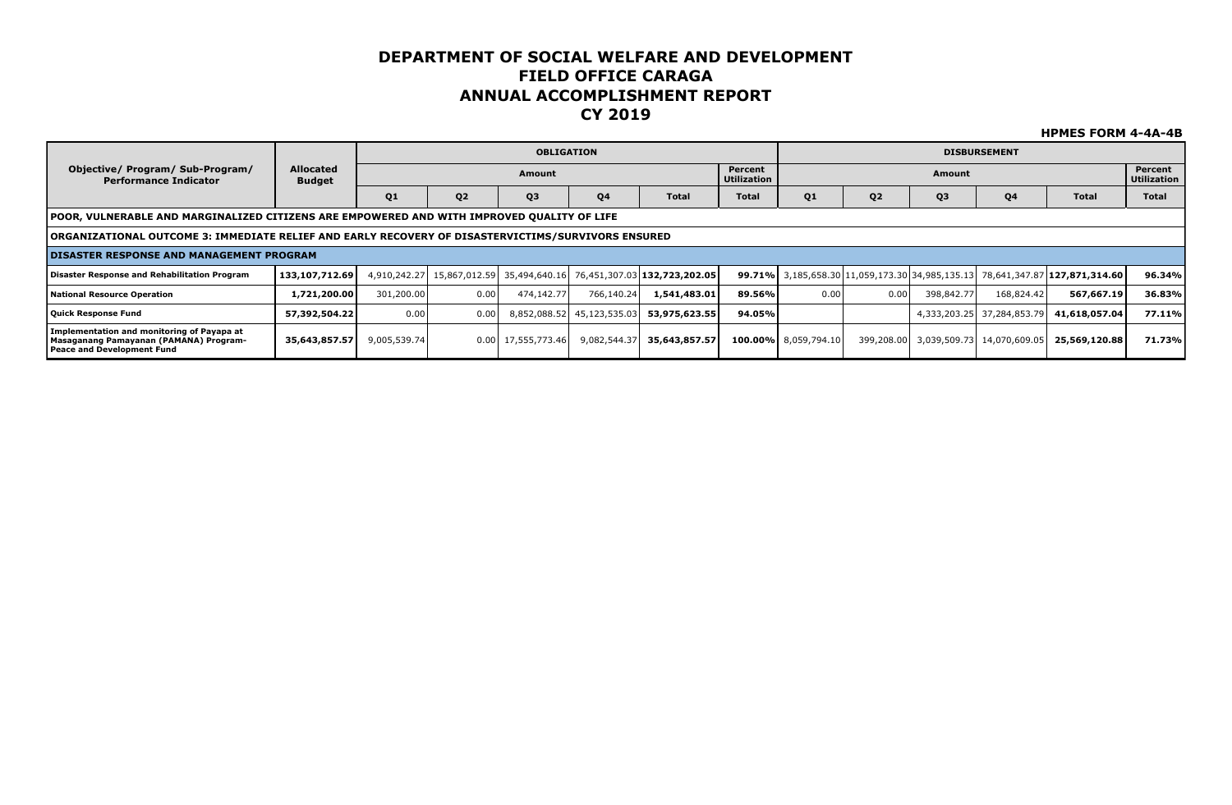|                                                                                                                    |                                   |                |                                          | <b>OBLIGATION</b>    |               |                              |                        |                      |                |                | <b>DISBURSEMENT</b>        |                                                                              |                               |
|--------------------------------------------------------------------------------------------------------------------|-----------------------------------|----------------|------------------------------------------|----------------------|---------------|------------------------------|------------------------|----------------------|----------------|----------------|----------------------------|------------------------------------------------------------------------------|-------------------------------|
| Objective/ Program/ Sub-Program/<br><b>Performance Indicator</b>                                                   | <b>Allocated</b><br><b>Budget</b> |                |                                          | Amount               |               |                              | Percent<br>Utilization |                      |                | <b>Amount</b>  |                            |                                                                              | Percent<br><b>Utilization</b> |
|                                                                                                                    |                                   | Q <sub>1</sub> | Q <sub>2</sub>                           | Q <sub>3</sub>       | Q4            | <b>Total</b>                 | <b>Total</b>           | Q <sub>1</sub>       | Q <sub>2</sub> | Q <sub>3</sub> | <b>Q4</b>                  | <b>Total</b>                                                                 | <b>Total</b>                  |
| POOR, VULNERABLE AND MARGINALIZED CITIZENS ARE EMPOWERED AND WITH IMPROVED QUALITY OF LIFE                         |                                   |                |                                          |                      |               |                              |                        |                      |                |                |                            |                                                                              |                               |
| ORGANIZATIONAL OUTCOME 3: IMMEDIATE RELIEF AND EARLY RECOVERY OF DISASTERVICTIMS/SURVIVORS ENSURED                 |                                   |                |                                          |                      |               |                              |                        |                      |                |                |                            |                                                                              |                               |
| <b>IDISASTER RESPONSE AND MANAGEMENT PROGRAM</b>                                                                   |                                   |                |                                          |                      |               |                              |                        |                      |                |                |                            |                                                                              |                               |
| Disaster Response and Rehabilitation Program                                                                       | 133,107,712.69                    |                | 4,910,242.27 15,867,012.59 35,494,640.16 |                      |               | 76,451,307.03 132,723,202.05 |                        |                      |                |                |                            | 99.71% 3,185,658.30 11,059,173.30 34,985,135.13 78,641,347.87 127,871,314.60 | 96.34%                        |
| National Resource Operation                                                                                        | 1,721,200.00                      | 301,200.00     | 0.00                                     | 474,142.77           | 766,140.24    | 1,541,483.01                 | 89.56%                 | 0.00                 | 0.00           | 398,842.77     | 168,824.42                 | 567,667.19                                                                   | 36.83%                        |
| <b>Quick Response Fund</b>                                                                                         | 57,392,504.22                     | 0.00           | 0.00                                     | 8,852,088.52         | 45,123,535.03 | 53,975,623.55                | 94.05%                 |                      |                | 4,333,203.25   | 37,284,853.79              | 41,618,057.04                                                                | 77.11%                        |
| Implementation and monitoring of Payapa at<br>Masaganang Pamayanan (PAMANA) Program-<br>Peace and Development Fund | 35,643,857.57                     | 9,005,539.74   |                                          | $0.00$ 17,555,773.46 | 9,082,544.37  | 35,643,857.57                |                        | 100.00% 8,059,794.10 | 399,208.00     |                | 3,039,509.73 14,070,609.05 | 25,569,120.88                                                                | 71.73%                        |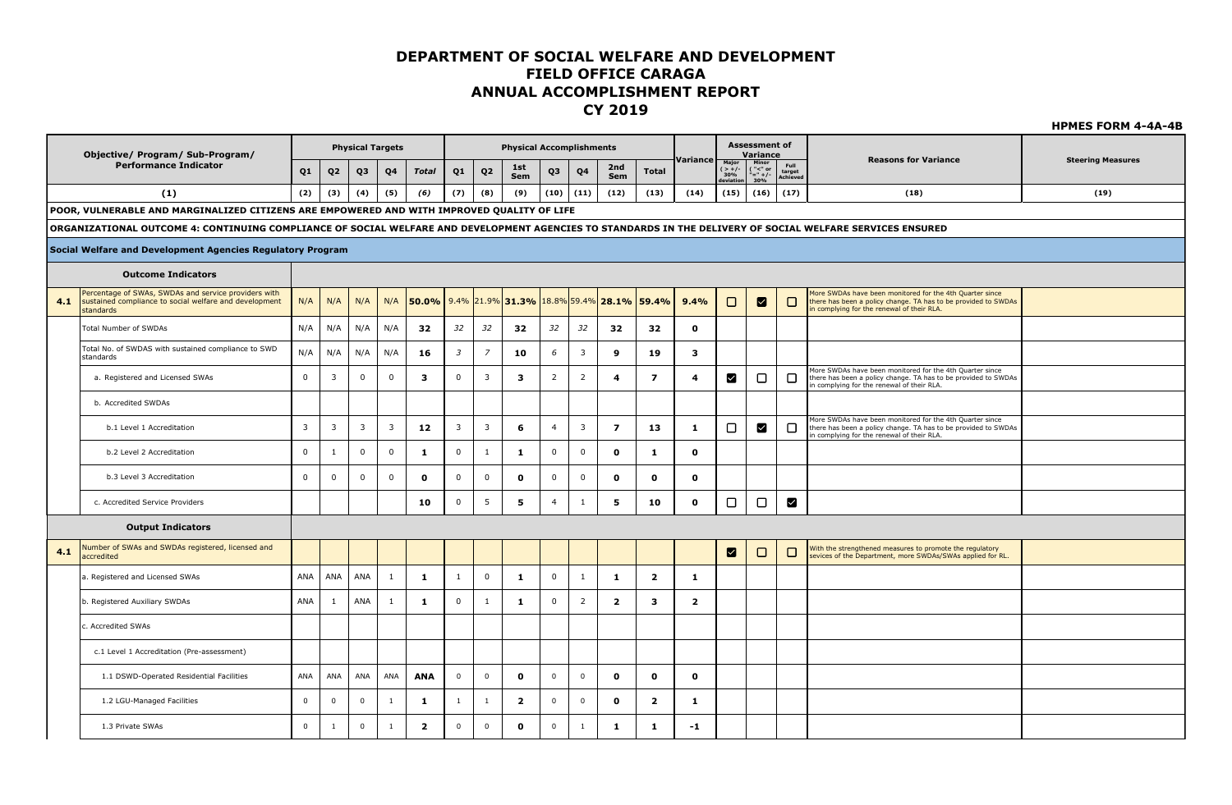**HPMES FORM 4-4A-4B**

**Assessment of Physical Targets Physical Accomplishments Objective/ Program/ Sub-Program/ Variance Reasons for Variance Steering Measures Variance Performance Indicator Major ( > +/- 30% deviation Minor ( "<" or Sem Total Q1 Q2 Q3 Q4** *Total* **Q1 Q2 1st Sem Q3 Q4 2nd Full target Achieved**  $\frac{30\%}{(16)}$   $\frac{$  Achieved **) ) (1) (2) (3) (4) (5)** *(6)* **(7) (8) (9) (10) (11) (12) (13) (14) (15) (16) (17) (18) (19) POOR, VULNERABLE AND MARGINALIZED CITIZENS ARE EMPOWERED AND WITH IMPROVED QUALITY OF LIFE ORGANIZATIONAL OUTCOME 4: CONTINUING COMPLIANCE OF SOCIAL WELFARE AND DEVELOPMENT AGENCIES TO STANDARDS IN THE DELIVERY OF SOCIAL WELFARE SERVICES ENSURED Social Welfare and Development Agencies Regulatory Program Outcome Indicators** Percentage of SWAs, SWDAs and service providers with More SWDAs have been monitored for the 4th Quarter since N/A N/A N/A N/A **50.0%** 9.4% 21.9% **31.3%** 18.8% 59.4% **28.1% 59.4% 9.4%**  $\Box$  $\blacksquare$  $\Box$ **4.1** sustained compliance to social welfare and development there has been a policy change. TA has to be provided to SWDAs in complying for the renewal of their RLA. standards Total Number of SWDAs N/A N/A N/A N/A **32** *32 32* **32** *32 32* **32 32 0** Total No. of SWDAS with sustained compliance to SWD standards N/A N/A N/A N/A **16** *<sup>3</sup> <sup>7</sup>* **10** *<sup>6</sup>* <sup>3</sup> **9 19 3** More SWDAs have been monitored for the 4th Quarter since a. Registered and Licensed SWAs 0 3 0 0 **3** 0 3 **3** 2 2 **4 7 4**  $\blacksquare$  $\Box$  $\Box$ there has been a policy change. TA has to be provided to SWDAs in complying for the renewal of their RLA. b. Accredited SWDAs More SWDAs have been monitored for the 4th Quarter since  $\Box$  $\blacksquare$  $\Box$ there has been a policy change. TA has to be provided to SWDAs b.1 Level 1 Accreditation 3 3 3 3 **12** 3 3 **6** 4 3 **7 13 1** in complying for the renewal of their RLA. b.2 Level 2 Accreditation 0 1 0 0 **1** 0 1 **1** 0 0 **0 1 0** b.3 Level 3 Accreditation 0 0 0 0 **0** 0 0 **0** 0 0 **0 0 0**  $\Box$  $\blacksquare$  c. Accredited Service Providers **10** 0 5 **5** 4 1 **5 10 0**  $\Box$ **Output Indicators 4.1** Number of SWAs and SWDAs registered, licensed and With the strengthened measures to promote the regulatory ◙  $\Box$  $\Box$ sevices of the Department, more SWDAs/SWAs applied for RL. accredited a. Registered and Licensed SWAs ANA ANA ANA 1 **1** 1 0 **1** 0 1 **1 2 1** b. Registered Auxiliary SWDAs ANA 1 ANA 1 **1** 0 1 **1** 0 2 **2 3 2** c. Accredited SWAs c.1 Level 1 Accreditation (Pre-assessment) 1.1 DSWD-Operated Residential Facilities ANA ANA ANA ANA **ANA** 0 0 **0** 0 0 **0 0 0** 1.2 LGU-Managed Facilities 0 0 0 1 **1** 1 1 **2** 0 0 **0 2 1** 1.3 Private SWAs 0 1 0 1 **2** 0 0 **0** 0 1 **1 1 -1**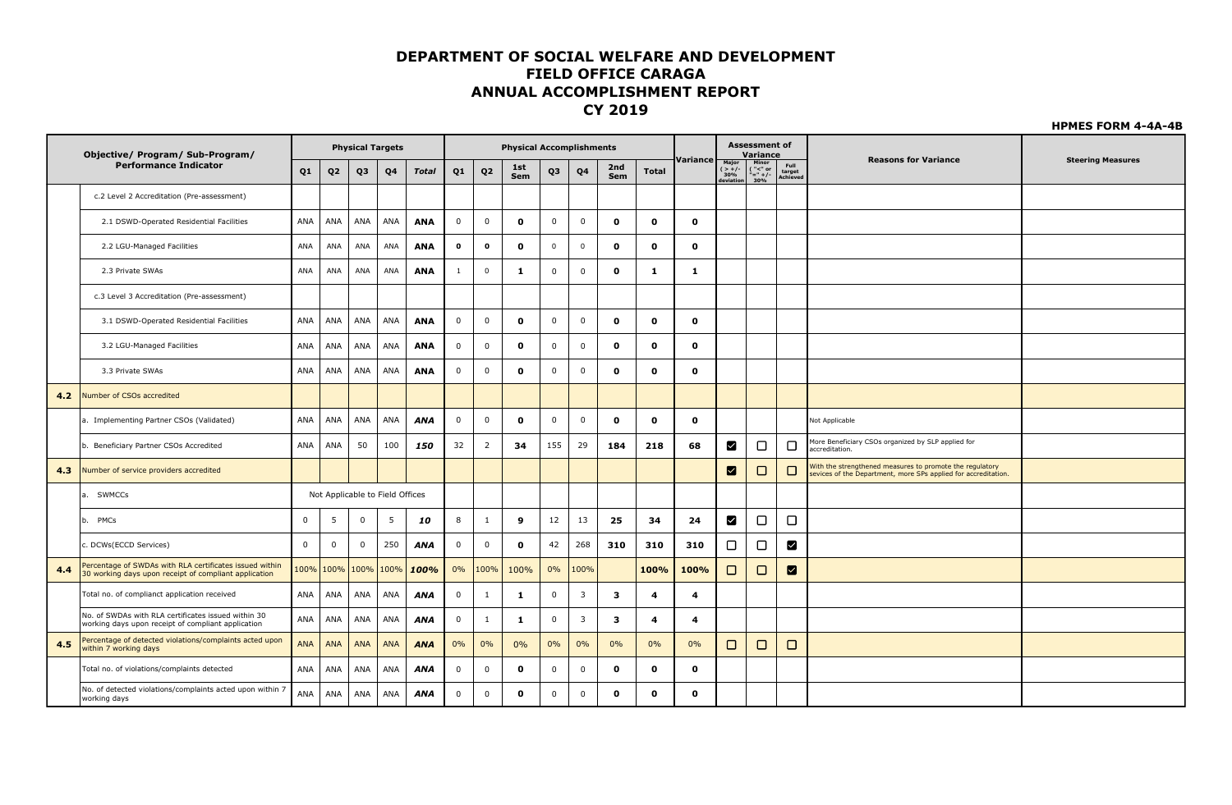|     | Objective/ Program/ Sub-Program/                                                                                 |                |                | <b>Physical Targets</b> |                                 |              |              |                    | <b>Physical Accomplishments</b> |              |                         |              |                    |              |                                | <b>Assessment of</b><br>Variance                           |                            |                                                                                                                            |                          |
|-----|------------------------------------------------------------------------------------------------------------------|----------------|----------------|-------------------------|---------------------------------|--------------|--------------|--------------------|---------------------------------|--------------|-------------------------|--------------|--------------------|--------------|--------------------------------|------------------------------------------------------------|----------------------------|----------------------------------------------------------------------------------------------------------------------------|--------------------------|
|     | <b>Performance Indicator</b>                                                                                     | Q <sub>1</sub> | Q <sub>2</sub> | Q <sub>3</sub>          | Q4                              | <b>Total</b> | Q1           | Q <sub>2</sub>     | 1st<br>Sem                      | Q3           | Q4                      | 2nd<br>Sem   | <b>Total</b>       | Variance     | Major<br>$( > +/-30%deviation$ | Minor<br>$\frac{(-2.0)}{(-2.0)}$<br>$\frac{(-2.0)}{3.0\%}$ | Full<br>target<br>Achiever | <b>Reasons for Variance</b>                                                                                                | <b>Steering Measures</b> |
|     | c.2 Level 2 Accreditation (Pre-assessment)                                                                       |                |                |                         |                                 |              |              |                    |                                 |              |                         |              |                    |              |                                |                                                            |                            |                                                                                                                            |                          |
|     | 2.1 DSWD-Operated Residential Facilities                                                                         | ANA            | ANA            | ANA                     | ANA                             | <b>ANA</b>   | $\mathbf 0$  | $\mathbf 0$        | $\mathbf{o}$                    | $\mathbf 0$  | $\mathbf 0$             | $\mathbf{o}$ | $\mathbf 0$        | $\mathbf{o}$ |                                |                                                            |                            |                                                                                                                            |                          |
|     | 2.2 LGU-Managed Facilities                                                                                       | ANA            | ANA            | ANA                     | ANA                             | <b>ANA</b>   | $\mathbf 0$  | $\pmb{\mathsf{o}}$ | $\mathbf 0$                     | $\mathbf 0$  | $\mathsf 0$             | $\mathbf{o}$ | $\mathbf{o}$       | $\mathbf{o}$ |                                |                                                            |                            |                                                                                                                            |                          |
|     | 2.3 Private SWAs                                                                                                 | ANA            | ANA            | ANA                     | ANA                             | <b>ANA</b>   | -1           | $\mathbf 0$        | -1                              | $\mathbf 0$  | $\mathbf{0}$            | $\mathbf{o}$ | -1                 | -1           |                                |                                                            |                            |                                                                                                                            |                          |
|     | c.3 Level 3 Accreditation (Pre-assessment)                                                                       |                |                |                         |                                 |              |              |                    |                                 |              |                         |              |                    |              |                                |                                                            |                            |                                                                                                                            |                          |
|     | 3.1 DSWD-Operated Residential Facilities                                                                         | ANA            | ANA            | ANA                     | ANA                             | <b>ANA</b>   | $\mathbf 0$  | $\mathbf 0$        | $\mathbf{o}$                    | $\mathbf 0$  | 0                       | $\mathbf 0$  | $\mathbf{o}$       | $\mathbf{0}$ |                                |                                                            |                            |                                                                                                                            |                          |
|     | 3.2 LGU-Managed Facilities                                                                                       | ANA            | ANA            | ANA                     | ANA                             | <b>ANA</b>   | $\mathsf{O}$ | $\mathbf 0$        | $\mathbf{o}$                    | $\mathbf 0$  | $\mathbf 0$             | $\mathbf{o}$ | $\mathbf{o}$       | $\mathbf{o}$ |                                |                                                            |                            |                                                                                                                            |                          |
|     | 3.3 Private SWAs                                                                                                 | ANA            | ANA            | ANA                     | ANA                             | <b>ANA</b>   | $\mathbf 0$  | $\mathbf 0$        | $\mathbf{o}$                    | $\mathbf 0$  | 0                       | $\mathbf{o}$ | $\mathbf{o}$       | $\mathbf{o}$ |                                |                                                            |                            |                                                                                                                            |                          |
| 4.2 | Number of CSOs accredited                                                                                        |                |                |                         |                                 |              |              |                    |                                 |              |                         |              |                    |              |                                |                                                            |                            |                                                                                                                            |                          |
|     | a. Implementing Partner CSOs (Validated)                                                                         | ANA            | ANA            | ANA                     | ANA                             | <b>ANA</b>   | $\mathbf 0$  | $\mathbf 0$        | $\mathbf 0$                     | $\mathbf 0$  | $\mathbf 0$             | $\mathbf 0$  | $\mathbf 0$        | $\mathbf{o}$ |                                |                                                            |                            | Not Applicable                                                                                                             |                          |
|     | b. Beneficiary Partner CSOs Accredited                                                                           | ANA            | ANA            | 50                      | 100                             | 150          | 32           | $\overline{2}$     | 34                              | 155          | 29                      | 184          | 218                | 68           | ⊠                              | $\Box$                                                     | $\Box$                     | More Beneficiary CSOs organized by SLP applied for<br>accreditation.                                                       |                          |
| 4.3 | Number of service providers accredited                                                                           |                |                |                         |                                 |              |              |                    |                                 |              |                         |              |                    |              | ☑                              | $\Box$                                                     | $\Box$                     | With the strengthened measures to promote the regulatory<br>sevices of the Department, more SPs applied for accreditation. |                          |
|     | <b>SWMCCs</b><br>la.                                                                                             |                |                |                         | Not Applicable to Field Offices |              |              |                    |                                 |              |                         |              |                    |              |                                |                                                            |                            |                                                                                                                            |                          |
|     | PMCs<br>lb.                                                                                                      | $\mathbf 0$    | 5              | $\mathbf 0$             | 5                               | 10           | 8            | 1                  | 9                               | 12           | 13                      | 25           | 34                 | 24           | ☑                              | $\Box$                                                     | О                          |                                                                                                                            |                          |
|     | c. DCWs(ECCD Services)                                                                                           | $\mathsf 0$    | 0              | $\mathbf 0$             | 250                             | <b>ANA</b>   | $\mathbf 0$  | $\mathbf 0$        | $\mathbf 0$                     | 42           | 268                     | 310          | 310                | 310          | □                              | $\Box$                                                     | $\mathbf{v}$               |                                                                                                                            |                          |
| 4.4 | Percentage of SWDAs with RLA certificates issued within<br>30 working days upon receipt of compliant application |                | 100%   100%    | 100%                    | 100%                            | 100%         | 0%           | 100%               | 100%                            | 0%           | 100%                    |              | 100%               | 100%         | □                              | $\Box$                                                     | ⊠                          |                                                                                                                            |                          |
|     | Total no. of complianct application received                                                                     | ANA            | ANA            | ANA                     | ANA                             | <b>ANA</b>   | $\mathbf 0$  | 1                  | 1                               | $\mathbf 0$  | $\overline{\mathbf{3}}$ | 3            | $\overline{\bf 4}$ | 4            |                                |                                                            |                            |                                                                                                                            |                          |
|     | No. of SWDAs with RLA certificates issued within 30<br>working days upon receipt of compliant application        | ANA            | ANA            | ANA                     | ANA                             | <b>ANA</b>   | $\mathbf 0$  | $\mathbf{1}$       | 1                               | $\mathbf 0$  | $\overline{\mathbf{3}}$ | 3            | $\overline{\bf 4}$ | 4            |                                |                                                            |                            |                                                                                                                            |                          |
| 4.5 | Percentage of detected violations/complaints acted upon<br>within 7 working days                                 | <b>ANA</b>     | <b>ANA</b>     | <b>ANA</b>              | <b>ANA</b>                      | <b>ANA</b>   | 0%           | 0%                 | 0%                              | $0\%$        | 0%                      | 0%           | 0%                 | 0%           | □                              | $\Box$                                                     | □                          |                                                                                                                            |                          |
|     | Total no. of violations/complaints detected                                                                      | ANA            | ANA            | ANA                     | ANA                             | <b>ANA</b>   | $\mathbf 0$  | $\mathbf 0$        | $\mathbf{o}$                    | $\mathbf 0$  | 0                       | $\mathbf{o}$ | $\mathbf 0$        | $\mathbf{o}$ |                                |                                                            |                            |                                                                                                                            |                          |
|     | No. of detected violations/complaints acted upon within 7<br>working days                                        | ANA            | ANA            | ANA                     | ANA                             | ANA          | $\Omega$     | $\mathbf 0$        | $\mathbf{o}$                    | $\mathbf{0}$ | $\mathbf 0$             | $\mathbf 0$  | $\mathbf{0}$       | $\mathbf{o}$ |                                |                                                            |                            |                                                                                                                            |                          |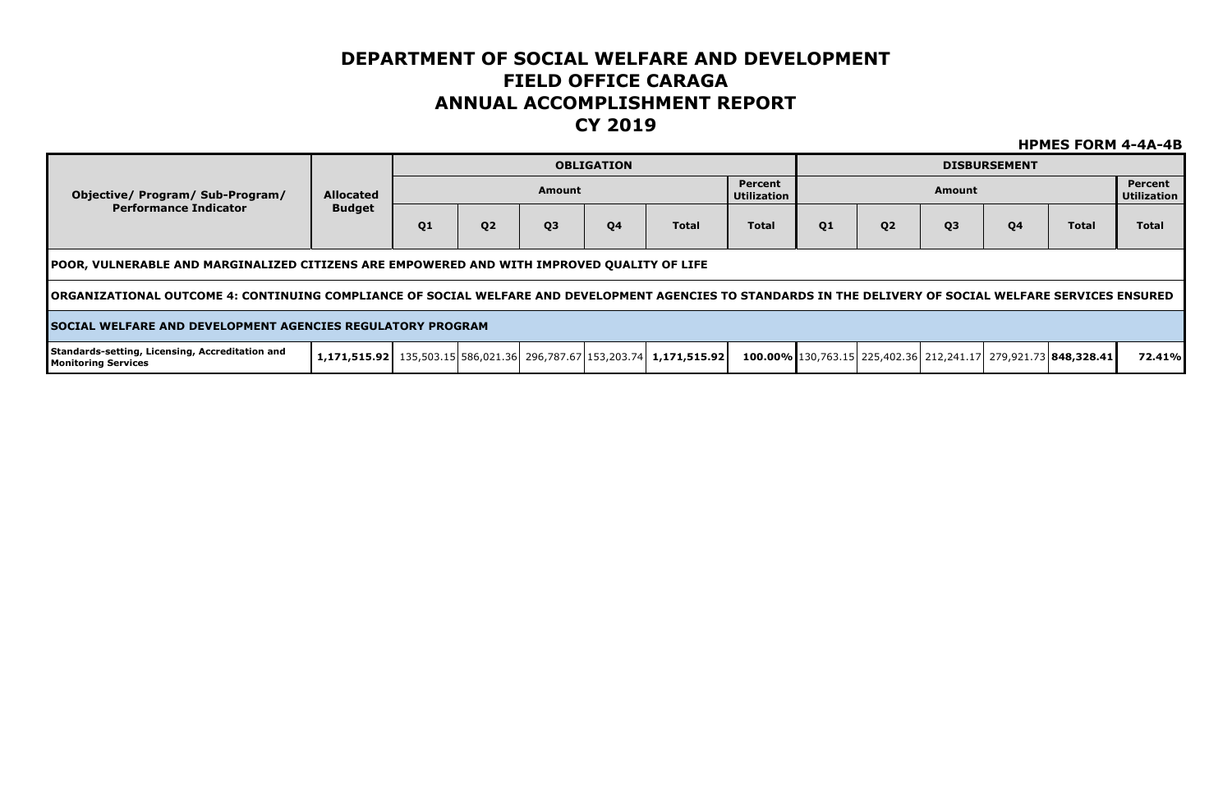|                                                                                                                                                             |                  |                |                |                | <b>OBLIGATION</b> |                                                                                        |                               |    |                |                | <b>DISBURSEMENT</b> |                                                                |                               |
|-------------------------------------------------------------------------------------------------------------------------------------------------------------|------------------|----------------|----------------|----------------|-------------------|----------------------------------------------------------------------------------------|-------------------------------|----|----------------|----------------|---------------------|----------------------------------------------------------------|-------------------------------|
| Objective/ Program/ Sub-Program/                                                                                                                            | <b>Allocated</b> |                |                | Amount         |                   |                                                                                        | Percent<br><b>Utilization</b> |    |                | Amount         |                     |                                                                | Percent<br><b>Utilization</b> |
| <b>Performance Indicator</b>                                                                                                                                | <b>Budget</b>    | Q <sub>1</sub> | Q <sub>2</sub> | Q <sub>3</sub> | Q <sub>4</sub>    | <b>Total</b>                                                                           | <b>Total</b>                  | 01 | Q <sub>2</sub> | Q <sub>3</sub> | Q <sub>4</sub>      | <b>Total</b>                                                   | <b>Total</b>                  |
| TPOOR, VULNERABLE AND MARGINALIZED CITIZENS ARE EMPOWERED AND WITH IMPROVED QUALITY OF LIFE                                                                 |                  |                |                |                |                   |                                                                                        |                               |    |                |                |                     |                                                                |                               |
| TORGANIZATIONAL OUTCOME 4: CONTINUING COMPLIANCE OF SOCIAL WELFARE AND DEVELOPMENT AGENCIES TO STANDARDS IN THE DELIVERY OF SOCIAL WELFARE SERVICES ENSURED |                  |                |                |                |                   |                                                                                        |                               |    |                |                |                     |                                                                |                               |
| <b>ISOCIAL WELFARE AND DEVELOPMENT AGENCIES REGULATORY PROGRAM</b>                                                                                          |                  |                |                |                |                   |                                                                                        |                               |    |                |                |                     |                                                                |                               |
| Standards-setting, Licensing, Accreditation and<br><b>Monitoring Services</b>                                                                               |                  |                |                |                |                   | $\mid$ 1,171,515.92   135,503.15   586,021.36   296,787.67   153,203.74   1,171,515.92 |                               |    |                |                |                     | 100.00% 130,763.15 225,402.36 212,241.17 279,921.73 848,328.41 | 72.41%                        |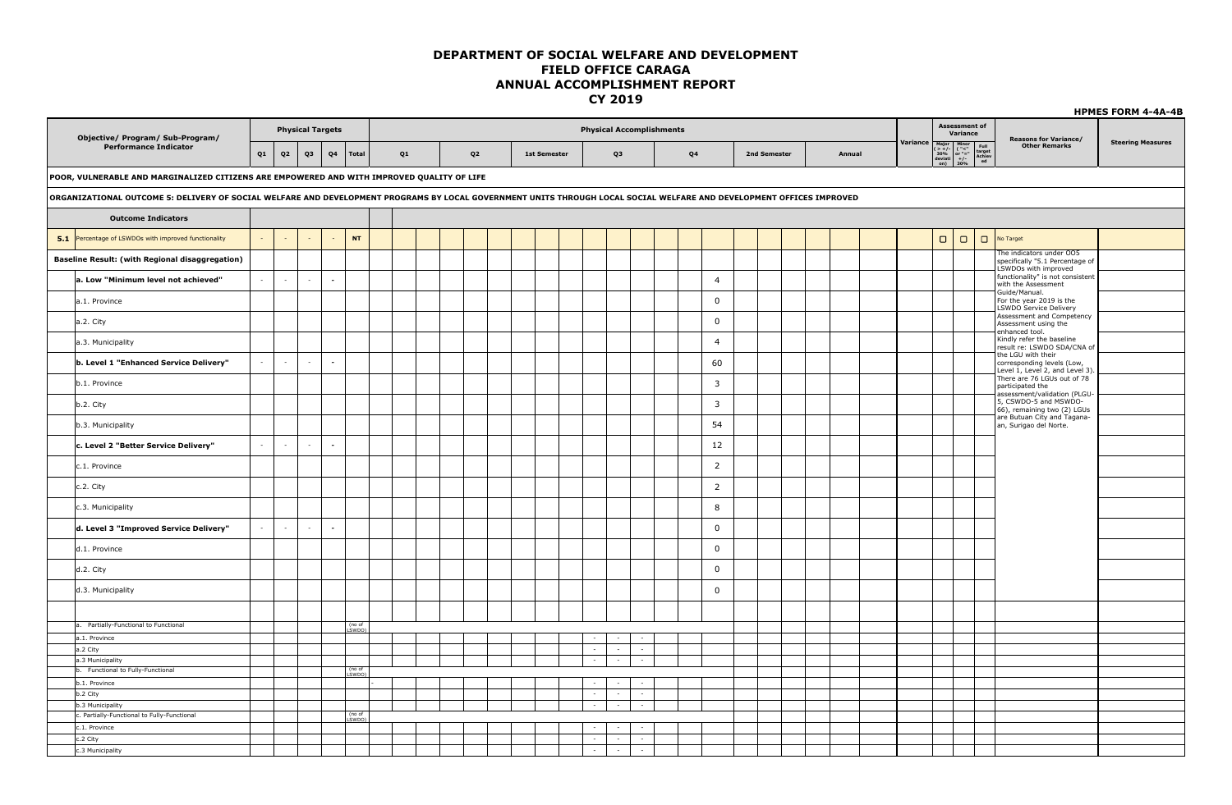|                                                                                                                                                                       |    |                |        |                          |                       |    |  |                |  |                     |        |        |                                 |                |              |        |          |        |                                                                                                                                                                                              |                                                                                      | <b>HPMES FORM 4-4A-4B</b> |
|-----------------------------------------------------------------------------------------------------------------------------------------------------------------------|----|----------------|--------|--------------------------|-----------------------|----|--|----------------|--|---------------------|--------|--------|---------------------------------|----------------|--------------|--------|----------|--------|----------------------------------------------------------------------------------------------------------------------------------------------------------------------------------------------|--------------------------------------------------------------------------------------|---------------------------|
| Objective/ Program/ Sub-Program/                                                                                                                                      |    |                |        | <b>Physical Targets</b>  |                       |    |  |                |  |                     |        |        | <b>Physical Accomplishments</b> |                |              |        |          |        | <b>Assessment of</b><br>Variance                                                                                                                                                             | <b>Reasons for Variance/</b>                                                         |                           |
| <b>Performance Indicator</b>                                                                                                                                          | Q1 | Q <sub>2</sub> | Q3     | Q <sub>4</sub>           | <b>Total</b>          | Q1 |  | Q <sub>2</sub> |  | <b>1st Semester</b> |        | Q3     |                                 | Q4             | 2nd Semester | Annual | Variance |        | $\begin{tabular}{ c c c } \hline Major & Minor & Minor & Full \\ $(\gt{+}/\text{-}$ & ("<"\\ $\gtrless$ 30\% & or "=""\\ deviati & +/- & Achiev \\ on) & 30\% & end \\ \hline \end{tabular}$ | <b>Other Remarks</b>                                                                 | <b>Steering Measures</b>  |
| POOR, VULNERABLE AND MARGINALIZED CITIZENS ARE EMPOWERED AND WITH IMPROVED QUALITY OF LIFE                                                                            |    |                |        |                          |                       |    |  |                |  |                     |        |        |                                 |                |              |        |          |        |                                                                                                                                                                                              |                                                                                      |                           |
| ORGANIZATIONAL OUTCOME 5: DELIVERY OF SOCIAL WELFARE AND DEVELOPMENT PROGRAMS BY LOCAL GOVERNMENT UNITS THROUGH LOCAL SOCIAL WELFARE AND DEVELOPMENT OFFICES IMPROVED |    |                |        |                          |                       |    |  |                |  |                     |        |        |                                 |                |              |        |          |        |                                                                                                                                                                                              |                                                                                      |                           |
| <b>Outcome Indicators</b>                                                                                                                                             |    |                |        |                          |                       |    |  |                |  |                     |        |        |                                 |                |              |        |          |        |                                                                                                                                                                                              |                                                                                      |                           |
| 5.1 Percentage of LSWDOs with improved functionality                                                                                                                  |    | $\sim$         | $\sim$ | $\sim$                   | <b>NT</b>             |    |  |                |  |                     |        |        |                                 |                |              |        |          | $\Box$ | $\Box$                                                                                                                                                                                       | No Target                                                                            |                           |
| Baseline Result: (with Regional disaggregation)                                                                                                                       |    |                |        |                          |                       |    |  |                |  |                     |        |        |                                 |                |              |        |          |        |                                                                                                                                                                                              | The indicators under OO5<br>specifically "5.1 Percentage of<br>LSWDOs with improved  |                           |
| a. Low "Minimum level not achieved"                                                                                                                                   |    | $\sim$         | $\sim$ | $\sim$                   |                       |    |  |                |  |                     |        |        |                                 | $\overline{4}$ |              |        |          |        |                                                                                                                                                                                              | functionality" is not consistent<br>with the Assessment                              |                           |
| a.1. Province                                                                                                                                                         |    |                |        |                          |                       |    |  |                |  |                     |        |        |                                 | $\mathbf{0}$   |              |        |          |        |                                                                                                                                                                                              | Guide/Manual.<br>For the year 2019 is the<br>LSWDO Service Delivery                  |                           |
| a.2. City                                                                                                                                                             |    |                |        |                          |                       |    |  |                |  |                     |        |        |                                 | $\mathbf 0$    |              |        |          |        |                                                                                                                                                                                              | Assessment and Competency<br>Assessment using the                                    |                           |
| a.3. Municipality                                                                                                                                                     |    |                |        |                          |                       |    |  |                |  |                     |        |        |                                 | $\overline{4}$ |              |        |          |        |                                                                                                                                                                                              | enhanced tool.<br>Kindly refer the baseline<br>result re: LSWDO SDA/CNA of           |                           |
| b. Level 1 "Enhanced Service Delivery"                                                                                                                                |    | $\sim$         | $\sim$ | $\sim$                   |                       |    |  |                |  |                     |        |        |                                 | 60             |              |        |          |        |                                                                                                                                                                                              | the LGU with their<br>corresponding levels (Low,<br>Level 1, Level 2, and Level 3)   |                           |
| b.1. Province                                                                                                                                                         |    |                |        |                          |                       |    |  |                |  |                     |        |        |                                 | $\overline{3}$ |              |        |          |        |                                                                                                                                                                                              | There are 76 LGUs out of 78<br>participated the                                      |                           |
| b.2. City                                                                                                                                                             |    |                |        |                          |                       |    |  |                |  |                     |        |        |                                 | 3              |              |        |          |        |                                                                                                                                                                                              | assessment/validation (PLGU-<br>5, CSWDO-5 and MSWDO-<br>66), remaining two (2) LGUs |                           |
| b.3. Municipality                                                                                                                                                     |    |                |        |                          |                       |    |  |                |  |                     |        |        |                                 | 54             |              |        |          |        |                                                                                                                                                                                              | are Butuan City and Tagana-<br>an, Surigao del Norte.                                |                           |
| c. Level 2 "Better Service Delivery"                                                                                                                                  |    | $\sim$         | $\sim$ | $\sim$                   |                       |    |  |                |  |                     |        |        |                                 | 12             |              |        |          |        |                                                                                                                                                                                              |                                                                                      |                           |
| c.1. Province                                                                                                                                                         |    |                |        |                          |                       |    |  |                |  |                     |        |        |                                 | $\overline{2}$ |              |        |          |        |                                                                                                                                                                                              |                                                                                      |                           |
| c.2. City                                                                                                                                                             |    |                |        |                          |                       |    |  |                |  |                     |        |        |                                 | $\overline{2}$ |              |        |          |        |                                                                                                                                                                                              |                                                                                      |                           |
| c.3. Municipality                                                                                                                                                     |    |                |        |                          |                       |    |  |                |  |                     |        |        |                                 | 8              |              |        |          |        |                                                                                                                                                                                              |                                                                                      |                           |
| d. Level 3 "Improved Service Delivery"                                                                                                                                |    | $\sim$         | $\sim$ | $\overline{\phantom{a}}$ |                       |    |  |                |  |                     |        |        |                                 | $\mathbf{0}$   |              |        |          |        |                                                                                                                                                                                              |                                                                                      |                           |
| d.1. Province                                                                                                                                                         |    |                |        |                          |                       |    |  |                |  |                     |        |        |                                 | $\mathbf 0$    |              |        |          |        |                                                                                                                                                                                              |                                                                                      |                           |
| d.2. City                                                                                                                                                             |    |                |        |                          |                       |    |  |                |  |                     |        |        |                                 | $\mathbf 0$    |              |        |          |        |                                                                                                                                                                                              |                                                                                      |                           |
| d.3. Municipality                                                                                                                                                     |    |                |        |                          |                       |    |  |                |  |                     |        |        |                                 | $\mathbf 0$    |              |        |          |        |                                                                                                                                                                                              |                                                                                      |                           |
|                                                                                                                                                                       |    |                |        |                          |                       |    |  |                |  |                     |        |        |                                 |                |              |        |          |        |                                                                                                                                                                                              |                                                                                      |                           |
| a. Partially-Functional to Functional                                                                                                                                 |    |                |        |                          | (no of<br><u>swpo</u> |    |  |                |  |                     |        |        |                                 |                |              |        |          |        |                                                                                                                                                                                              |                                                                                      |                           |
| a.1. Province                                                                                                                                                         |    |                |        |                          |                       |    |  |                |  |                     |        | $\sim$ | $\sim$                          |                |              |        |          |        |                                                                                                                                                                                              |                                                                                      |                           |
| a.2 City                                                                                                                                                              |    |                |        |                          |                       |    |  |                |  |                     | $\sim$ | $\sim$ | $\sim$                          |                |              |        |          |        |                                                                                                                                                                                              |                                                                                      |                           |
| a.3 Municipality<br>b. Functional to Fully-Functional                                                                                                                 |    |                |        |                          | (no of                |    |  |                |  |                     |        | $\sim$ | $\sim$                          |                |              |        |          |        |                                                                                                                                                                                              |                                                                                      |                           |
|                                                                                                                                                                       |    |                |        |                          | <b>SWDO</b>           |    |  |                |  |                     |        |        |                                 |                |              |        |          |        |                                                                                                                                                                                              |                                                                                      |                           |
| b.1. Province                                                                                                                                                         |    |                |        |                          |                       |    |  |                |  |                     |        | $\sim$ | $\sim$                          |                |              |        |          |        |                                                                                                                                                                                              |                                                                                      |                           |
| b.2 City                                                                                                                                                              |    |                |        |                          |                       |    |  |                |  |                     | $\sim$ | $\sim$ | $\sim$                          |                |              |        |          |        |                                                                                                                                                                                              |                                                                                      |                           |
| b.3 Municipality                                                                                                                                                      |    |                |        |                          | (no of                |    |  |                |  |                     | $\sim$ | $\sim$ | $\sim$                          |                |              |        |          |        |                                                                                                                                                                                              |                                                                                      |                           |
| c. Partially-Functional to Fully-Functional                                                                                                                           |    |                |        |                          | SWDO)                 |    |  |                |  |                     |        |        |                                 |                |              |        |          |        |                                                                                                                                                                                              |                                                                                      |                           |
| c.1. Province                                                                                                                                                         |    |                |        |                          |                       |    |  |                |  |                     |        |        |                                 |                |              |        |          |        |                                                                                                                                                                                              |                                                                                      |                           |
| c.2 City                                                                                                                                                              |    |                |        |                          |                       |    |  |                |  |                     | $\sim$ | $\sim$ | $\sim$                          |                |              |        |          |        |                                                                                                                                                                                              |                                                                                      |                           |
| c.3 Municipality                                                                                                                                                      |    |                |        |                          |                       |    |  |                |  |                     | $\sim$ | $\sim$ | $\sim$                          |                |              |        |          |        |                                                                                                                                                                                              |                                                                                      |                           |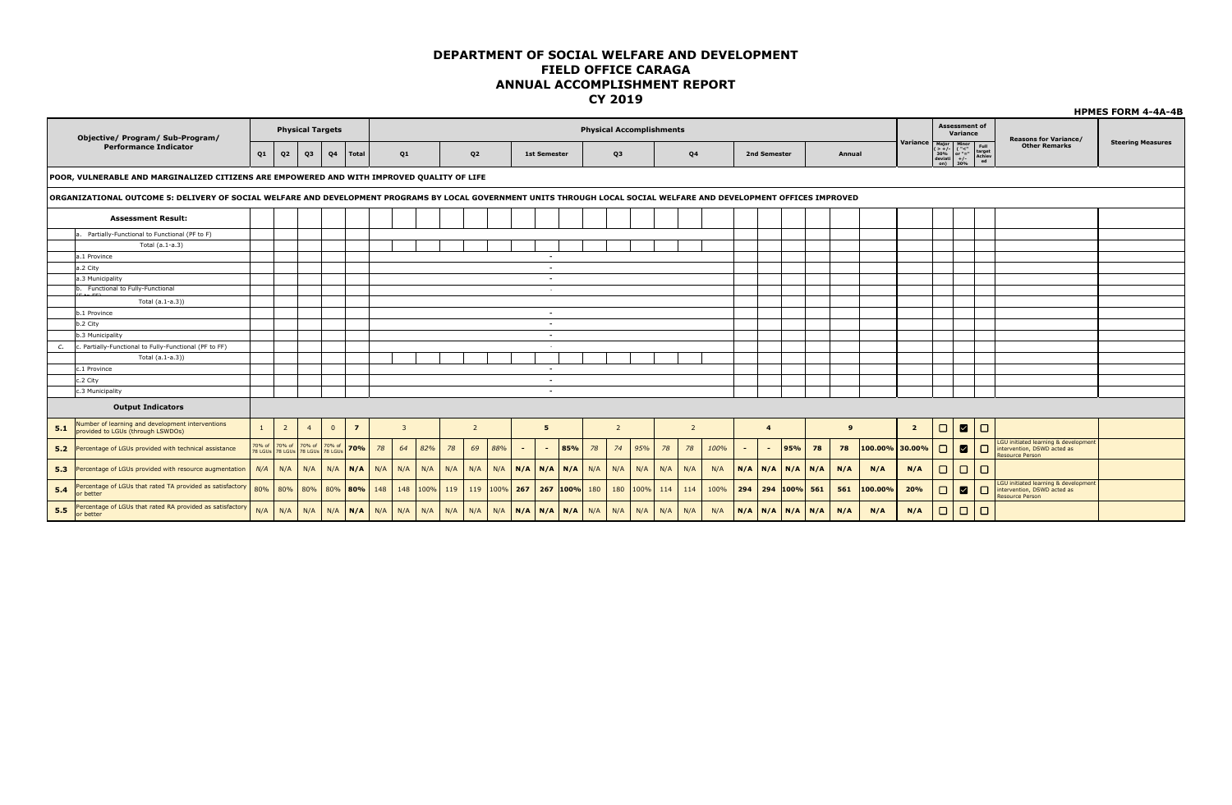|     | Objective/ Program/ Sub-Program/                                                                                                                                      |              |                                                         | <b>Physical Targets</b> |                |                |                         |                |                |             |                |                             |        |                          |     |     |                |     | <b>Physical Accomplishments</b>               |                |      |        |                |                         |    |        |                |                                                                                                |        | <b>Assessment of</b><br>Variance |        | <b>Reasons for Variance/</b>                                                                  |                          |
|-----|-----------------------------------------------------------------------------------------------------------------------------------------------------------------------|--------------|---------------------------------------------------------|-------------------------|----------------|----------------|-------------------------|----------------|----------------|-------------|----------------|-----------------------------|--------|--------------------------|-----|-----|----------------|-----|-----------------------------------------------|----------------|------|--------|----------------|-------------------------|----|--------|----------------|------------------------------------------------------------------------------------------------|--------|----------------------------------|--------|-----------------------------------------------------------------------------------------------|--------------------------|
|     | <b>Performance Indicator</b>                                                                                                                                          | Q1           | Q <sub>2</sub>                                          | Q <sub>3</sub>          | Q <sub>4</sub> | Total          |                         | Q1             |                |             | Q <sub>2</sub> |                             |        | <b>1st Semester</b>      |     |     | Q3             |     |                                               | Q4             |      |        | 2nd Semester   |                         |    | Annual |                | Variance Major Minor Full<br>$(5 + f -$<br>$30\%$ or "=" target<br>dovid $f -$<br>dovid 30% ed |        |                                  |        | <b>Other Remarks</b>                                                                          | <b>Steering Measures</b> |
|     | POOR, VULNERABLE AND MARGINALIZED CITIZENS ARE EMPOWERED AND WITH IMPROVED QUALITY OF LIFE                                                                            |              |                                                         |                         |                |                |                         |                |                |             |                |                             |        |                          |     |     |                |     |                                               |                |      |        |                |                         |    |        |                |                                                                                                |        |                                  |        |                                                                                               |                          |
|     | ORGANIZATIONAL OUTCOME 5: DELIVERY OF SOCIAL WELFARE AND DEVELOPMENT PROGRAMS BY LOCAL GOVERNMENT UNITS THROUGH LOCAL SOCIAL WELFARE AND DEVELOPMENT OFFICES IMPROVED |              |                                                         |                         |                |                |                         |                |                |             |                |                             |        |                          |     |     |                |     |                                               |                |      |        |                |                         |    |        |                |                                                                                                |        |                                  |        |                                                                                               |                          |
|     | <b>Assessment Result:</b>                                                                                                                                             |              |                                                         |                         |                |                |                         |                |                |             |                |                             |        |                          |     |     |                |     |                                               |                |      |        |                |                         |    |        |                |                                                                                                |        |                                  |        |                                                                                               |                          |
|     | a. Partially-Functional to Functional (PF to F)                                                                                                                       |              |                                                         |                         |                |                |                         |                |                |             |                |                             |        |                          |     |     |                |     |                                               |                |      |        |                |                         |    |        |                |                                                                                                |        |                                  |        |                                                                                               |                          |
|     | Total (a.1-a.3)                                                                                                                                                       |              |                                                         |                         |                |                |                         |                |                |             |                |                             |        |                          |     |     |                |     |                                               |                |      |        |                |                         |    |        |                |                                                                                                |        |                                  |        |                                                                                               |                          |
|     | a.1 Province                                                                                                                                                          |              |                                                         |                         |                |                |                         |                |                |             |                |                             |        | $\sim$                   |     |     |                |     |                                               |                |      |        |                |                         |    |        |                |                                                                                                |        |                                  |        |                                                                                               |                          |
|     | a.2 City                                                                                                                                                              |              |                                                         |                         |                |                |                         |                |                |             |                |                             |        | $\sim$                   |     |     |                |     |                                               |                |      |        |                |                         |    |        |                |                                                                                                |        |                                  |        |                                                                                               |                          |
|     | a.3 Municipality                                                                                                                                                      |              |                                                         |                         |                |                |                         |                |                |             |                |                             |        | $\sim$                   |     |     |                |     |                                               |                |      |        |                |                         |    |        |                |                                                                                                |        |                                  |        |                                                                                               |                          |
|     | b. Functional to Fully-Functional                                                                                                                                     |              |                                                         |                         |                |                |                         |                |                |             |                |                             |        | $\sim$                   |     |     |                |     |                                               |                |      |        |                |                         |    |        |                |                                                                                                |        |                                  |        |                                                                                               |                          |
|     | $E + \Delta E$<br>Total (a.1-a.3))                                                                                                                                    |              |                                                         |                         |                |                |                         |                |                |             |                |                             |        |                          |     |     |                |     |                                               |                |      |        |                |                         |    |        |                |                                                                                                |        |                                  |        |                                                                                               |                          |
|     | b.1 Province                                                                                                                                                          |              |                                                         |                         |                |                |                         |                |                |             |                |                             |        | $\overline{\phantom{a}}$ |     |     |                |     |                                               |                |      |        |                |                         |    |        |                |                                                                                                |        |                                  |        |                                                                                               |                          |
|     | b.2 City                                                                                                                                                              |              |                                                         |                         |                |                |                         |                |                |             |                |                             |        | $\overline{\phantom{a}}$ |     |     |                |     |                                               |                |      |        |                |                         |    |        |                |                                                                                                |        |                                  |        |                                                                                               |                          |
|     | b.3 Municipality                                                                                                                                                      |              |                                                         |                         |                |                |                         |                |                |             |                |                             |        | $\sim$                   |     |     |                |     |                                               |                |      |        |                |                         |    |        |                |                                                                                                |        |                                  |        |                                                                                               |                          |
| c.  | c. Partially-Functional to Fully-Functional (PF to FF)                                                                                                                |              |                                                         |                         |                |                |                         |                |                |             |                |                             |        |                          |     |     |                |     |                                               |                |      |        |                |                         |    |        |                |                                                                                                |        |                                  |        |                                                                                               |                          |
|     | Total (a.1-a.3))                                                                                                                                                      |              |                                                         |                         |                |                |                         |                |                |             |                |                             |        |                          |     |     |                |     |                                               |                |      |        |                |                         |    |        |                |                                                                                                |        |                                  |        |                                                                                               |                          |
|     | c.1 Province                                                                                                                                                          |              |                                                         |                         |                |                |                         |                |                |             |                |                             |        | $\sim$                   |     |     |                |     |                                               |                |      |        |                |                         |    |        |                |                                                                                                |        |                                  |        |                                                                                               |                          |
|     | c.2 City                                                                                                                                                              |              |                                                         |                         |                |                |                         |                |                |             |                |                             |        | $\sim$                   |     |     |                |     |                                               |                |      |        |                |                         |    |        |                |                                                                                                |        |                                  |        |                                                                                               |                          |
|     | c.3 Municipality                                                                                                                                                      |              |                                                         |                         |                |                |                         |                |                |             |                |                             |        | $\overline{\phantom{a}}$ |     |     |                |     |                                               |                |      |        |                |                         |    |        |                |                                                                                                |        |                                  |        |                                                                                               |                          |
|     | <b>Output Indicators</b>                                                                                                                                              |              |                                                         |                         |                |                |                         |                |                |             |                |                             |        |                          |     |     |                |     |                                               |                |      |        |                |                         |    |        |                |                                                                                                |        |                                  |        |                                                                                               |                          |
| 5.1 | Number of learning and development interventions<br>provided to LGUs (through LSWDOs)                                                                                 | $\mathbf{1}$ | $\overline{2}$                                          | $\overline{4}$          | $\overline{0}$ | $\overline{7}$ |                         | $\overline{3}$ |                |             | 2              |                             |        | 5                        |     |     | $\overline{2}$ |     |                                               | $\overline{2}$ |      |        | $\overline{4}$ |                         |    | 9      |                | $2^{\circ}$                                                                                    | $\Box$ | $\blacksquare$                   | $\Box$ |                                                                                               |                          |
|     | 5.2 Percentage of LGUs provided with technical assistance                                                                                                             |              | 70% of 70% of 70% of<br>78 LGUs 78 LGUs 78 LGUs 78 LGUs |                         | 70% of         | 70%            | 78                      | 64             | 82%            | 78          | 69             | 88%                         | $\sim$ | $\sim$ 10 $\pm$          | 85% | 78  | 74             | 95% | 78                                            | 78             | 100% | $\sim$ | $\sim$         | 95%                     | 78 | 78     | 100.00% 30.00% |                                                                                                | $\Box$ | $\blacksquare$                   | $\Box$ | LGU initiated learning & development<br>intervention, DSWD acted as<br><b>Resource Person</b> |                          |
|     | 5.3 Percentage of LGUs provided with resource augmentation                                                                                                            | N/A          | N/A                                                     | N/A                     | N/A            | N/A            | N/A                     | N/A            | N/A            | N/A         | N/A            | N/A                         |        | $N/A$ $N/A$ $N/A$        |     | N/A | N/A            | N/A | N/A                                           | N/A            | N/A  |        |                | $N/A$ $N/A$ $N/A$ $N/A$ |    | N/A    | N/A            | N/A                                                                                            | $\Box$ | $\Box$                           | $\Box$ |                                                                                               |                          |
| 5.4 | Percentage of LGUs that rated TA provided as satisfactory<br>or better                                                                                                | 80%          |                                                         |                         |                |                | 80% 80% 80% 80% 80% 148 |                | $148$ 100% 119 |             |                | $119$ 100% 267 267 100% 180 |        |                          |     |     |                |     | $180$ 100% 114                                | 114            | 100% |        |                | $294$ 294 100% 561      |    | 561    | 100.00%        | 20%                                                                                            | $\Box$ | ⊠                                | $\Box$ | LGU initiated learning & development<br>intervention, DSWD acted as<br><b>Resource Person</b> |                          |
| 5.5 | Percentage of LGUs that rated RA provided as satisfactory<br>or better                                                                                                | N/A          | N/A                                                     | N/A                     |                |                | $N/A$ $N/A$ $N/A$ $N/A$ |                |                | $N/A$ $N/A$ | N/A            |                             |        |                          |     |     |                |     | N/A   N/A   N/A   N/A   N/A   N/A   N/A   N/A | N/A            | N/A  |        |                | $N/A$ $N/A$ $N/A$ $N/A$ |    | N/A    | N/A            | N/A                                                                                            | $\Box$ | $\Box$                           | $\Box$ |                                                                                               |                          |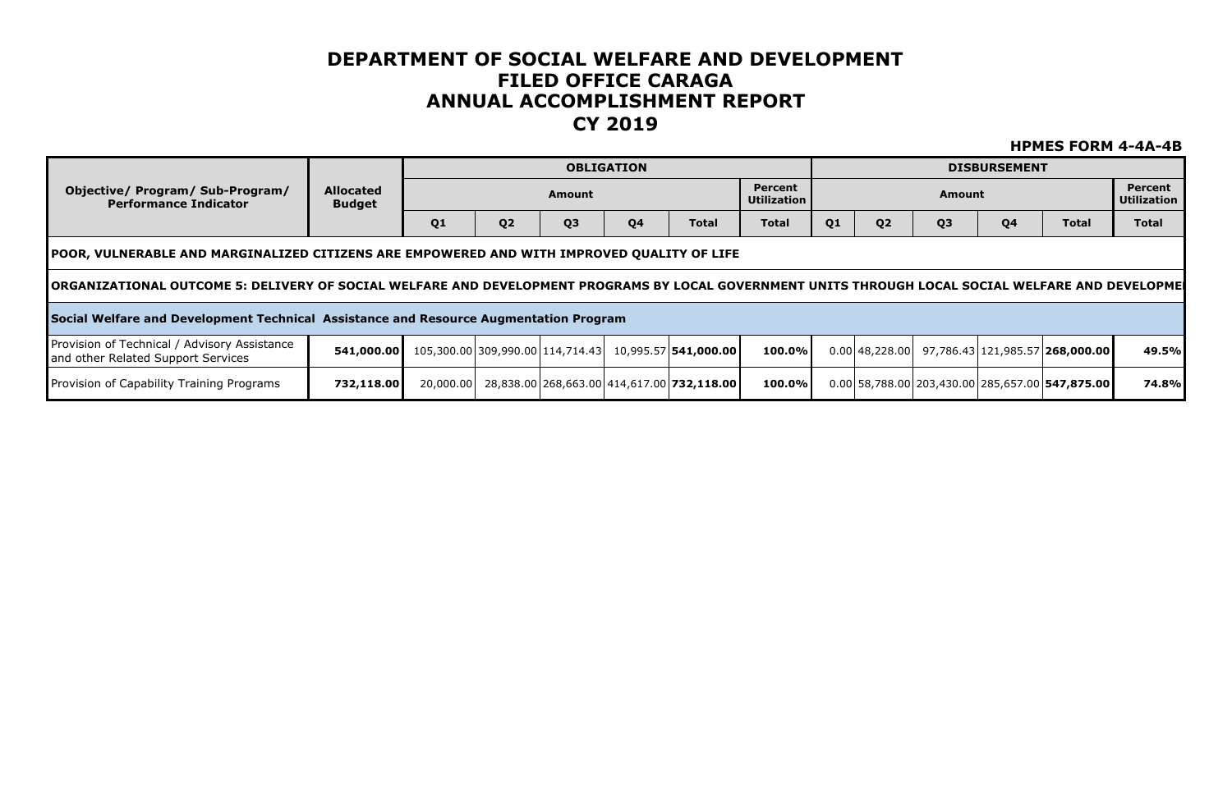|                                                                                       |                                                                                                                                                                                                                                                     |    |                |                | <b>OBLIGATION</b> |                                                       |                               |    |                |                | <b>DISBURSEMENT</b> |                                                   |                               |  |  |
|---------------------------------------------------------------------------------------|-----------------------------------------------------------------------------------------------------------------------------------------------------------------------------------------------------------------------------------------------------|----|----------------|----------------|-------------------|-------------------------------------------------------|-------------------------------|----|----------------|----------------|---------------------|---------------------------------------------------|-------------------------------|--|--|
| Objective/ Program/ Sub-Program/<br><b>Performance Indicator</b>                      | Allocated<br><b>Budget</b>                                                                                                                                                                                                                          |    |                | Amount         |                   |                                                       | Percent<br><b>Utilization</b> |    |                | Amount         |                     |                                                   | <b>Percent</b><br>Utilization |  |  |
|                                                                                       |                                                                                                                                                                                                                                                     | Q1 | Q <sub>2</sub> | Q <sub>3</sub> | Q4                | <b>Total</b>                                          | <b>Total</b>                  | Q1 | Q <sub>2</sub> | Q <sub>3</sub> | Q <sub>4</sub>      | <b>Total</b>                                      | <b>Total</b>                  |  |  |
|                                                                                       |                                                                                                                                                                                                                                                     |    |                |                |                   |                                                       |                               |    |                |                |                     |                                                   |                               |  |  |
|                                                                                       | TPOOR, VULNERABLE AND MARGINALIZED CITIZENS ARE EMPOWERED AND WITH IMPROVED QUALITY OF LIFE<br> ORGANIZATIONAL OUTCOME 5: DELIVERY OF SOCIAL WELFARE AND DEVELOPMENT PROGRAMS BY LOCAL GOVERNMENT UNITS THROUGH LOCAL SOCIAL WELFARE AND DEVELOPMEI |    |                |                |                   |                                                       |                               |    |                |                |                     |                                                   |                               |  |  |
| Social Welfare and Development Technical Assistance and Resource Augmentation Program |                                                                                                                                                                                                                                                     |    |                |                |                   |                                                       |                               |    |                |                |                     |                                                   |                               |  |  |
| Provision of Technical / Advisory Assistance<br>and other Related Support Services    | 541,000.00                                                                                                                                                                                                                                          |    |                |                |                   | 105,300.00 309,990.00 114,714.43 10,995.57 541,000.00 | 100.0%                        |    |                |                |                     | $0.00 48,228.00 $ 97,786.43 121,985.57 268,000.00 | 49.5%l                        |  |  |
| Provision of Capability Training Programs                                             | 732,118.00                                                                                                                                                                                                                                          |    |                |                |                   | 20,000.00 28,838.00 268,663.00 414,617.00 732,118.00  | 100.0%                        |    |                |                |                     | $0.00$ 58,788.00 203,430.00 285,657.00 547,875.00 | 74.8%l                        |  |  |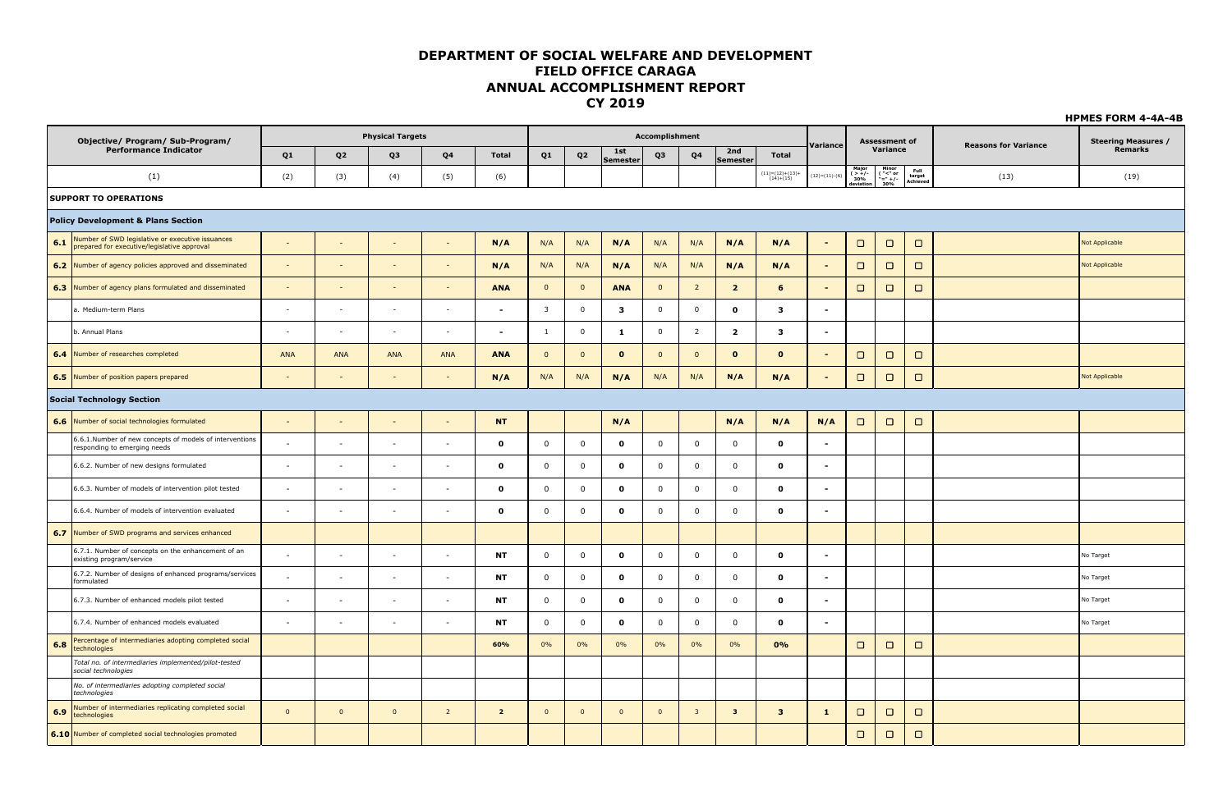|       | Objective/ Program/ Sub-Program/                                                                |              |                          | <b>Physical Targets</b>  |                          |                          |                |                |                 | Accomplishment |                         |                         |                                  | Variance                 |                           | <b>Assessment of</b>        |                            | <b>Reasons for Variance</b> | <b>Steering Measures /</b> |
|-------|-------------------------------------------------------------------------------------------------|--------------|--------------------------|--------------------------|--------------------------|--------------------------|----------------|----------------|-----------------|----------------|-------------------------|-------------------------|----------------------------------|--------------------------|---------------------------|-----------------------------|----------------------------|-----------------------------|----------------------------|
|       | <b>Performance Indicator</b>                                                                    | Q1           | Q <sub>2</sub>           | Q3                       | Q <sub>4</sub>           | <b>Total</b>             | Q <sub>1</sub> | Q <sub>2</sub> | 1st<br>Semester | Q3             | Q4                      | 2nd<br><b>Semester</b>  | <b>Total</b>                     |                          |                           | Variance                    |                            |                             | Remarks                    |
|       | (1)                                                                                             | (2)          | (3)                      | (4)                      | (5)                      | (6)                      |                |                |                 |                |                         |                         | $(11)=(12)+(13)+$<br>$(14)+(15)$ | $(12)=(11)-(6)$          | Major<br>( $>+/$ -<br>30% | Minor<br>("<" or<br>"=" +/- | Full<br>target<br>Achieved | (13)                        | (19)                       |
|       | <b>SUPPORT TO OPERATIONS</b>                                                                    |              |                          |                          |                          |                          |                |                |                 |                |                         |                         |                                  |                          |                           |                             |                            |                             |                            |
|       | <b>Policy Development &amp; Plans Section</b>                                                   |              |                          |                          |                          |                          |                |                |                 |                |                         |                         |                                  |                          |                           |                             |                            |                             |                            |
| 6.1   | Number of SWD legislative or executive issuances<br>prepared for executive/legislative approval |              |                          |                          |                          | N/A                      | N/A            | N/A            | N/A             | N/A            | N/A                     | N/A                     | N/A                              | $\sim$                   | $\Box$                    | $\Box$                      | $\Box$                     |                             | Not Applicable             |
| 6.2   | Number of agency policies approved and disseminated                                             | $\sim$       |                          |                          |                          | N/A                      | N/A            | N/A            | N/A             | N/A            | N/A                     | N/A                     | N/A                              | $\sim$                   | $\Box$                    | $\Box$                      | $\Box$                     |                             | <b>Not Applicable</b>      |
| 6.3   | Number of agency plans formulated and disseminated                                              | $\sim$       |                          |                          | $\sim$                   | <b>ANA</b>               | $\overline{0}$ | $\mathbf{0}$   | <b>ANA</b>      | $\mathbf{0}$   | $\overline{2}$          | $\overline{2}$          | 6                                | $\sim$                   | $\Box$                    | $\Box$                      | $\Box$                     |                             |                            |
|       | a. Medium-term Plans                                                                            | $\sim$       | $\sim$                   | $\sim$                   | $\sim$                   | $\overline{\phantom{a}}$ | 3              | $\mathbf 0$    | 3               | $\mathbf{0}$   | $\mathbf 0$             | $\mathbf{o}$            | $\mathbf{3}$                     | $\sim$                   |                           |                             |                            |                             |                            |
|       | b. Annual Plans                                                                                 |              |                          |                          |                          |                          | 1              | $\overline{0}$ | -1              | $\mathbf 0$    | $\overline{2}$          | $\overline{2}$          | $\mathbf{3}$                     |                          |                           |                             |                            |                             |                            |
| $6.4$ | Number of researches completed                                                                  | ANA          | ANA                      | <b>ANA</b>               | ANA                      | <b>ANA</b>               | $\overline{0}$ | $\overline{0}$ | $\mathbf{0}$    | $\mathbf{0}$   | $\overline{0}$          | $\mathbf{o}$            | $\mathbf 0$                      | $\blacksquare$           | $\Box$                    | $\Box$                      | $\Box$                     |                             |                            |
|       | 6.5 Number of position papers prepared                                                          |              | $\sim$                   |                          | $\sim$                   | N/A                      | N/A            | N/A            | N/A             | N/A            | N/A                     | N/A                     | N/A                              | $\sim$                   | $\Box$                    | $\Box$                      | $\Box$                     |                             | Not Applicable             |
|       | <b>Social Technology Section</b>                                                                |              |                          |                          |                          |                          |                |                |                 |                |                         |                         |                                  |                          |                           |                             |                            |                             |                            |
| 6.6   | Number of social technologies formulated                                                        |              |                          |                          |                          | <b>NT</b>                |                |                | N/A             |                |                         | N/A                     | N/A                              | N/A                      | $\Box$                    | $\Box$                      | $\Box$                     |                             |                            |
|       | 6.6.1.Number of new concepts of models of interventions<br>responding to emerging needs         |              | $\sim$                   | $\sim$                   | $\sim$                   | $\mathbf{o}$             | $\mathbf 0$    | $\overline{0}$ | $\mathbf 0$     | $\mathbf 0$    | $\overline{\mathbf{0}}$ | $\mathbf 0$             | $\mathbf{o}$                     | $\sim$                   |                           |                             |                            |                             |                            |
|       | 6.6.2. Number of new designs formulated                                                         | $\sim$       | <b>COL</b>               | . .                      | . .                      | $\mathbf{o}$             | $\mathbf 0$    | $\mathbf 0$    | $\mathbf 0$     | $\mathbf 0$    | $\mathbf 0$             | $\mathbf 0$             | $\mathbf{o}$                     | $\overline{\phantom{a}}$ |                           |                             |                            |                             |                            |
|       | 6.6.3. Number of models of intervention pilot tested                                            |              | $\overline{\phantom{a}}$ | $\overline{\phantom{a}}$ | $\overline{\phantom{a}}$ | $\Omega$                 | $\Omega$       | $\overline{0}$ | $\mathbf{o}$    | $\mathbf{0}$   | $\mathbf 0$             | $\overline{0}$          | $\mathbf{o}$                     | $\blacksquare$           |                           |                             |                            |                             |                            |
|       | 6.6.4. Number of models of intervention evaluated                                               |              | $\overline{\phantom{a}}$ |                          |                          | $\mathbf{o}$             | $\mathbf 0$    | $\mathbf 0$    | $\mathbf 0$     | $\mathbf 0$    | $\mathbf 0$             | $\mathbf 0$             | $\mathbf 0$                      | $\blacksquare$           |                           |                             |                            |                             |                            |
| 6.7   | Number of SWD programs and services enhanced                                                    |              |                          |                          |                          |                          |                |                |                 |                |                         |                         |                                  |                          |                           |                             |                            |                             |                            |
|       | 6.7.1. Number of concepts on the enhancement of an<br>existing program/service                  |              | ٠.                       | ٠.                       | - 11                     | <b>NT</b>                | $\mathbf 0$    | $\overline{0}$ | $\mathbf{o}$    | $\mathbf 0$    | $\mathbf 0$             | $\mathbf 0$             | $\mathbf{o}$                     | $\blacksquare$           |                           |                             |                            |                             | No Target                  |
|       | 6.7.2. Number of designs of enhanced programs/services<br>formulated                            |              | $\sim$                   | ٠.                       | $\overline{\phantom{a}}$ | <b>NT</b>                | $\mathbf 0$    | $\mathbf 0$    | $\mathbf 0$     | $\mathbf 0$    | $\mathbf 0$             | $\mathbf 0$             | $\mathbf 0$                      | $\blacksquare$           |                           |                             |                            |                             | No Target                  |
|       | 6.7.3. Number of enhanced models pilot tested                                                   | $\sim$       | $\sim$                   | $\sim$                   | $\sim$                   | <b>NT</b>                | $\mathbf 0$    | $\mathbf 0$    | $\mathbf 0$     | $\mathbf 0$    | $\mathbf 0$             | $\mathbf 0$             | $\mathbf{o}$                     | $\sim$                   |                           |                             |                            |                             | No Target                  |
|       | 6.7.4. Number of enhanced models evaluated                                                      | ۰.           | ۰.                       |                          | - 11                     | <b>NT</b>                | $\mathbf 0$    | $\mathbf 0$    | $\mathbf 0$     | $\mathbf 0$    | $\mathbf 0$             | $\mathbf 0$             | $\mathbf{o}$                     | $\blacksquare$           |                           |                             |                            |                             | No Target                  |
| 6.8   | Percentage of intermediaries adopting completed social<br>technologies                          |              |                          |                          |                          | 60%                      | 0%             | 0%             | 0%              | 0%             | 0%                      | 0%                      | 0%                               |                          | $\Box$                    | $\Box$                      | $\Box$                     |                             |                            |
|       | Total no. of intermediaries implemented/pilot-tested<br>social technologies                     |              |                          |                          |                          |                          |                |                |                 |                |                         |                         |                                  |                          |                           |                             |                            |                             |                            |
|       | No. of intermediaries adopting completed social<br>technologies                                 |              |                          |                          |                          |                          |                |                |                 |                |                         |                         |                                  |                          |                           |                             |                            |                             |                            |
| 6.9   | Number of intermediaries replicating completed social<br>technologies                           | $\mathbf{0}$ | $\mathbf{0}$             | $\overline{0}$           | $\overline{2}$           | $\overline{2}$           | $\overline{0}$ | $\overline{0}$ | $\overline{0}$  | $\overline{0}$ | $\overline{\mathbf{3}}$ | $\overline{\mathbf{3}}$ | $\mathbf{3}$                     | $\mathbf{1}$             | $\Box$                    | $\Box$                      | $\Box$                     |                             |                            |
|       | 6.10 Number of completed social technologies promoted                                           |              |                          |                          |                          |                          |                |                |                 |                |                         |                         |                                  |                          | $\Box$                    | $\Box$                      | $\Box$                     |                             |                            |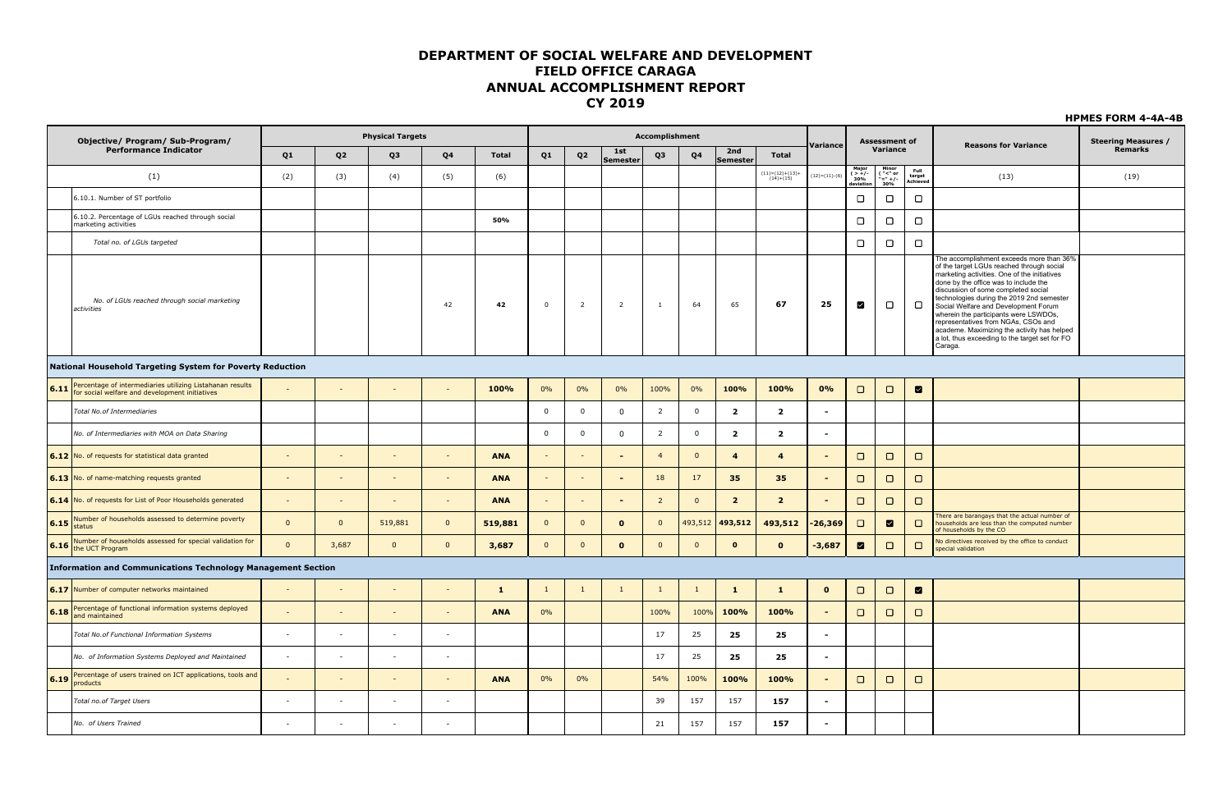|      | Objective/ Program/ Sub-Program/                                                                                     |                          |                          | <b>Physical Targets</b>  |                          |              |                          |                |                 | Accomplishment |                |                         |                                                                     |                          |                                       | Assessment of                                  |                                   |                                                                                                                                                                                                                                                                                                                                                                                                                                                                                                        | <b>Steering Measures /</b> |
|------|----------------------------------------------------------------------------------------------------------------------|--------------------------|--------------------------|--------------------------|--------------------------|--------------|--------------------------|----------------|-----------------|----------------|----------------|-------------------------|---------------------------------------------------------------------|--------------------------|---------------------------------------|------------------------------------------------|-----------------------------------|--------------------------------------------------------------------------------------------------------------------------------------------------------------------------------------------------------------------------------------------------------------------------------------------------------------------------------------------------------------------------------------------------------------------------------------------------------------------------------------------------------|----------------------------|
|      | <b>Performance Indicator</b>                                                                                         | Q1                       | Q <sub>2</sub>           | Q3                       | Q <sub>4</sub>           | <b>Total</b> | Q1                       | Q <sub>2</sub> | 1st<br>Semester | Q3             | Q4             | 2nd<br>Semester         | <b>Total</b>                                                        | Variance                 |                                       | Variance                                       |                                   | <b>Reasons for Variance</b>                                                                                                                                                                                                                                                                                                                                                                                                                                                                            | <b>Remarks</b>             |
|      | (1)                                                                                                                  | (2)                      | (3)                      | (4)                      | (5)                      | (6)          |                          |                |                 |                |                |                         | $\begin{array}{c} (11){=}(12){+}(13){+} \\ (14){+}(15) \end{array}$ | $(12)=(11)-(6)$          | Maior<br>$($ > +/-<br>30%<br>leviatio | Minor<br>$\frac{("{-} " or ")}{=} + /-$<br>30% | Full<br>run<br>target<br>Achieved | (13)                                                                                                                                                                                                                                                                                                                                                                                                                                                                                                   | (19)                       |
|      | 6.10.1. Number of ST portfolio                                                                                       |                          |                          |                          |                          |              |                          |                |                 |                |                |                         |                                                                     |                          | $\Box$                                | $\Box$                                         | $\Box$                            |                                                                                                                                                                                                                                                                                                                                                                                                                                                                                                        |                            |
|      | 6.10.2. Percentage of LGUs reached through social<br>marketing activities                                            |                          |                          |                          |                          | 50%          |                          |                |                 |                |                |                         |                                                                     |                          | $\Box$                                | $\Box$                                         | $\Box$                            |                                                                                                                                                                                                                                                                                                                                                                                                                                                                                                        |                            |
|      | Total no. of LGUs targeted                                                                                           |                          |                          |                          |                          |              |                          |                |                 |                |                |                         |                                                                     |                          | $\Box$                                | $\Box$                                         | $\Box$                            |                                                                                                                                                                                                                                                                                                                                                                                                                                                                                                        |                            |
|      | No. of LGUs reached through social marketing<br>activities                                                           |                          |                          |                          | 42                       | 42           | $\mathbf 0$              | $\overline{2}$ | 2               | $\overline{1}$ | 64             | 65                      | 67                                                                  | 25                       | $\blacksquare$                        | $\Box$                                         | $\Box$                            | The accomplishment exceeds more than 36%<br>of the target LGUs reached through social<br>marketing activities. One of the initiatives<br>done by the office was to include the<br>discussion of some completed social<br>technologies during the 2019 2nd semester<br>Social Welfare and Development Forum<br>wherein the participants were LSWDOs,<br>representatives from NGAs, CSOs and<br>academe. Maximizing the activity has helped<br>a lot, thus exceeding to the target set for FO<br>Caraga. |                            |
|      | National Household Targeting System for Poverty Reduction                                                            |                          |                          |                          |                          |              |                          |                |                 |                |                |                         |                                                                     |                          |                                       |                                                |                                   |                                                                                                                                                                                                                                                                                                                                                                                                                                                                                                        |                            |
|      | <b>6.11</b> Percentage of intermediaries utilizing Listahanan results for social welfare and development initiatives | $\sim$                   | $\sim$                   | $\sim$                   | $\sim$                   | 100%         | 0%                       | 0%             | 0%              | 100%           | 0%             | 100%                    | 100%                                                                | 0%                       | $\Box$                                | $\Box$                                         | $\blacksquare$                    |                                                                                                                                                                                                                                                                                                                                                                                                                                                                                                        |                            |
|      | <b>Total No.of Intermediaries</b>                                                                                    |                          |                          |                          |                          |              | $\overline{\mathbf{0}}$  | $\mathbf 0$    | $\mathbf 0$     | $\overline{2}$ | $\mathbf 0$    | $\overline{2}$          | $\overline{2}$                                                      | $\overline{\phantom{a}}$ |                                       |                                                |                                   |                                                                                                                                                                                                                                                                                                                                                                                                                                                                                                        |                            |
|      | No. of Intermediaries with MOA on Data Sharing                                                                       |                          |                          |                          |                          |              | $\overline{\mathbf{0}}$  | $\mathbf{0}$   | $\mathbf 0$     | $\overline{2}$ | $\mathbf 0$    | $\overline{2}$          | $\overline{2}$                                                      | $\sim$                   |                                       |                                                |                                   |                                                                                                                                                                                                                                                                                                                                                                                                                                                                                                        |                            |
|      | 6.12 No. of requests for statistical data granted                                                                    | $\overline{\phantom{a}}$ | $\sim$                   | $\sim$                   | $\sim$                   | <b>ANA</b>   | $\overline{a}$           |                |                 | $\overline{4}$ | $\overline{0}$ | $\overline{\mathbf{4}}$ | $\overline{a}$                                                      | $\blacksquare$           | $\Box$                                | $\Box$                                         | $\Box$                            |                                                                                                                                                                                                                                                                                                                                                                                                                                                                                                        |                            |
|      | 6.13 No. of name-matching requests granted                                                                           | $\sim$                   | $\sim$                   | $\sim$                   | $\sim$                   | <b>ANA</b>   | $\sim$                   | $\sim$         |                 | 18             | 17             | 35                      | 35                                                                  | $\sim$                   | $\Box$                                | $\Box$                                         | $\Box$                            |                                                                                                                                                                                                                                                                                                                                                                                                                                                                                                        |                            |
|      | 6.14 No. of requests for List of Poor Households generated                                                           |                          | $\sim$                   | $\overline{\phantom{a}}$ | $\sim$                   | <b>ANA</b>   | $\overline{\phantom{a}}$ |                |                 | $\overline{2}$ | $\overline{0}$ | $\overline{2}$          | $\overline{2}$                                                      | $\blacksquare$           | $\Box$                                | $\Box$                                         | $\Box$                            |                                                                                                                                                                                                                                                                                                                                                                                                                                                                                                        |                            |
| 6.15 | Number of households assessed to determine poverty<br>status                                                         | $\overline{0}$           | $\mathbf{0}$             | 519,881                  | $\mathbf 0$              | 519,881      | $\mathbf 0$              | $\Omega$       | $\mathbf{o}$    | $\overline{0}$ | 493,512        | 493,512                 | 493,512                                                             | 26,369                   | $\Box$                                | $\blacksquare$                                 | $\Box$                            | here are barangays that the actual number of<br>nouseholds are less than the computed number<br>of households by the CO                                                                                                                                                                                                                                                                                                                                                                                |                            |
|      | Number of households assessed for special validation for<br>6.16 the UCT Program                                     | $\overline{0}$           | 3,687                    | $\overline{0}$           | $\overline{0}$           | 3,687        | $\overline{\mathbf{0}}$  | $\mathbf{0}$   | $\mathbf{o}$    | $\overline{0}$ | $\Omega$       | $\bullet$               | $\mathbf{o}$                                                        | $-3,687$                 | $\blacksquare$                        | $\Box$                                         | $\Box$                            | No directives received by the office to conduct<br>special validation                                                                                                                                                                                                                                                                                                                                                                                                                                  |                            |
|      | <b>Information and Communications Technology Management Section</b>                                                  |                          |                          |                          |                          |              |                          |                |                 |                |                |                         |                                                                     |                          |                                       |                                                |                                   |                                                                                                                                                                                                                                                                                                                                                                                                                                                                                                        |                            |
|      | 6.17 Number of computer networks maintained                                                                          |                          | $\overline{\phantom{a}}$ | $\overline{\phantom{a}}$ | $\overline{\phantom{a}}$ | $\mathbf{1}$ | -1                       | $\mathbf{1}$   | -1              | $\mathbf{1}$   | $\mathbf{1}$   | $\mathbf{1}$            | $\mathbf{1}$                                                        | $\mathbf{0}$             | $\Box$                                | $\Box$                                         | $\blacksquare$                    |                                                                                                                                                                                                                                                                                                                                                                                                                                                                                                        |                            |
| 6.18 | Percentage of functional information systems deployed<br>and maintained                                              | $\overline{\phantom{a}}$ | $\overline{\phantom{a}}$ | $\sim$                   | $\sim$                   | <b>ANA</b>   | 0%                       |                |                 | 100%           | 100%           | 100%                    | 100%                                                                | $\sim$                   | $\Box$                                | $\Box$                                         | $\Box$                            |                                                                                                                                                                                                                                                                                                                                                                                                                                                                                                        |                            |
|      | Total No.of Functional Information Systems                                                                           | $\sim$                   | $\sim$                   | $\sim$                   | $\sim$                   |              |                          |                |                 | 17             | 25             | 25                      | 25                                                                  | $\sim$                   |                                       |                                                |                                   |                                                                                                                                                                                                                                                                                                                                                                                                                                                                                                        |                            |
|      | No. of Information Systems Deployed and Maintained                                                                   | $\overline{\phantom{a}}$ | $\sim$                   | $\sim$                   | $\sim$                   |              |                          |                |                 | 17             | 25             | 25                      | 25                                                                  | $\overline{\phantom{a}}$ |                                       |                                                |                                   |                                                                                                                                                                                                                                                                                                                                                                                                                                                                                                        |                            |
| 6.19 | Percentage of users trained on ICT applications, tools and<br>products                                               |                          | $\sim$                   | $\sim$                   | $\sim$                   | <b>ANA</b>   | 0%                       | 0%             |                 | 54%            | 100%           | 100%                    | 100%                                                                | $\blacksquare$           | $\Box$                                | $\Box$                                         | $\Box$                            |                                                                                                                                                                                                                                                                                                                                                                                                                                                                                                        |                            |
|      | Total no.of Target Users                                                                                             | $\overline{\phantom{a}}$ | $\blacksquare$           | $\overline{\phantom{a}}$ | $\overline{\phantom{a}}$ |              |                          |                |                 | 39             | 157            | 157                     | 157                                                                 | $\sim$                   |                                       |                                                |                                   |                                                                                                                                                                                                                                                                                                                                                                                                                                                                                                        |                            |
|      | No. of Users Trained                                                                                                 | $\sim$                   | $\sim$                   | $\sim$                   | $\sim$                   |              |                          |                |                 | 21             | 157            | 157                     | 157                                                                 | $\overline{\phantom{a}}$ |                                       |                                                |                                   |                                                                                                                                                                                                                                                                                                                                                                                                                                                                                                        |                            |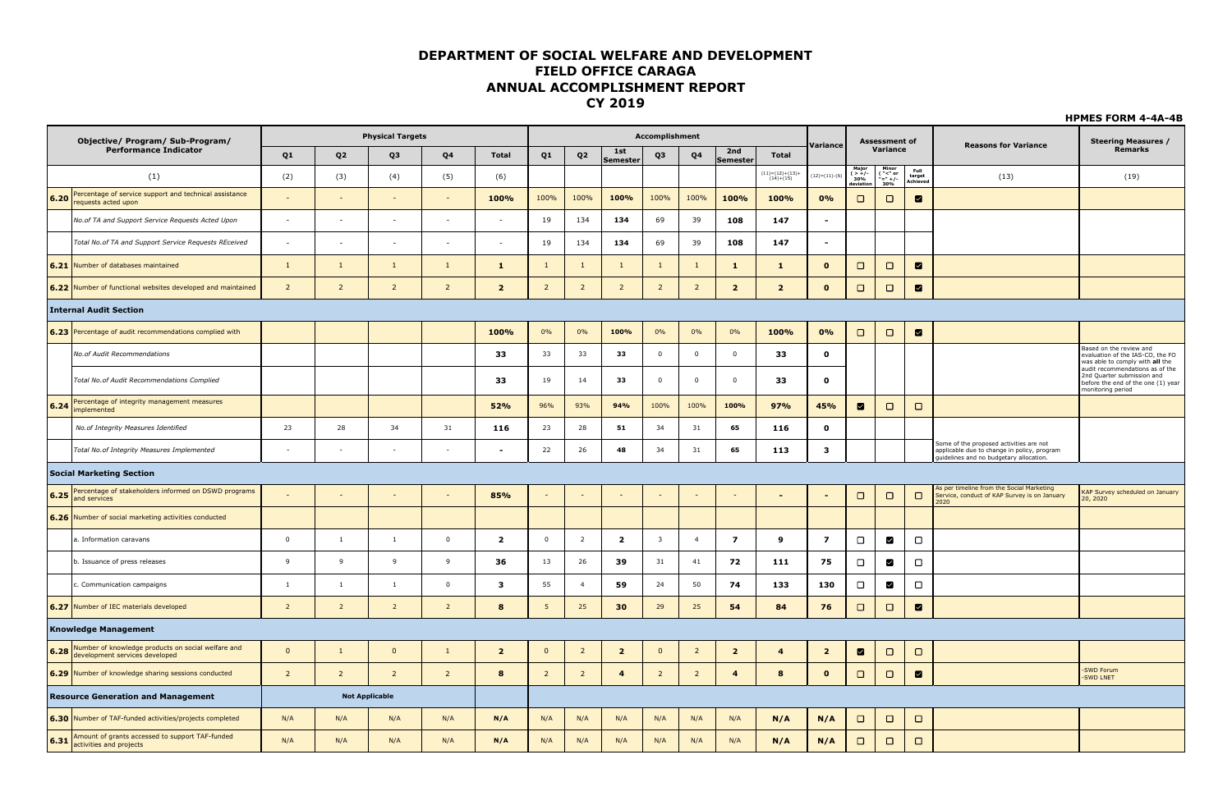|      | Objective/ Program/ Sub-Program/                                                          |                          |                          | <b>Physical Targets</b>  |                          |                         |                         |                |                         | Accomplishment          |                |                 |                                                                     | Variance                 |                                       | <b>Assessment of</b>            |                                      | <b>Reasons for Variance</b>                                                                                                      | <b>Steering Measures /</b>                                                                                               |
|------|-------------------------------------------------------------------------------------------|--------------------------|--------------------------|--------------------------|--------------------------|-------------------------|-------------------------|----------------|-------------------------|-------------------------|----------------|-----------------|---------------------------------------------------------------------|--------------------------|---------------------------------------|---------------------------------|--------------------------------------|----------------------------------------------------------------------------------------------------------------------------------|--------------------------------------------------------------------------------------------------------------------------|
|      | <b>Performance Indicator</b>                                                              | Q1                       | Q <sub>2</sub>           | Q3                       | Q <sub>4</sub>           | <b>Total</b>            | Q1                      | Q <sub>2</sub> | 1st<br>Semester         | Q3                      | Q <sub>4</sub> | 2nd<br>Semester | <b>Total</b>                                                        |                          |                                       | Variance                        |                                      |                                                                                                                                  | Remarks                                                                                                                  |
|      | (1)                                                                                       | (2)                      | (3)                      | (4)                      | (5)                      | (6)                     |                         |                |                         |                         |                |                 | $\begin{array}{c} (11){=}(12){+}(13){+} \\ (14){+}(15) \end{array}$ | $(12)=(11)-(6)$          | $\xi > +/-$<br>30%<br><u>leviatic</u> | $\frac{(x-1)(x-1)}{x-1}$<br>30% | $_{\rm{Full}}$<br>target<br>Achieved | (13)                                                                                                                             | (19)                                                                                                                     |
| 6.20 | Percentage of service support and technical assistance<br>requests acted upon             |                          | $\omega$                 | $\sim$                   | $\sim$                   | 100%                    | 100%                    | 100%           | 100%                    | 100%                    | 100%           | 100%            | 100%                                                                | 0%                       | $\Box$                                | $\Box$                          | $\blacksquare$                       |                                                                                                                                  |                                                                                                                          |
|      | No.of TA and Support Service Requests Acted Upon                                          | $\sim$                   | $\sim$                   | $\sim$                   | $\sim$                   | $\sim$                  | 19                      | 134            | 134                     | 69                      | 39             | 108             | 147                                                                 | $\blacksquare$           |                                       |                                 |                                      |                                                                                                                                  |                                                                                                                          |
|      | Total No.of TA and Support Service Requests REceived                                      | $\overline{\phantom{a}}$ | $\overline{\phantom{a}}$ | $\overline{\phantom{a}}$ | $\sim$                   | $\sim$                  | 19                      | 134            | 134                     | 69                      | 39             | 108             | 147                                                                 | $\overline{\phantom{a}}$ |                                       |                                 |                                      |                                                                                                                                  |                                                                                                                          |
|      | 6.21 Number of databases maintained                                                       | $\mathbf{1}$             | <sup>1</sup>             | $\mathbf{1}$             | $\mathbf{1}$             | $\mathbf{1}$            | $\mathbf{1}$            | $\mathbf{1}$   | $\mathbf{1}$            | $\mathbf{1}$            | $\mathbf{1}$   | $\mathbf{1}$    | $\mathbf{1}$                                                        | $\mathbf{o}$             | $\Box$                                | $\Box$                          | $\blacksquare$                       |                                                                                                                                  |                                                                                                                          |
|      | 6.22 Number of functional websites developed and maintained                               | $\overline{2}$           | $\overline{2}$           | $\overline{2}$           | $\overline{2}$           | $\overline{\mathbf{2}}$ | $\overline{2}$          | $\overline{2}$ | $\overline{2}$          | $\overline{2}$          | $\overline{2}$ | $\overline{2}$  | $\overline{2}$                                                      | $\mathbf{o}$             | $\Box$                                | $\Box$                          | $\blacksquare$                       |                                                                                                                                  |                                                                                                                          |
|      | <b>Internal Audit Section</b>                                                             |                          |                          |                          |                          |                         |                         |                |                         |                         |                |                 |                                                                     |                          |                                       |                                 |                                      |                                                                                                                                  |                                                                                                                          |
|      | 6.23 Percentage of audit recommendations complied with                                    |                          |                          |                          |                          | 100%                    | 0%                      | 0%             | 100%                    | 0%                      | 0%             | $0\%$           | 100%                                                                | 0%                       | $\Box$                                | $\Box$                          | $\blacksquare$                       |                                                                                                                                  |                                                                                                                          |
|      | No.of Audit Recommendations                                                               |                          |                          |                          |                          | 33                      | 33                      | 33             | 33                      | $\overline{\mathbf{0}}$ | $\mathbf 0$    | $\overline{0}$  | 33                                                                  | $\pmb{0}$                |                                       |                                 |                                      |                                                                                                                                  | Based on the review and<br>evaluation of the IAS-CO, the FO<br>was able to comply with all the                           |
|      | Total No.of Audit Recommendations Complied                                                |                          |                          |                          |                          | 33                      | 19                      | 14             | 33                      | $\overline{0}$          | $\Omega$       | $\overline{0}$  | 33                                                                  | $\mathbf{o}$             |                                       |                                 |                                      |                                                                                                                                  | audit recommendations as of the<br>2nd Quarter submission and<br>before the end of the one (1) year<br>monitoring period |
| 6.24 | Percentage of integrity management measures<br>implemented                                |                          |                          |                          |                          | 52%                     | 96%                     | 93%            | 94%                     | 100%                    | 100%           | 100%            | 97%                                                                 | 45%                      | ◙                                     | $\Box$                          | $\Box$                               |                                                                                                                                  |                                                                                                                          |
|      | No.of Integrity Measures Identified                                                       | 23                       | 28                       | 34                       | 31                       | 116                     | 23                      | 28             | 51                      | 34                      | 31             | 65              | 116                                                                 | $\mathbf 0$              |                                       |                                 |                                      |                                                                                                                                  |                                                                                                                          |
|      | Total No.of Integrity Measures Implemented                                                | $\sim$                   | $\sim$                   | $\sim$                   | $\sim$                   |                         | 22                      | 26             | 48                      | 34                      | 31             | 65              | 113                                                                 | $\mathbf{3}$             |                                       |                                 |                                      | Some of the proposed activities are not<br>applicable due to change in policy, program<br>uidelines and no budgetary allocation. |                                                                                                                          |
|      | <b>Social Marketing Section</b>                                                           |                          |                          |                          |                          |                         |                         |                |                         |                         |                |                 |                                                                     |                          |                                       |                                 |                                      |                                                                                                                                  |                                                                                                                          |
| 6.25 | Percentage of stakeholders informed on DSWD programs<br>and services                      |                          |                          |                          | $\overline{\phantom{a}}$ | 85%                     |                         |                |                         | $\overline{a}$          |                |                 | $\blacksquare$                                                      | $\blacksquare$           | $\Box$                                | $\Box$                          | $\Box$                               | As per timeline from the Social Marketing<br>Service, conduct of KAP Survey is on January<br>2020                                | KAP Survey scheduled on January<br>20, 2020                                                                              |
|      | 6.26 Number of social marketing activities conducted                                      |                          |                          |                          |                          |                         |                         |                |                         |                         |                |                 |                                                                     |                          |                                       |                                 |                                      |                                                                                                                                  |                                                                                                                          |
|      | a. Information caravans                                                                   | $\overline{\mathbf{0}}$  | $\mathbf{1}$             | $\overline{1}$           | $\overline{0}$           | $\overline{\mathbf{2}}$ | $\overline{\mathbf{0}}$ | $\overline{2}$ | $\overline{\mathbf{2}}$ | $\overline{\mathbf{3}}$ | $\overline{4}$ | $\overline{z}$  | 9                                                                   | $\overline{\mathbf{z}}$  | $\Box$                                | M                               | $\Box$                               |                                                                                                                                  |                                                                                                                          |
|      | b. Issuance of press releases                                                             | 9                        | $\overline{9}$           | 9                        | $\overline{9}$           | 36                      | 13                      | 26             | 39                      | 31                      | 41             | 72              | 111                                                                 | 75                       | $\Box$                                | $\blacksquare$                  | $\Box$                               |                                                                                                                                  |                                                                                                                          |
|      | c. Communication campaigns                                                                | <sup>1</sup>             | $\mathbf{1}$             | 1                        | $\mathbf 0$              | з                       | 55                      | $\overline{4}$ | 59                      | 24                      | 50             | 74              | 133                                                                 | 130                      | $\Box$                                | $\blacksquare$                  | $\Box$                               |                                                                                                                                  |                                                                                                                          |
|      | 6.27 Number of IEC materials developed                                                    | $\overline{2}$           | $\overline{2}$           | $\overline{2}$           | $\overline{2}$           | 8                       | 5                       | 25             | 30                      | 29                      | 25             | 54              | 84                                                                  | 76                       | $\Box$                                | $\Box$                          | $\blacksquare$                       |                                                                                                                                  |                                                                                                                          |
|      | <b>Knowledge Management</b>                                                               |                          |                          |                          |                          |                         |                         |                |                         |                         |                |                 |                                                                     |                          |                                       |                                 |                                      |                                                                                                                                  |                                                                                                                          |
|      | Number of knowledge products on social welfare and<br>6.28 development services developed | $\overline{\mathbf{0}}$  | $\mathbf{1}$             | $\overline{\mathbf{0}}$  | $\mathbf{1}$             | $\overline{2}$          | $\overline{0}$          | $\overline{2}$ | $\overline{2}$          | $\overline{\mathbf{0}}$ | $\overline{2}$ | $\overline{2}$  | $\overline{\mathbf{4}}$                                             | $\overline{2}$           | $\blacksquare$                        | $\Box$                          | $\Box$                               |                                                                                                                                  |                                                                                                                          |
|      | 6.29 Number of knowledge sharing sessions conducted                                       | $\overline{2}$           | $\overline{2}$           | $\overline{2}$           | $\overline{2}$           | 8                       | $\overline{2}$          | $\overline{2}$ | $\overline{\mathbf{4}}$ | $\overline{2}$          | $\overline{2}$ | $\overline{4}$  | $\bf8$                                                              | $\mathbf{o}$             | $\Box$                                | $\Box$                          | $\blacksquare$                       |                                                                                                                                  | -SWD Forum<br>-SWD LNET                                                                                                  |
|      | <b>Resource Generation and Management</b>                                                 |                          |                          | <b>Not Applicable</b>    |                          |                         |                         |                |                         |                         |                |                 |                                                                     |                          |                                       |                                 |                                      |                                                                                                                                  |                                                                                                                          |
|      | 6.30 Number of TAF-funded activities/projects completed                                   | N/A                      | N/A                      | N/A                      | N/A                      | N/A                     | N/A                     | N/A            | N/A                     | N/A                     | N/A            | N/A             | N/A                                                                 | N/A                      | $\Box$                                | $\Box$                          | $\Box$                               |                                                                                                                                  |                                                                                                                          |
|      | Amount of grants accessed to support TAF-funded<br>6.31 activities and projects           | N/A                      | N/A                      | N/A                      | N/A                      | N/A                     | N/A                     | N/A            | N/A                     | N/A                     | N/A            | N/A             | N/A                                                                 | N/A                      | $\Box$                                | $\Box$                          | $\Box$                               |                                                                                                                                  |                                                                                                                          |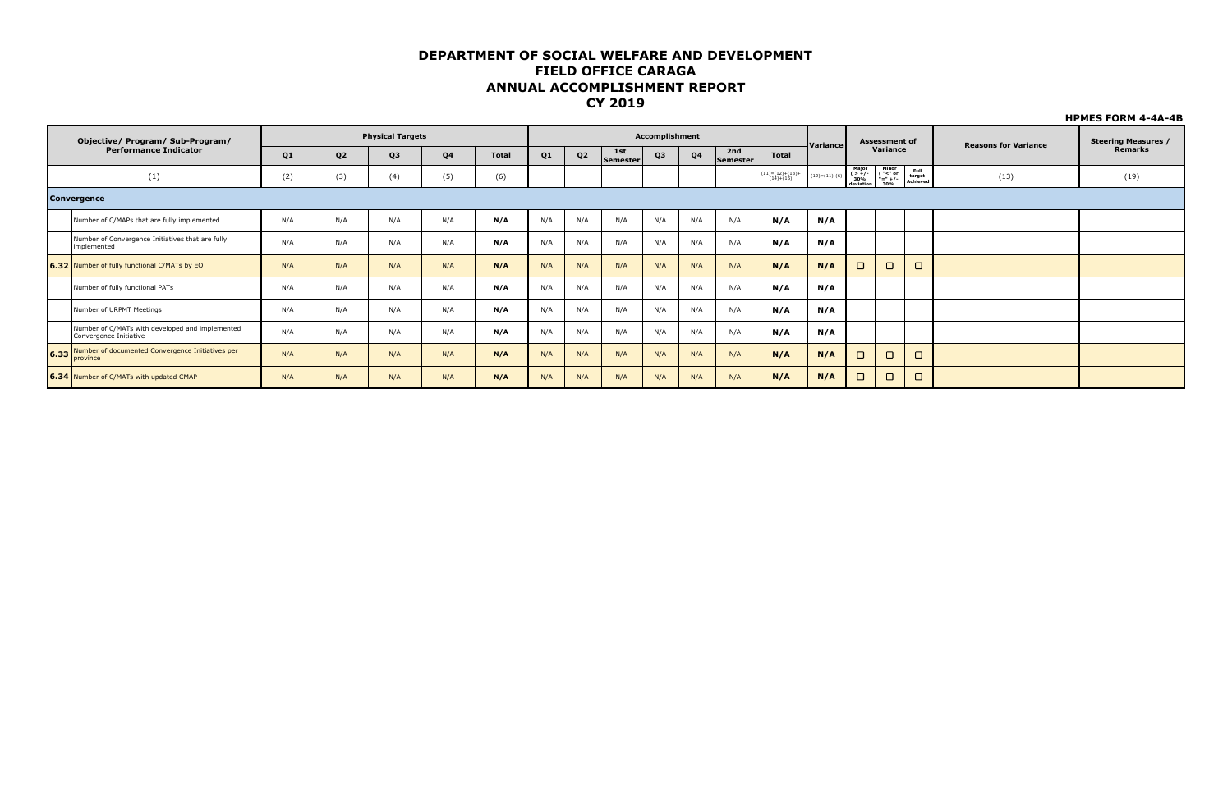|      | Objective/ Program/ Sub-Program/                                          |     |                | <b>Physical Targets</b> |     |              |                |                |                 | <b>Accomplishment</b> |                |                 |                                  |                 |                                | <b>Assessment of</b>                              |                            |                             | <b>Steering Measures /</b> |
|------|---------------------------------------------------------------------------|-----|----------------|-------------------------|-----|--------------|----------------|----------------|-----------------|-----------------------|----------------|-----------------|----------------------------------|-----------------|--------------------------------|---------------------------------------------------|----------------------------|-----------------------------|----------------------------|
|      | <b>Performance Indicator</b>                                              | Q1  | Q <sub>2</sub> | Q3                      | Q4  | <b>Total</b> | Q <sub>1</sub> | Q <sub>2</sub> | 1st<br>Semester | Q3                    | Q <sub>4</sub> | 2nd<br>Semester | <b>Total</b>                     | Variance        |                                | Variance                                          |                            | <b>Reasons for Variance</b> | Remarks                    |
|      | (1)                                                                       | (2) | (3)            | (4)                     | (5) | (6)          |                |                |                 |                       |                |                 | $(11)=(12)+(13)+$<br>$(14)+(15)$ | $(12)=(11)-(6)$ | Major<br>$( > +/-30%deviation$ | Minor<br>$\frac{1}{2}$ = $\frac{1}{2}$ +/-<br>30% | Full<br>target<br>Achieved | (13)                        | (19)                       |
|      | <b>Convergence</b>                                                        |     |                |                         |     |              |                |                |                 |                       |                |                 |                                  |                 |                                |                                                   |                            |                             |                            |
|      | Number of C/MAPs that are fully implemented                               | N/A | N/A            | N/A                     | N/A | N/A          | N/A            | N/A            | N/A             | N/A                   | N/A            | N/A             | N/A                              | N/A             |                                |                                                   |                            |                             |                            |
|      | Number of Convergence Initiatives that are fully<br>implemented           | N/A | N/A            | N/A                     | N/A | N/A          | N/A            | N/A            | N/A             | N/A                   | N/A            | N/A             | N/A                              | N/A             |                                |                                                   |                            |                             |                            |
|      | 6.32 Number of fully functional C/MATs by EO                              | N/A | N/A            | N/A                     | N/A | N/A          | N/A            | N/A            | N/A             | N/A                   | N/A            | N/A             | N/A                              | N/A             | $\Box$                         | $\Box$                                            | $\Box$                     |                             |                            |
|      | Number of fully functional PATs                                           | N/A | N/A            | N/A                     | N/A | N/A          | N/A            | N/A            | N/A             | N/A                   | N/A            | N/A             | N/A                              | N/A             |                                |                                                   |                            |                             |                            |
|      | Number of URPMT Meetings                                                  | N/A | N/A            | N/A                     | N/A | N/A          | N/A            | N/A            | N/A             | N/A                   | N/A            | N/A             | N/A                              | N/A             |                                |                                                   |                            |                             |                            |
|      | Number of C/MATs with developed and implemented<br>Convergence Initiative | N/A | N/A            | N/A                     | N/A | N/A          | N/A            | N/A            | N/A             | N/A                   | N/A            | N/A             | N/A                              | N/A             |                                |                                                   |                            |                             |                            |
| 6.33 | Number of documented Convergence Initiatives per<br>province              | N/A | N/A            | N/A                     | N/A | N/A          | N/A            | N/A            | N/A             | N/A                   | N/A            | N/A             | N/A                              | N/A             |                                | $\Box$                                            | $\Box$                     |                             |                            |
|      | 6.34 Number of C/MATs with updated CMAP                                   | N/A | N/A            | N/A                     | N/A | N/A          | N/A            | N/A            | N/A             | N/A                   | N/A            | N/A             | N/A                              | N/A             | $\blacksquare$                 | $\Box$                                            | $\Box$                     |                             |                            |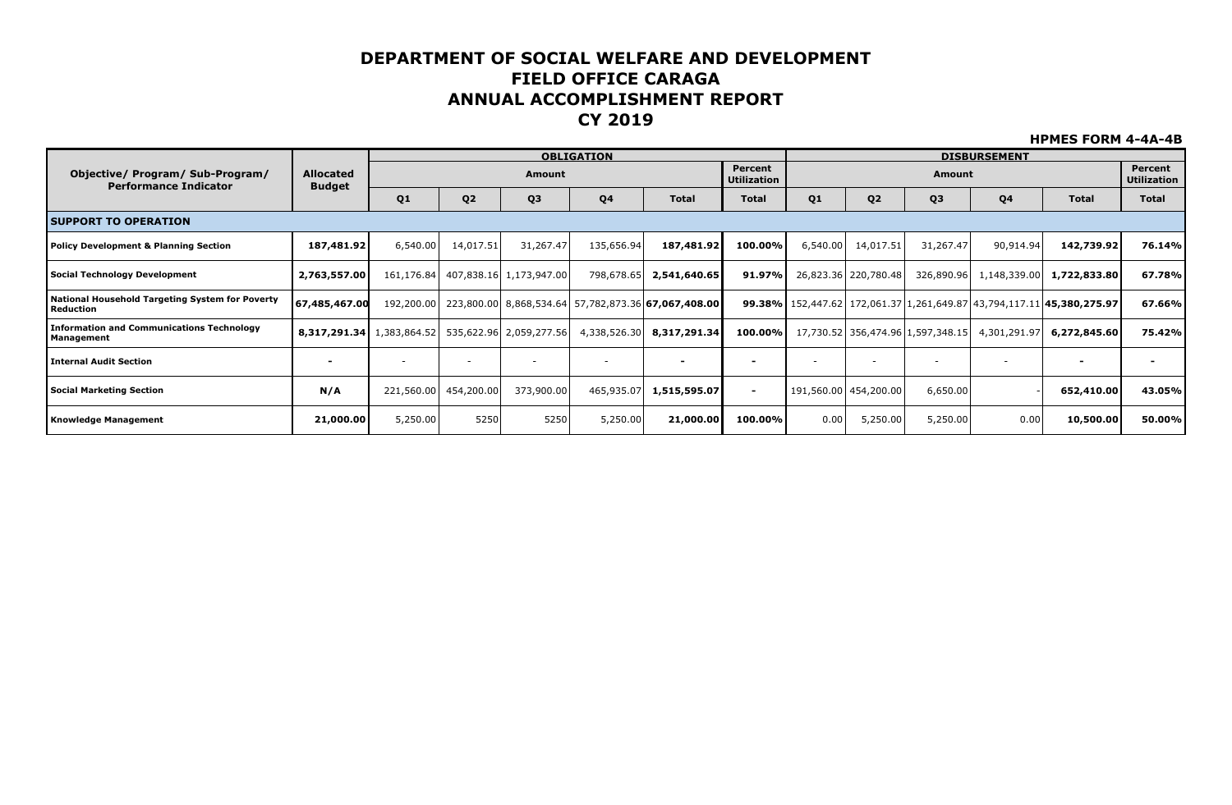|                                                                     |                                                   |            |                       |                                    | <b>OBLIGATION</b>        |                                                            |                               |          |                       |                                   | <b>DISBURSEMENT</b>      |                                                                                     |                               |
|---------------------------------------------------------------------|---------------------------------------------------|------------|-----------------------|------------------------------------|--------------------------|------------------------------------------------------------|-------------------------------|----------|-----------------------|-----------------------------------|--------------------------|-------------------------------------------------------------------------------------|-------------------------------|
| Objective/ Program/ Sub-Program/<br><b>Performance Indicator</b>    | <b>Allocated</b><br><b>Budget</b>                 |            |                       | Amount                             |                          |                                                            | Percent<br><b>Utilization</b> |          |                       | Amount                            |                          |                                                                                     | Percent<br><b>Utilization</b> |
|                                                                     |                                                   | Q1         | Q <sub>2</sub>        | Q <sub>3</sub>                     | Q4                       | <b>Total</b>                                               | <b>Total</b>                  | Q1       | Q <sub>2</sub>        | Q <sub>3</sub>                    | Q4                       | <b>Total</b>                                                                        | <b>Total</b>                  |
| <b>ISUPPORT TO OPERATION</b>                                        |                                                   |            |                       |                                    |                          |                                                            |                               |          |                       |                                   |                          |                                                                                     |                               |
| Policy Development & Planning Section                               | 187,481.92                                        | 6,540.00   | 14,017.51             | 31,267.47                          | 135,656.94               | 187,481.92                                                 | 100.00%                       | 6,540.00 | 14,017.51             | 31,267.47                         | 90,914.94                | 142,739.92                                                                          | 76.14%                        |
| Social Technology Development                                       | 2,763,557.00                                      |            |                       | 161,176.84 407,838.16 1,173,947.00 | 798,678.65               | 2,541,640.65                                               | 91.97%                        |          | 26,823.36 220,780.48  | 326,890.96                        | 1,148,339.00             | 1,722,833.80                                                                        | 67.78%                        |
| National Household Targeting System for Poverty<br><b>Reduction</b> | 67,485,467.00                                     | 192,200.00 |                       |                                    |                          | 223,800.00 8,868,534.64 57,782,873.36 <b>67,067,408.00</b> |                               |          |                       |                                   |                          | <b>99.38%</b> 152,447.62 172,061.37 1,261,649.87 43,794,117.11 <b>45,380,275.97</b> | 67.66%                        |
| <b>Information and Communications Technology</b><br>Management      | 8,317,291.34 1,383,864.52 535,622.96 2,059,277.56 |            |                       |                                    | 4,338,526.30             | 8,317,291.34                                               | 100.00%                       |          |                       | 17,730.52 356,474.96 1,597,348.15 | 4,301,291.97             | 6,272,845.60                                                                        | 75.42%                        |
| <b>Internal Audit Section</b>                                       | $\blacksquare$                                    |            |                       |                                    | $\overline{\phantom{a}}$ |                                                            |                               |          |                       |                                   | $\overline{\phantom{a}}$ |                                                                                     |                               |
| Social Marketing Section                                            | N/A                                               |            | 221,560.00 454,200.00 | 373,900.00                         | 465,935.07               | 1,515,595.07                                               | $\blacksquare$                |          | 191,560.00 454,200.00 | 6,650.00                          |                          | 652,410.00                                                                          | 43.05%                        |
| <b>Knowledge Management</b>                                         | 21,000.00                                         | 5,250.00   | 5250                  | 5250                               | 5,250.00                 | 21,000.00                                                  | 100.00%                       | 0.00     | 5,250.00              | 5,250.00                          | 0.00                     | 10,500.00                                                                           | 50.00%                        |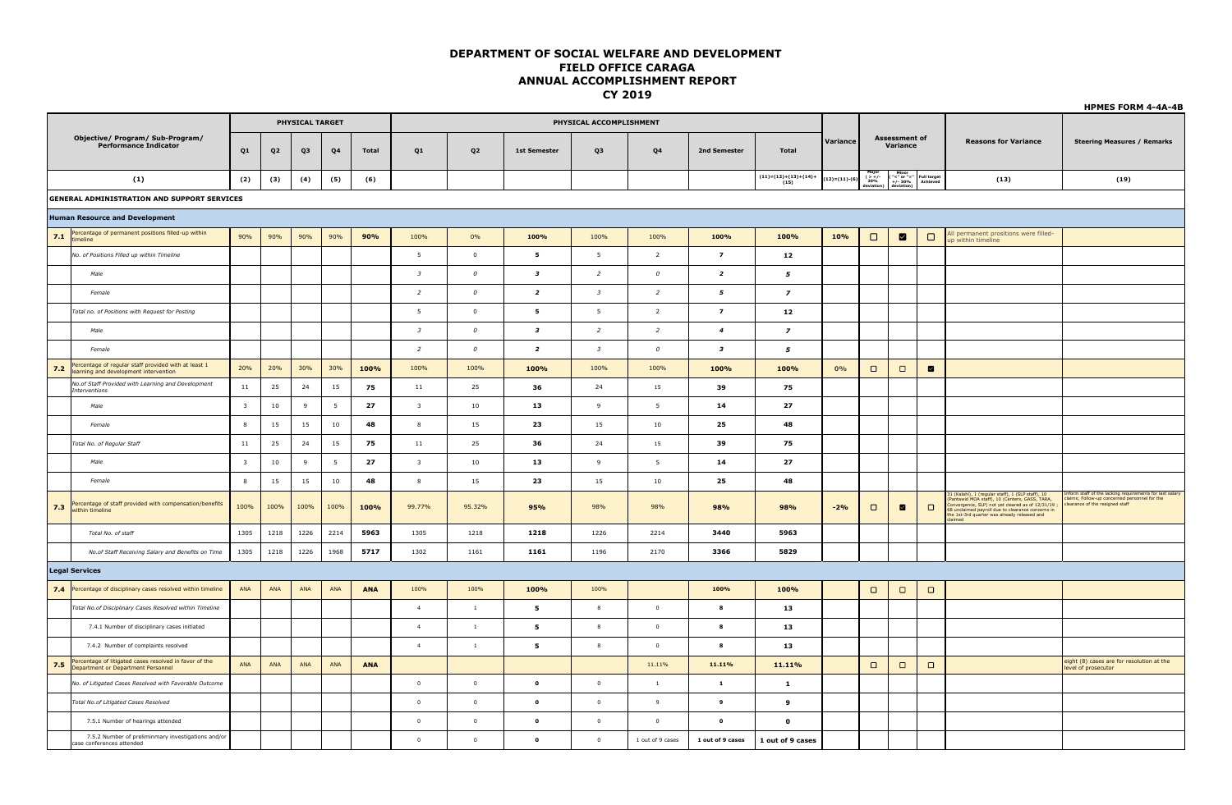|     |                                                                                               |                         |           |                 |                 |              |                         |                  |                         |                         |                  |                         |                                |                 |                                      |                                  |                         |                                                                                                                                                                                                                                                    | <b>HPMES FORM 4-4A-4B</b>                                                                                                               |
|-----|-----------------------------------------------------------------------------------------------|-------------------------|-----------|-----------------|-----------------|--------------|-------------------------|------------------|-------------------------|-------------------------|------------------|-------------------------|--------------------------------|-----------------|--------------------------------------|----------------------------------|-------------------------|----------------------------------------------------------------------------------------------------------------------------------------------------------------------------------------------------------------------------------------------------|-----------------------------------------------------------------------------------------------------------------------------------------|
|     |                                                                                               |                         |           | PHYSICAL TARGET |                 |              |                         |                  |                         | PHYSICAL ACCOMPLISHMENT |                  |                         |                                |                 |                                      |                                  |                         |                                                                                                                                                                                                                                                    |                                                                                                                                         |
|     | Objective/ Program/ Sub-Program/<br><b>Performance Indicator</b>                              | Q1                      | Q2        | Q3              | Q4              | <b>Total</b> | Q1                      | Q <sub>2</sub>   | <b>1st Semester</b>     | Q3                      | Q <sub>4</sub>   | 2nd Semester            | <b>Total</b>                   | Variance        |                                      | <b>Assessment of</b><br>Variance |                         | <b>Reasons for Variance</b>                                                                                                                                                                                                                        | <b>Steering Measures / Remarks</b>                                                                                                      |
|     | (1)                                                                                           | (2)                     | (3)       | (4)             | (5)             | (6)          |                         |                  |                         |                         |                  |                         | $(11)=(12)+(13)+(14)+$<br>(15) | $(12)=(11)-(6)$ | Major<br>( $>+/$<br>30%<br>deviation | Minor<br>( "<" or "="<br>+/- 30% | Full target<br>Achieved | (13)                                                                                                                                                                                                                                               | (19)                                                                                                                                    |
|     | <b>GENERAL ADMINISTRATION AND SUPPORT SERVICES</b>                                            |                         |           |                 |                 |              |                         |                  |                         |                         |                  |                         |                                |                 |                                      |                                  |                         |                                                                                                                                                                                                                                                    |                                                                                                                                         |
|     | <b>Human Resource and Development</b>                                                         |                         |           |                 |                 |              |                         |                  |                         |                         |                  |                         |                                |                 |                                      |                                  |                         |                                                                                                                                                                                                                                                    |                                                                                                                                         |
|     | 7.1 Percentage of permanent positions filled-up within                                        | 90%                     | 90%       | 90%             | 90%             | 90%          | 100%                    | 0%               | 100%                    | 100%                    | 100%             | 100%                    | 100%                           | 10%             | $\Box$                               | ⊠                                | $\Box$                  | All permanent prositions were filled-<br>up within timeline                                                                                                                                                                                        |                                                                                                                                         |
|     | No. of Positions Filled up within Timeline                                                    |                         |           |                 |                 |              | 5                       | $\overline{0}$   | 5                       | 5                       | $\overline{2}$   | $\overline{z}$          | 12                             |                 |                                      |                                  |                         |                                                                                                                                                                                                                                                    |                                                                                                                                         |
|     | Male                                                                                          |                         |           |                 |                 |              | $\overline{\mathbf{3}}$ | $\boldsymbol{o}$ | $\overline{\mathbf{3}}$ | $\overline{a}$          | $\mathcal{O}$    | $\overline{\mathbf{z}}$ | 5                              |                 |                                      |                                  |                         |                                                                                                                                                                                                                                                    |                                                                                                                                         |
|     | Female                                                                                        |                         |           |                 |                 |              | $\overline{2}$          | $\boldsymbol{o}$ | $\overline{a}$          | $\overline{\mathbf{3}}$ | $\overline{2}$   | 5                       | $\overline{\phantom{a}}$       |                 |                                      |                                  |                         |                                                                                                                                                                                                                                                    |                                                                                                                                         |
|     | Total no. of Positions with Request for Posting                                               |                         |           |                 |                 |              | 5                       | $\overline{0}$   | 5                       | 5                       | $\overline{2}$   | $\overline{z}$          | 12                             |                 |                                      |                                  |                         |                                                                                                                                                                                                                                                    |                                                                                                                                         |
|     | Male                                                                                          |                         |           |                 |                 |              | $\overline{\mathbf{3}}$ | $\boldsymbol{o}$ | $\overline{\mathbf{3}}$ | $\overline{a}$          | $\overline{2}$   | $\overline{4}$          | $\overline{z}$                 |                 |                                      |                                  |                         |                                                                                                                                                                                                                                                    |                                                                                                                                         |
|     | Female                                                                                        |                         |           |                 |                 |              | $\overline{a}$          | $\cal O$         | $\overline{z}$          | $\overline{\mathbf{3}}$ | $\cal O$         | $\overline{\mathbf{3}}$ | 5                              |                 |                                      |                                  |                         |                                                                                                                                                                                                                                                    |                                                                                                                                         |
| 7.2 | Percentage of regular staff provided with at least 1<br>learning and development intervention | 20%                     | 20%       | 30%             | 30%             | 100%         | 100%                    | 100%             | 100%                    | 100%                    | 100%             | 100%                    | 100%                           | 0%              | $\Box$                               | $\Box$                           | $\blacksquare$          |                                                                                                                                                                                                                                                    |                                                                                                                                         |
|     | No.of Staff Provided with Learning and Development<br>Interventions                           | 11                      | 25        | 24              | 15              | 75           | 11                      | 25               | 36                      | 24                      | 15               | 39                      | 75                             |                 |                                      |                                  |                         |                                                                                                                                                                                                                                                    |                                                                                                                                         |
|     | Male                                                                                          | $\overline{\mathbf{3}}$ | 10        | 9               | $5\overline{5}$ | 27           | $\overline{\mathbf{3}}$ | 10               | 13                      | 9                       | 5                | 14                      | 27                             |                 |                                      |                                  |                         |                                                                                                                                                                                                                                                    |                                                                                                                                         |
|     | Female                                                                                        | 8                       | 15        | 15              | 10              | 48           | 8                       | 15               | 23                      | 15                      | 10               | 25                      | 48                             |                 |                                      |                                  |                         |                                                                                                                                                                                                                                                    |                                                                                                                                         |
|     | Total No. of Regular Staff                                                                    | 11                      | 25        | 24              | 15              | 75           | 11                      | 25               | 36                      | 24                      | 15               | 39                      | 75                             |                 |                                      |                                  |                         |                                                                                                                                                                                                                                                    |                                                                                                                                         |
|     | Male                                                                                          | $\overline{\mathbf{3}}$ | 10        | 9               | $5\overline{5}$ | 27           | $\overline{\mathbf{3}}$ | 10               | 13                      | 9                       | $5\overline{5}$  | 14                      | 27                             |                 |                                      |                                  |                         |                                                                                                                                                                                                                                                    |                                                                                                                                         |
|     | Female                                                                                        | 8                       | 15        | 15              | 10              | 48           | $\mathbf{8}$            | 15               | 23                      | 15                      | 10               | 25                      | 48                             |                 |                                      |                                  |                         |                                                                                                                                                                                                                                                    |                                                                                                                                         |
| 7.3 | Percentage of staff provided with compensation/benefits<br>within timeline                    | 100%                    | 100%      | 100%            | 100%            | 100%         | 99.77%                  | 95.32%           | 95%                     | 98%                     | 98%              | 98%                     | 98%                            | $-2%$           | $\Box$                               | $\blacksquare$                   | $\Box$                  | 31 (Kalahi), 1 (regular staff), 1 (SLP staff), 10<br>(Pantawid MOA staff), 10 (Centers, GASS, TARA, 10<br>Convergence, SLP) not yet cleared as of 12/31/19<br>68 unclaimed payroll due to clearance concerns in<br>the 1st-3rd quarter was<br>imed | form staff of the lacking requirements for last salary<br>laims; Follow-up concerned personnel for the<br>earance of the resigned staff |
|     | Total No. of staff                                                                            | 1305                    | 1218      | 1226            | 2214            | 5963         | 1305                    | 1218             | 1218                    | 1226                    | 2214             | 3440                    | 5963                           |                 |                                      |                                  |                         |                                                                                                                                                                                                                                                    |                                                                                                                                         |
|     | No.of Staff Receiving Salary and Benefits on Time                                             | 1305                    | 1218      | 1226            | 1968            | 5717         | 1302                    | 1161             | 1161                    | 1196                    | 2170             | 3366                    | 5829                           |                 |                                      |                                  |                         |                                                                                                                                                                                                                                                    |                                                                                                                                         |
|     | <b>Legal Services</b>                                                                         |                         |           |                 |                 |              |                         |                  |                         |                         |                  |                         |                                |                 |                                      |                                  |                         |                                                                                                                                                                                                                                                    |                                                                                                                                         |
|     | 7.4 Percentage of disciplinary cases resolved within timeline                                 | ANA                     | ANA       | ANA             | ANA             | ANA          | 100%                    | 100%             | 100%                    | 100%                    |                  | 100%                    | 100%                           |                 | $\Box$                               | $\Box$                           | $\Box$                  |                                                                                                                                                                                                                                                    |                                                                                                                                         |
|     | Total No.of Disciplinary Cases Resolved within Timeline                                       |                         |           |                 |                 |              | $\overline{4}$          | $\overline{1}$   | 5                       | 8                       | $\mathbf 0$      | 8                       | 13                             |                 |                                      |                                  |                         |                                                                                                                                                                                                                                                    |                                                                                                                                         |
|     | 7.4.1 Number of disciplinary cases initiated                                                  |                         |           |                 |                 |              | $\overline{4}$          | $\mathbf 1$      | ${\bf 5}$               | 8                       | $\mathbb O$      | $\bf{8}$                | 13                             |                 |                                      |                                  |                         |                                                                                                                                                                                                                                                    |                                                                                                                                         |
|     | 7.4.2 Number of complaints resolved                                                           |                         |           |                 |                 |              | $\overline{4}$          | $\overline{1}$   | 5                       | 8                       | $\mathbf 0$      | 8                       | 13                             |                 |                                      |                                  |                         |                                                                                                                                                                                                                                                    |                                                                                                                                         |
| 7.5 | Percentage of litigated cases resolved in favor of the<br>Department or Department Personnel  | ANA                     | $\sf ANA$ | ANA             | ANA             | <b>ANA</b>   |                         |                  |                         |                         | 11.11%           | 11.11%                  | 11.11%                         |                 | $\Box$                               | $\Box$                           | $\Box$                  |                                                                                                                                                                                                                                                    | eight (8) cases are for resolution at the<br>level of prosecutor                                                                        |
|     | No. of Litigated Cases Resolved with Favorable Outcome                                        |                         |           |                 |                 |              | $\,0\,$                 | $\,$ 0           | $\mathbf 0$             | $\overline{0}$          | $\mathbf{1}$     | $\mathbf{1}$            | 1                              |                 |                                      |                                  |                         |                                                                                                                                                                                                                                                    |                                                                                                                                         |
|     | Total No.of Litigated Cases Resolved                                                          |                         |           |                 |                 |              | $\mathbf 0$             | $\overline{0}$   | $\mathbf{o}$            | $\overline{0}$          | $\overline{9}$   | 9                       | 9                              |                 |                                      |                                  |                         |                                                                                                                                                                                                                                                    |                                                                                                                                         |
|     | 7.5.1 Number of hearings attended                                                             |                         |           |                 |                 |              | $\pmb{0}$               | $\mathbf 0$      | $\mathbf 0$             | $\overline{0}$          | $\mathbf 0$      | $\mathbf{o}$            | $\mathbf{o}$                   |                 |                                      |                                  |                         |                                                                                                                                                                                                                                                    |                                                                                                                                         |
|     | 7.5.2 Number of preliminmary investigations and/or<br>case conferences attended               |                         |           |                 |                 |              | $\mathbf 0$             | $\mathbf 0$      | $\mathbf{o}$            | $\overline{0}$          | 1 out of 9 cases | 1 out of 9 cases        | 1 out of 9 cases               |                 |                                      |                                  |                         |                                                                                                                                                                                                                                                    |                                                                                                                                         |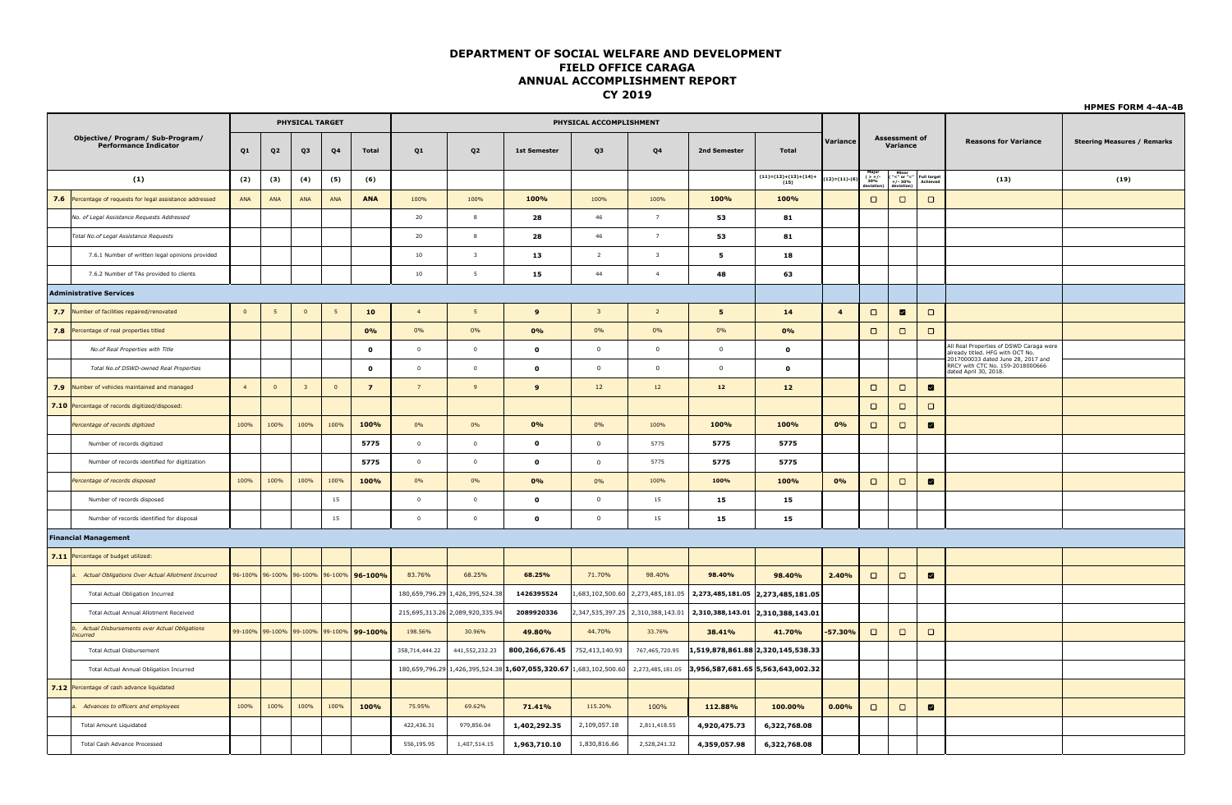|                                |                                                                  |                      |                 |                         |                |                                         |                         |                                 |                                                                   |                         |                         |                                                                                                     |                                |                         |                                                                                     |                                  |                                                          |                                                                                                                   | <b>HPMES FORM 4-4A-4B</b>          |  |
|--------------------------------|------------------------------------------------------------------|----------------------|-----------------|-------------------------|----------------|-----------------------------------------|-------------------------|---------------------------------|-------------------------------------------------------------------|-------------------------|-------------------------|-----------------------------------------------------------------------------------------------------|--------------------------------|-------------------------|-------------------------------------------------------------------------------------|----------------------------------|----------------------------------------------------------|-------------------------------------------------------------------------------------------------------------------|------------------------------------|--|
|                                |                                                                  |                      |                 | <b>PHYSICAL TARGET</b>  |                |                                         | PHYSICAL ACCOMPLISHMENT |                                 |                                                                   |                         |                         |                                                                                                     |                                |                         |                                                                                     |                                  |                                                          |                                                                                                                   |                                    |  |
|                                | Objective/ Program/ Sub-Program/<br><b>Performance Indicator</b> | Q1<br>Q <sub>2</sub> |                 | Q3                      | ${\bf Q4}$     | Total                                   | Q1                      | Q <sub>2</sub>                  | <b>1st Semester</b>                                               | Q3                      | ${\bf Q4}$              | 2nd Semester                                                                                        | Total                          | Variance                |                                                                                     | <b>Assessment of</b><br>Variance |                                                          | <b>Reasons for Variance</b>                                                                                       | <b>Steering Measures / Remarks</b> |  |
|                                | (1)                                                              | (2)                  | (3)             | (4)                     | (5)            | (6)                                     |                         |                                 |                                                                   |                         |                         |                                                                                                     | $(11)=(12)+(13)+(14)+$<br>(15) | $(12)=(11)-($           | $\begin{array}{c}\n\text{Major} \\ ( > + / \\ 30\% \\ \text{eviation}\n\end{array}$ |                                  | Minor<br>"<" or "="<br>+/- 30%<br>deviation)<br>Achieved | (13)                                                                                                              | (19)                               |  |
|                                | 7.6 Percentage of requests for legal assistance addressed        | ANA                  | ANA             | ANA                     | ANA            | <b>ANA</b>                              | 100%                    | 100%                            | 100%                                                              | 100%                    | 100%                    | 100%                                                                                                | 100%                           |                         | $\Box$                                                                              | $\Box$                           | $\Box$                                                   |                                                                                                                   |                                    |  |
|                                | No. of Legal Assistance Requests Addressed                       |                      |                 |                         |                |                                         | 20                      | 8                               | 28                                                                | 46                      | 7                       | 53                                                                                                  | 81                             |                         |                                                                                     |                                  |                                                          |                                                                                                                   |                                    |  |
|                                | Total No.of Legal Assistance Requests                            |                      |                 |                         |                |                                         | 20                      | 8                               | 28                                                                | 46                      | 7                       | 53                                                                                                  | 81                             |                         |                                                                                     |                                  |                                                          |                                                                                                                   |                                    |  |
|                                | 7.6.1 Number of written legal opinions provided                  |                      |                 |                         |                |                                         | 10                      | $\overline{\mathbf{3}}$         | 13                                                                | $\overline{2}$          | $\overline{\mathbf{3}}$ | 5                                                                                                   | 18                             |                         |                                                                                     |                                  |                                                          |                                                                                                                   |                                    |  |
|                                | 7.6.2 Number of TAs provided to clients                          |                      |                 |                         |                |                                         | 10                      | $5\overline{5}$                 | 15                                                                | 44                      | $\overline{4}$          | 48                                                                                                  | 63                             |                         |                                                                                     |                                  |                                                          |                                                                                                                   |                                    |  |
| <b>Administrative Services</b> |                                                                  |                      |                 |                         |                |                                         |                         |                                 |                                                                   |                         |                         |                                                                                                     |                                |                         |                                                                                     |                                  |                                                          |                                                                                                                   |                                    |  |
|                                | 7.7 Number of facilities repaired/renovated                      | $\overline{0}$       | 5               | $\overline{0}$          | 5 <sup>5</sup> | 10                                      | $\overline{4}$          | 5 <sub>1</sub>                  | $\mathbf{9}$                                                      | $\overline{\mathbf{3}}$ | $\overline{2}$          | ${\bf 5}$                                                                                           | 14                             | $\overline{\mathbf{4}}$ | $\Box$                                                                              | $\blacksquare$                   | $\Box$                                                   |                                                                                                                   |                                    |  |
|                                | 7.8 Percentage of real properties titled                         |                      |                 |                         |                | 0%                                      | 0%                      | 0%                              | 0%                                                                | 0%                      | 0%                      | 0%                                                                                                  | 0%                             |                         | $\Box$                                                                              | $\Box$                           | $\Box$                                                   |                                                                                                                   |                                    |  |
|                                | No.of Real Properties with Title                                 |                      |                 |                         |                | $\mathbf{o}$                            | $\overline{0}$          | $\overline{0}$                  | $\mathbf 0$                                                       | $\mathbf 0$             | $\mathbf 0$             | $\mathbf 0$                                                                                         | $\mathbf 0$                    |                         |                                                                                     |                                  |                                                          | All Real Properties of DSWD Caraga were<br>already titled. HFG with OCT No.<br>2017000033 dated June 28, 2017 and |                                    |  |
|                                | Total No.of DSWD-owned Real Properties                           |                      |                 |                         |                | $\mathbf{o}$                            | $\overline{0}$          | $\overline{0}$                  | $\mathbf 0$                                                       | $\mathbf{0}$            | $\mathbf 0$             | $\mathbf{0}$                                                                                        | $\mathbf{o}$                   |                         |                                                                                     |                                  |                                                          | RRCY with CTC No. 159-2018000666<br>dated April 30, 2018.                                                         |                                    |  |
|                                | 7.9 Number of vehicles maintained and managed                    | $\overline{4}$       | $\overline{0}$  | $\overline{\mathbf{3}}$ | $\overline{0}$ | $\overline{z}$                          | $\overline{7}$          | 9                               | $\mathbf{9}$                                                      | 12                      | $12\,$                  | 12                                                                                                  | $12$                           |                         | $\Box$                                                                              | $\Box$                           | $\blacksquare$                                           |                                                                                                                   |                                    |  |
|                                | 7.10 Percentage of records digitized/disposed:                   |                      |                 |                         |                |                                         |                         |                                 |                                                                   |                         |                         |                                                                                                     |                                |                         | $\Box$                                                                              | $\Box$                           | $\Box$                                                   |                                                                                                                   |                                    |  |
|                                | Percentage of records digitized                                  | 100%                 | 100%            | 100%                    | 100%           | 100%                                    | $0\%$                   | 0%                              | 0%                                                                | 0%                      | 100%                    | 100%                                                                                                | 100%                           | 0%                      | $\Box$                                                                              | $\Box$                           | $\blacksquare$                                           |                                                                                                                   |                                    |  |
|                                | Number of records digitized                                      |                      |                 |                         |                | 5775                                    | $\overline{0}$          | $\overline{0}$                  | $\mathbf 0$                                                       | $\mathbf 0$             | 5775                    | 5775                                                                                                | 5775                           |                         |                                                                                     |                                  |                                                          |                                                                                                                   |                                    |  |
|                                | Number of records identified for digitization                    |                      |                 |                         |                | 5775                                    | $\overline{0}$          | $\circ$                         | $\mathbf 0$                                                       | $\mathbf 0$             | 5775                    | 5775                                                                                                | 5775                           |                         |                                                                                     |                                  |                                                          |                                                                                                                   |                                    |  |
|                                | Percentage of records disposed                                   | 100%                 | 100%            | 100%                    | 100%           | 100%                                    | $0\%$                   | 0%                              | 0%                                                                | 0%                      | 100%                    | 100%                                                                                                | 100%                           | 0%                      | $\Box$                                                                              | $\Box$                           | $\blacksquare$                                           |                                                                                                                   |                                    |  |
|                                | Number of records disposed                                       |                      |                 |                         | 15             |                                         | $\overline{0}$          | $\circ$                         | $\pmb{\mathsf{o}}$                                                | $\mathbf{0}$            | $15\,$                  | 15                                                                                                  | 15                             |                         |                                                                                     |                                  |                                                          |                                                                                                                   |                                    |  |
|                                | Number of records identified for disposal                        |                      |                 |                         | 15             |                                         | $\overline{0}$          | $\circ$                         | $\mathbf{o}$                                                      | $\mathbf 0$             | 15                      | 15                                                                                                  | 15                             |                         |                                                                                     |                                  |                                                          |                                                                                                                   |                                    |  |
|                                | <b>Financial Management</b>                                      |                      |                 |                         |                |                                         |                         |                                 |                                                                   |                         |                         |                                                                                                     |                                |                         |                                                                                     |                                  |                                                          |                                                                                                                   |                                    |  |
|                                | 7.11 Percentage of budget utilized:                              |                      |                 |                         |                |                                         |                         |                                 |                                                                   |                         |                         |                                                                                                     |                                |                         |                                                                                     |                                  |                                                          |                                                                                                                   |                                    |  |
|                                | a. Actual Obligations Over Actual Allotment Incurred             |                      | 96-100% 96-100% | 96-100%                 |                | 96-100% 96-100%                         | 83.76%                  | 68.25%                          | 68.25%                                                            | 71.70%                  | 98.40%                  | 98.40%                                                                                              | 98.40%                         | 2.40%                   | $\Box$                                                                              | $\Box$                           | $\blacksquare$                                           |                                                                                                                   |                                    |  |
|                                | <b>Total Actual Obligation Incurred</b>                          |                      |                 |                         |                |                                         |                         | 180,659,796.29 1,426,395,524.38 | 1426395524                                                        |                         |                         | 1,683,102,500.60 2,273,485,181.05 2,273,485,181.05 2,273,485,181.05                                 |                                |                         |                                                                                     |                                  |                                                          |                                                                                                                   |                                    |  |
|                                | <b>Total Actual Annual Allotment Received</b>                    |                      |                 |                         |                |                                         |                         | 215,695,313.26 2,089,920,335.94 | 2089920336                                                        |                         |                         | $\vert 2,347,535,397.25 \vert 2,310,388,143.01 \vert 2,310,388,143.01 \vert 2,310,388,143.01 \vert$ |                                |                         |                                                                                     |                                  |                                                          |                                                                                                                   |                                    |  |
|                                | Actual Disbursements over Actual Obligations<br>Incurred         |                      |                 |                         |                | 99-100% 99-100% 99-100% 99-100% 99-100% | 198.56%                 | 30.96%                          | 49.80%                                                            | 44.70%                  | 33.76%                  | 38.41%                                                                                              | 41.70%                         | $-57.30%$               | $\Box$                                                                              | $\Box$                           | $\Box$                                                   |                                                                                                                   |                                    |  |
|                                | <b>Total Actual Disbursement</b>                                 |                      |                 |                         |                |                                         | 358,714,444.22          | 441,552,232.23                  | 800,266,676.45                                                    | 752,413,140.93          | 767,465,720.95          | 1,519,878,861.88 2,320,145,538.33                                                                   |                                |                         |                                                                                     |                                  |                                                          |                                                                                                                   |                                    |  |
|                                | Total Actual Annual Obligation Incurred                          |                      |                 |                         |                |                                         |                         |                                 | 180,659,796.29 1,426,395,524.38 1,607,055,320.67 1,683,102,500.60 |                         |                         | 2,273,485,181.05 3,956,587,681.65 5,563,643,002.32                                                  |                                |                         |                                                                                     |                                  |                                                          |                                                                                                                   |                                    |  |
|                                | 7.12 Percentage of cash advance liquidated                       |                      |                 |                         |                |                                         |                         |                                 |                                                                   |                         |                         |                                                                                                     |                                |                         |                                                                                     |                                  |                                                          |                                                                                                                   |                                    |  |
|                                | Advances to officers and employees                               | 100%                 | 100%            | 100%                    | 100%           | 100%                                    | 75.95%                  | 69.62%                          | 71.41%                                                            | 115.20%                 | 100%                    | 112.88%                                                                                             | 100.00%                        | 0.00%                   | $\Box$                                                                              | $\Box$                           | $\blacksquare$                                           |                                                                                                                   |                                    |  |
|                                | <b>Total Amount Liquidated</b>                                   |                      |                 |                         |                |                                         | 422,436.31              | 979,856.04                      | 1,402,292.35                                                      | 2,109,057.18            | 2,811,418.55            | 4,920,475.73                                                                                        | 6,322,768.08                   |                         |                                                                                     |                                  |                                                          |                                                                                                                   |                                    |  |
|                                | <b>Total Cash Advance Processed</b>                              |                      |                 |                         |                |                                         | 556,195.95              | 1,407,514.15                    | 1,963,710.10                                                      | 1,830,816.66            | 2,528,241.32            | 4,359,057.98                                                                                        | 6,322,768.08                   |                         |                                                                                     |                                  |                                                          |                                                                                                                   |                                    |  |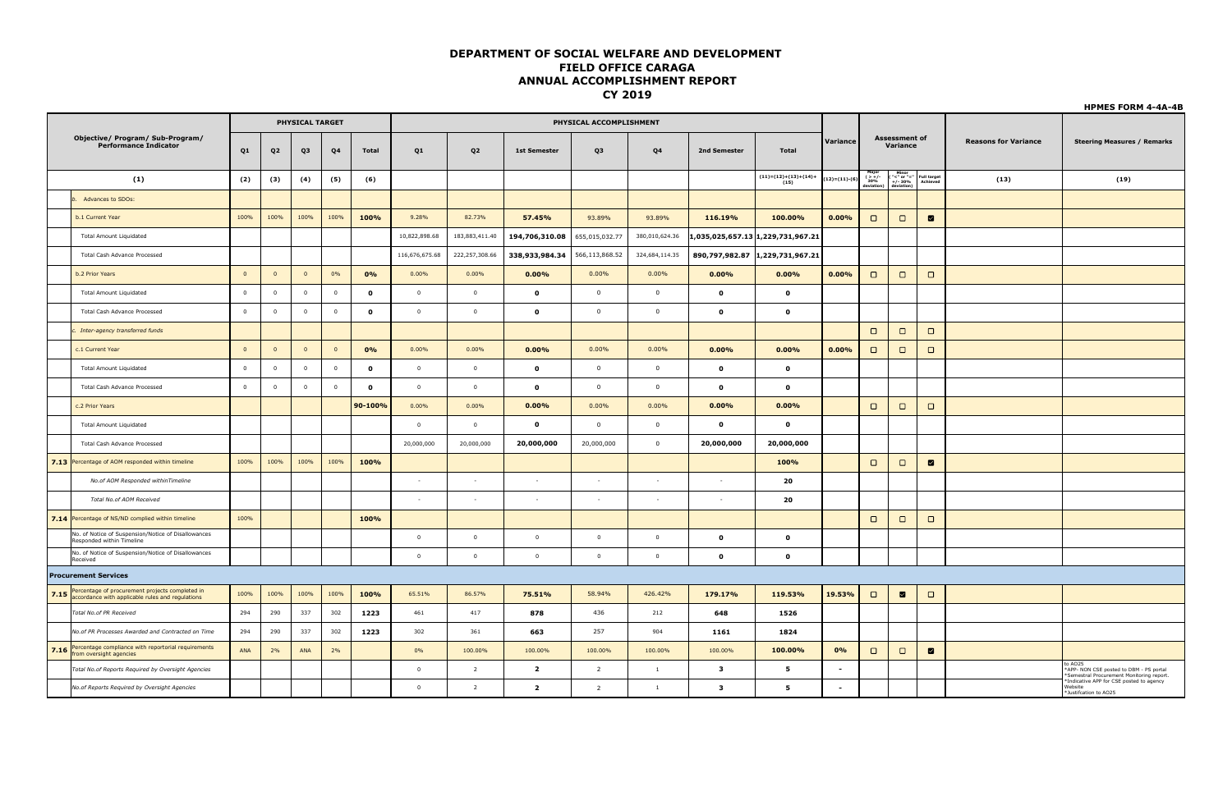|      |                                                                                                          |                |                         | <b>PHYSICAL TARGET</b> |                |              | PHYSICAL ACCOMPLISHMENT |                |                         |                         |                |              |                                   |                  |                                  |                                                                                                                                   |                                |                             |                                                                                                |  |
|------|----------------------------------------------------------------------------------------------------------|----------------|-------------------------|------------------------|----------------|--------------|-------------------------|----------------|-------------------------|-------------------------|----------------|--------------|-----------------------------------|------------------|----------------------------------|-----------------------------------------------------------------------------------------------------------------------------------|--------------------------------|-----------------------------|------------------------------------------------------------------------------------------------|--|
|      | Objective/ Program/ Sub-Program/<br><b>Performance Indicator</b>                                         | Q1             | Q <sub>2</sub>          | Q3                     | Q4             | Total        | Q1                      | Q2             | <b>1st Semester</b>     | Q3                      | Q4             | 2nd Semester | <b>Total</b>                      | Variance         | <b>Assessment of</b><br>Variance |                                                                                                                                   |                                | <b>Reasons for Variance</b> | <b>Steering Measures / Remarks</b>                                                             |  |
|      | (1)                                                                                                      | (2)            | (3)                     | (4)                    | (5)            | (6)          |                         |                |                         |                         |                |              | $(11)=(12)+(13)+(14)+(15)$        | $12) = (11)-(6)$ | major<br>-/+ S10%<br>deviation   | $\begin{array}{c}\n\textbf{Minor} \\ \text{``<}" \text{ or } \text{''=''} \\ \text{+/- 30\%} \\ \textbf{deviation)}\n\end{array}$ | <b>Full target</b><br>Achieved | (13)                        | (19)                                                                                           |  |
|      | Advances to SDOs:                                                                                        |                |                         |                        |                |              |                         |                |                         |                         |                |              |                                   |                  |                                  |                                                                                                                                   |                                |                             |                                                                                                |  |
|      | b.1 Current Year                                                                                         | 100%           | 100%                    | 100%                   | 100%           | 100%         | 9.28%                   | 82.73%         | 57.45%                  | 93.89%                  | 93.89%         | 116.19%      | 100.00%                           | 0.00%            | $\Box$                           | $\Box$                                                                                                                            | ☑                              |                             |                                                                                                |  |
|      | <b>Total Amount Liquidated</b>                                                                           |                |                         |                        |                |              | 10,822,898.68           | 183,883,411.40 | 194,706,310.08          | 655,015,032.77          | 380,010,624.36 |              | 1,035,025,657.13 1,229,731,967.21 |                  |                                  |                                                                                                                                   |                                |                             |                                                                                                |  |
|      | <b>Total Cash Advance Processed</b>                                                                      |                |                         |                        |                |              | 116,676,675.68          | 222,257,308.66 | 338,933,984.34          | 566,113,868.52          | 324,684,114.35 |              | 890,797,982.87 1,229,731,967.21   |                  |                                  |                                                                                                                                   |                                |                             |                                                                                                |  |
|      | b.2 Prior Years                                                                                          | $\overline{0}$ | $\overline{0}$          | $\overline{0}$         | 0%             | 0%           | $0.00\%$                | $0.00\%$       | 0.00%                   | 0.00%                   | $0.00\%$       | 0.00%        | $0.00\%$                          | 0.00%            | $\Box$                           | $\Box$                                                                                                                            | $\Box$                         |                             |                                                                                                |  |
|      | <b>Total Amount Liquidated</b>                                                                           | $\mathbf 0$    | $\overline{\mathbf{0}}$ | $\overline{0}$         | $\overline{0}$ | $\mathbf{o}$ | $\overline{0}$          | $\overline{0}$ | $\bullet$               | $\overline{0}$          | $\overline{0}$ | $\mathbf{o}$ | $\mathbf{o}$                      |                  |                                  |                                                                                                                                   |                                |                             |                                                                                                |  |
|      | <b>Total Cash Advance Processed</b>                                                                      | $\,$ 0         | $\overline{\mathbf{0}}$ | $\overline{0}$         | $\overline{0}$ | $\mathbf{o}$ | $\overline{0}$          | $\overline{0}$ | $\bullet$               | $\overline{0}$          | $\overline{0}$ | $\mathbf 0$  | $\mathbf 0$                       |                  |                                  |                                                                                                                                   |                                |                             |                                                                                                |  |
|      | Inter-agency transferred funds                                                                           |                |                         |                        |                |              |                         |                |                         |                         |                |              |                                   |                  | $\Box$                           | $\Box$                                                                                                                            | $\Box$                         |                             |                                                                                                |  |
|      | c.1 Current Year                                                                                         | $\Omega$       | $\Omega$                | $\Omega$               | $\overline{0}$ | 0%           | $0.00\%$                | 0.00%          | 0.00%                   | 0.00%                   | 0.00%          | 0.00%        | $0.00\%$                          | 0.00%            | $\Box$                           | $\Box$                                                                                                                            | $\Box$                         |                             |                                                                                                |  |
|      | <b>Total Amount Liquidated</b>                                                                           | $\,$ 0         | $\overline{\mathbf{0}}$ | $\mathbf 0$            | $\overline{0}$ | $\mathbf{o}$ | $\overline{0}$          | $\circ$        | $\bullet$               | $\mathbf 0$             | $\overline{0}$ | $\mathbf{o}$ | $\mathbf{o}$                      |                  |                                  |                                                                                                                                   |                                |                             |                                                                                                |  |
|      | <b>Total Cash Advance Processed</b>                                                                      | $\mathbf 0$    | $\overline{\mathbf{0}}$ | $\overline{0}$         | $\overline{0}$ | $\mathbf 0$  | $\overline{0}$          | $\overline{0}$ | $\bullet$               | $\overline{\mathbf{0}}$ | $\overline{0}$ | $\mathbf{o}$ | $\mathbf{o}$                      |                  |                                  |                                                                                                                                   |                                |                             |                                                                                                |  |
|      | c.2 Prior Years                                                                                          |                |                         |                        |                | 90-100%      | 0.00%                   | 0.00%          | 0.00%                   | 0.00%                   | 0.00%          | 0.00%        | 0.00%                             |                  | $\Box$                           | $\Box$                                                                                                                            | $\Box$                         |                             |                                                                                                |  |
|      | Total Amount Liquidated                                                                                  |                |                         |                        |                |              | $\overline{0}$          | $\overline{0}$ | $\bullet$               | $\mathbf 0$             | $\overline{0}$ | $\bullet$    | $\mathbf{o}$                      |                  |                                  |                                                                                                                                   |                                |                             |                                                                                                |  |
|      | Total Cash Advance Processed                                                                             |                |                         |                        |                |              | 20,000,000              | 20,000,000     | 20,000,000              | 20,000,000              | $\overline{0}$ | 20,000,000   | 20,000,000                        |                  |                                  |                                                                                                                                   |                                |                             |                                                                                                |  |
|      | 7.13 Percentage of AOM responded within timeline                                                         | 100%           | 100%                    | 100%                   | 100%           | 100%         |                         |                |                         |                         |                |              | 100%                              |                  | $\Box$                           | $\Box$                                                                                                                            | $\blacksquare$                 |                             |                                                                                                |  |
|      | No.of AOM Responded withinTimeline                                                                       |                |                         |                        |                |              | $\sim$                  | $\sim$         | $\sim$                  | $\sim$                  | $\sim$         | $\sim$       | 20                                |                  |                                  |                                                                                                                                   |                                |                             |                                                                                                |  |
|      | Total No.of AOM Received                                                                                 |                |                         |                        |                |              | ÷.                      | $\sim$         | $\sim$                  | $\sim$                  | $\sim$         | $\sim$       | 20                                |                  |                                  |                                                                                                                                   |                                |                             |                                                                                                |  |
|      | 7.14 Percentage of NS/ND complied within timeline                                                        | 100%           |                         |                        |                | 100%         |                         |                |                         |                         |                |              |                                   |                  | $\Box$                           | $\Box$                                                                                                                            | $\Box$                         |                             |                                                                                                |  |
|      | No. of Notice of Suspension/Notice of Disallowances<br>Responded within Timeline                         |                |                         |                        |                |              | $\overline{0}$          | $\overline{0}$ | $\mathbf{0}$            | $\mathbf{0}$            | $\overline{0}$ | $\mathbf{o}$ | $\mathbf{o}$                      |                  |                                  |                                                                                                                                   |                                |                             |                                                                                                |  |
|      | No. of Notice of Suspension/Notice of Disallowances<br>Received                                          |                |                         |                        |                |              | $\overline{0}$          | $\circ$        | $\mathbf{0}$            | $\circ$                 | $\circ$        | $\mathbf{o}$ | $\mathbf 0$                       |                  |                                  |                                                                                                                                   |                                |                             |                                                                                                |  |
|      | <b>Procurement Services</b>                                                                              |                |                         |                        |                |              |                         |                |                         |                         |                |              |                                   |                  |                                  |                                                                                                                                   |                                |                             |                                                                                                |  |
|      | 7.15 Percentage of procurement projects completed in<br>accordance with applicable rules and regulations | 100%           | 100%                    | 100%                   | 100%           | 100%         | 65.51%                  | 86.57%         | 75.51%                  | 58.94%                  | 426.42%        | 179.17%      | 119.53%                           | 19.53%           | $\Box$                           | $\blacksquare$                                                                                                                    | $\Box$                         |                             |                                                                                                |  |
|      | Total No.of PR Received                                                                                  | 294            | 290                     | 337                    | 302            | 1223         | 461                     | 417            | 878                     | 436                     | 212            | 648          | 1526                              |                  |                                  |                                                                                                                                   |                                |                             |                                                                                                |  |
|      | No.of PR Processes Awarded and Contracted on Time                                                        | 294            | 290                     | 337                    | 302            | 1223         | 302                     | 361            | 663                     | 257                     | 904            | 1161         | 1824                              |                  |                                  |                                                                                                                                   |                                |                             |                                                                                                |  |
| 7.16 | Percentage compliance with reportorial requirements<br>from oversight agencies                           | ANA            | 2%                      | ANA                    | 2%             |              | $0\%$                   | 100.00%        | 100.00%                 | 100.00%                 | 100.00%        | 100.00%      | 100.00%                           | 0%               | $\Box$                           | $\Box$                                                                                                                            | $\blacksquare$                 |                             |                                                                                                |  |
|      | Total No.of Reports Required by Oversight Agencies                                                       |                |                         |                        |                |              | $\overline{0}$          | $\overline{2}$ | $\overline{\mathbf{2}}$ | $\overline{2}$          | $\mathbf{1}$   | $\mathbf{3}$ | 5                                 | $\sim$           |                                  |                                                                                                                                   |                                |                             | to AO25<br>*APP- NON CSE posted to DBM - PS portal<br>Semestral Procurement Monitoring report. |  |
|      | No.of Reports Required by Oversight Agencies                                                             |                |                         |                        |                |              | $\overline{0}$          | $\overline{2}$ | $\overline{\mathbf{2}}$ | $\overline{2}$          | $\overline{1}$ | $\mathbf{3}$ | 5                                 | $\sim$           |                                  |                                                                                                                                   |                                |                             | Indicative APP for CSE posted to agency<br>Website<br>*Justifcation to AO25                    |  |